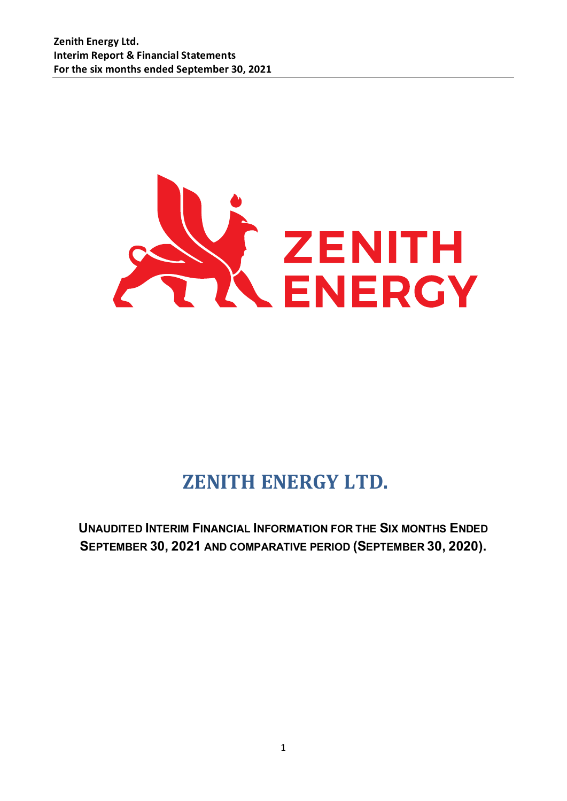

# **ZENITH ENERGY LTD.**

**UNAUDITED INTERIM FINANCIAL INFORMATION FOR THE SIX MONTHS ENDED SEPTEMBER 30, 2021 AND COMPARATIVE PERIOD (SEPTEMBER 30, 2020).**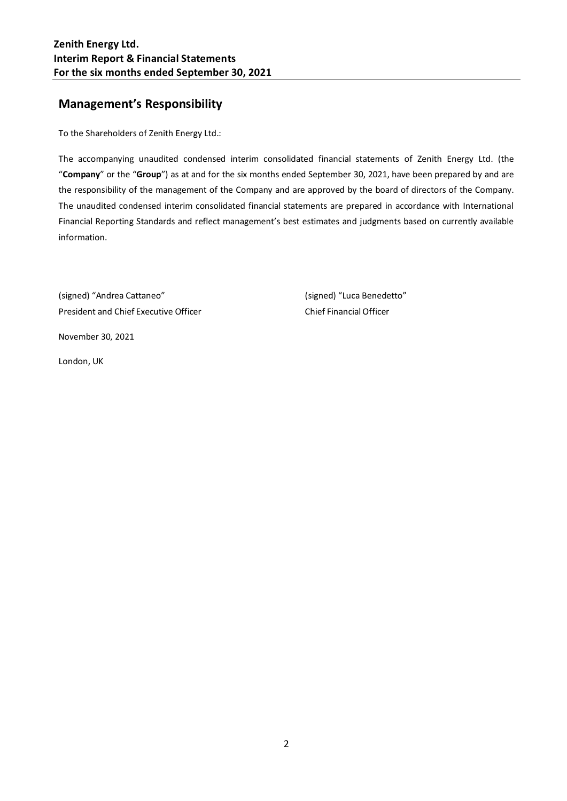# **Management's Responsibility**

To the Shareholders of Zenith Energy Ltd.:

The accompanying unaudited condensed interim consolidated financial statements of Zenith Energy Ltd. (the "**Company**" or the "**Group**") as at and for the six months ended September 30, 2021, have been prepared by and are the responsibility of the management of the Company and are approved by the board of directors of the Company. The unaudited condensed interim consolidated financial statements are prepared in accordance with International Financial Reporting Standards and reflect management's best estimates and judgments based on currently available information.

(signed) "Andrea Cattaneo" (signed) "Luca Benedetto" President and Chief Executive Officer Chief Financial Officer

November 30, 2021

London, UK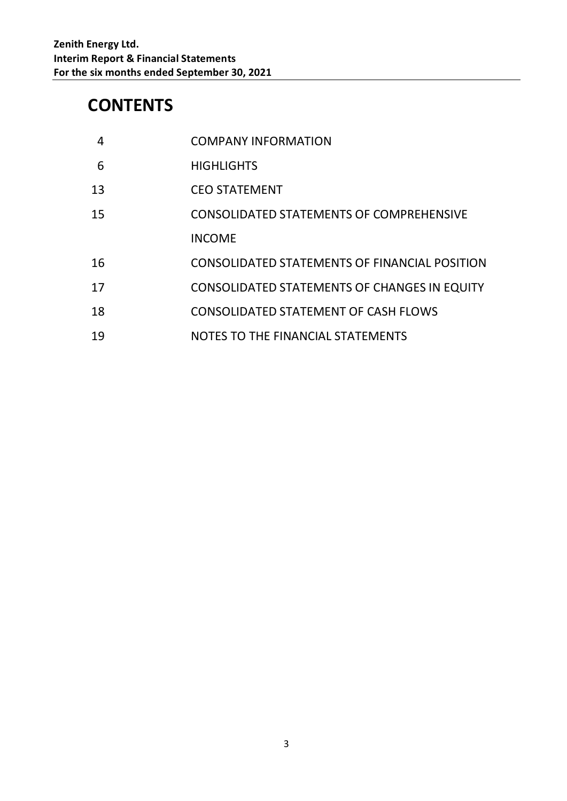# **CONTENTS**

| 4  | <b>COMPANY INFORMATION</b>                          |
|----|-----------------------------------------------------|
| 6  | <b>HIGHLIGHTS</b>                                   |
| 13 | <b>CEO STATEMENT</b>                                |
| 15 | <b>CONSOLIDATED STATEMENTS OF COMPREHENSIVE</b>     |
|    | <b>INCOME</b>                                       |
| 16 | CONSOLIDATED STATEMENTS OF FINANCIAL POSITION       |
| 17 | <b>CONSOLIDATED STATEMENTS OF CHANGES IN EQUITY</b> |
| 18 | <b>CONSOLIDATED STATEMENT OF CASH FLOWS</b>         |
| 19 | NOTES TO THE FINANCIAL STATEMENTS                   |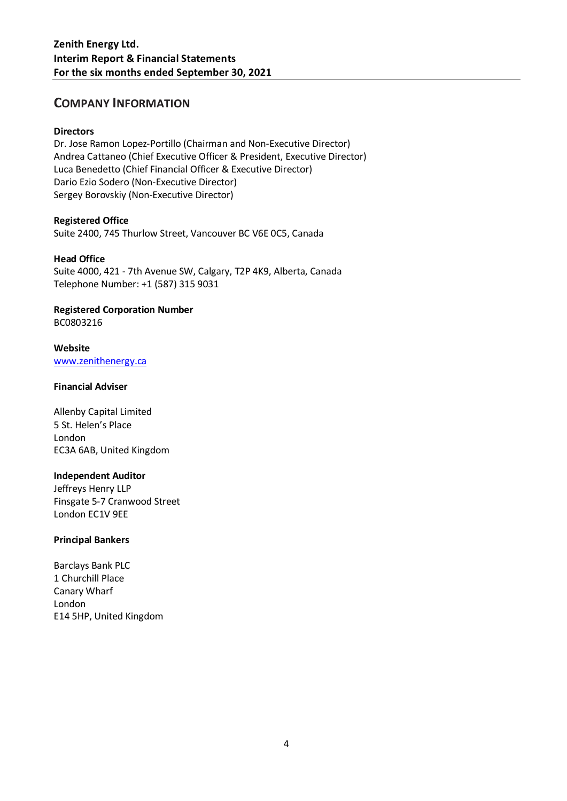### **COMPANY INFORMATION**

### **Directors**

Dr. Jose Ramon Lopez-Portillo (Chairman and Non-Executive Director) Andrea Cattaneo (Chief Executive Officer & President, Executive Director) Luca Benedetto (Chief Financial Officer & Executive Director) Dario Ezio Sodero (Non-Executive Director) Sergey Borovskiy (Non-Executive Director)

### **Registered Office**

Suite 2400, 745 Thurlow Street, Vancouver BC V6E 0C5, Canada

### **Head Office**

Suite 4000, 421 - 7th Avenue SW, Calgary, T2P 4K9, Alberta, Canada Telephone Number: +1 (587) 315 9031

### **Registered Corporation Number**

BC0803216

### **Website** [www.zenithenergy.ca](http://www.zenithenergy.ca/)

### **Financial Adviser**

Allenby Capital Limited 5 St. Helen's Place London EC3A 6AB, United Kingdom

### **Independent Auditor**

Jeffreys Henry LLP Finsgate 5-7 Cranwood Street London EC1V 9EE

### **Principal Bankers**

Barclays Bank PLC 1 Churchill Place Canary Wharf London E14 5HP, United Kingdom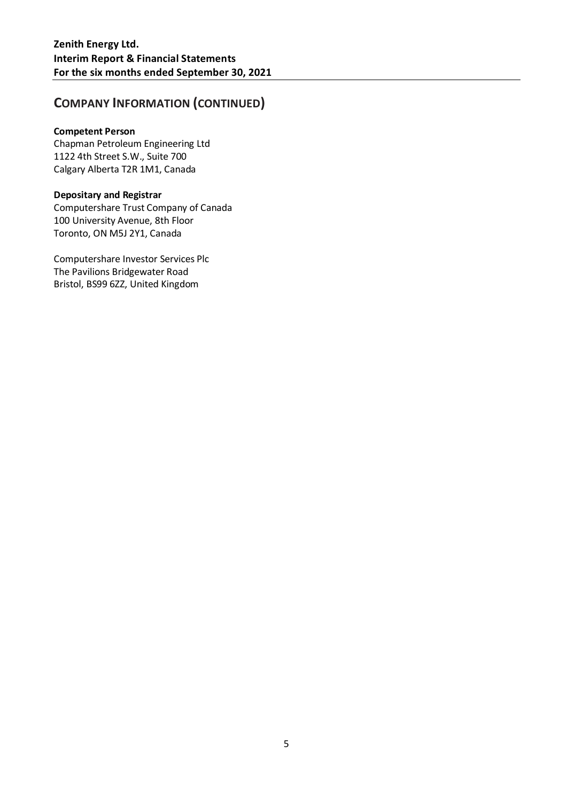# **COMPANY INFORMATION (CONTINUED)**

### **Competent Person**

Chapman Petroleum Engineering Ltd 1122 4th Street S.W., Suite 700 Calgary Alberta T2R 1M1, Canada

### **Depositary and Registrar**

Computershare Trust Company of Canada 100 University Avenue, 8th Floor Toronto, ON M5J 2Y1, Canada

Computershare Investor Services Plc The Pavilions Bridgewater Road Bristol, BS99 6ZZ, United Kingdom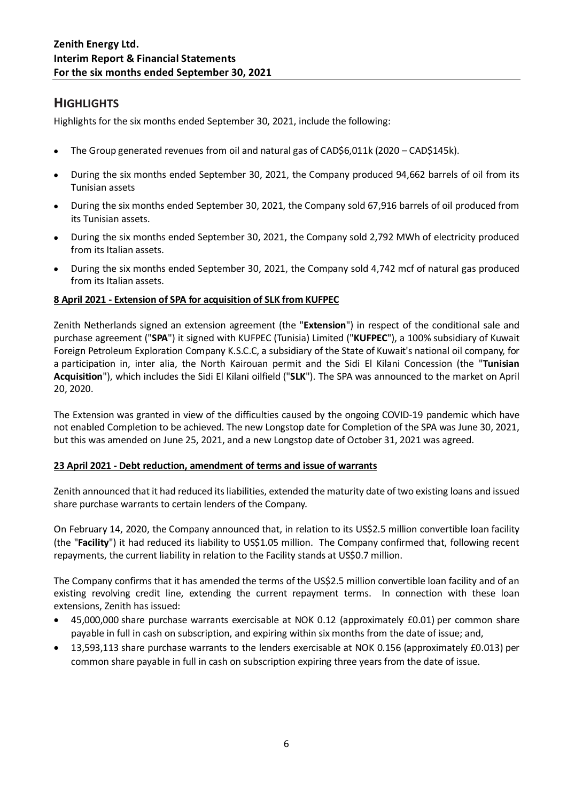# **HIGHLIGHTS**

Highlights for the six months ended September 30, 2021, include the following:

- The Group generated revenues from oil and natural gas of CAD\$6,011k (2020 CAD\$145k).
- During the six months ended September 30, 2021, the Company produced 94,662 barrels of oil from its Tunisian assets
- During the six months ended September 30, 2021, the Company sold 67,916 barrels of oil produced from its Tunisian assets.
- During the six months ended September 30, 2021, the Company sold 2,792 MWh of electricity produced from its Italian assets.
- During the six months ended September 30, 2021, the Company sold 4,742 mcf of natural gas produced from its Italian assets.

### **8 April 2021 - Extension of SPA for acquisition of SLK from KUFPEC**

Zenith Netherlands signed an extension agreement (the "**Extension**") in respect of the conditional sale and purchase agreement ("**SPA**") it signed with KUFPEC (Tunisia) Limited ("**KUFPEC**"), a 100% subsidiary of Kuwait Foreign Petroleum Exploration Company K.S.C.C, a subsidiary of the State of Kuwait's national oil company, for a participation in, inter alia, the North Kairouan permit and the Sidi El Kilani Concession (the "**Tunisian Acquisition**"), which includes the Sidi El Kilani oilfield ("**SLK**"). The SPA was announced to the market on April 20, 2020.

The Extension was granted in view of the difficulties caused by the ongoing COVID-19 pandemic which have not enabled Completion to be achieved. The new Longstop date for Completion of the SPA was June 30, 2021, but this was amended on June 25, 2021, and a new Longstop date of October 31, 2021 was agreed.

### **23 April 2021 - Debt reduction, amendment of terms and issue of warrants**

Zenith announced that it had reduced its liabilities, extended the maturity date of two existing loans and issued share purchase warrants to certain lenders of the Company.

On February 14, 2020, the Company announced that, in relation to its US\$2.5 million convertible loan facility (the "**Facility**") it had reduced its liability to US\$1.05 million. The Company confirmed that, following recent repayments, the current liability in relation to the Facility stands at US\$0.7 million.

The Company confirms that it has amended the terms of the US\$2.5 million convertible loan facility and of an existing revolving credit line, extending the current repayment terms. In connection with these loan extensions, Zenith has issued:

- 45,000,000 share purchase warrants exercisable at NOK 0.12 (approximately £0.01) per common share payable in full in cash on subscription, and expiring within six months from the date of issue; and,
- 13,593,113 share purchase warrants to the lenders exercisable at NOK 0.156 (approximately £0.013) per common share payable in full in cash on subscription expiring three years from the date of issue.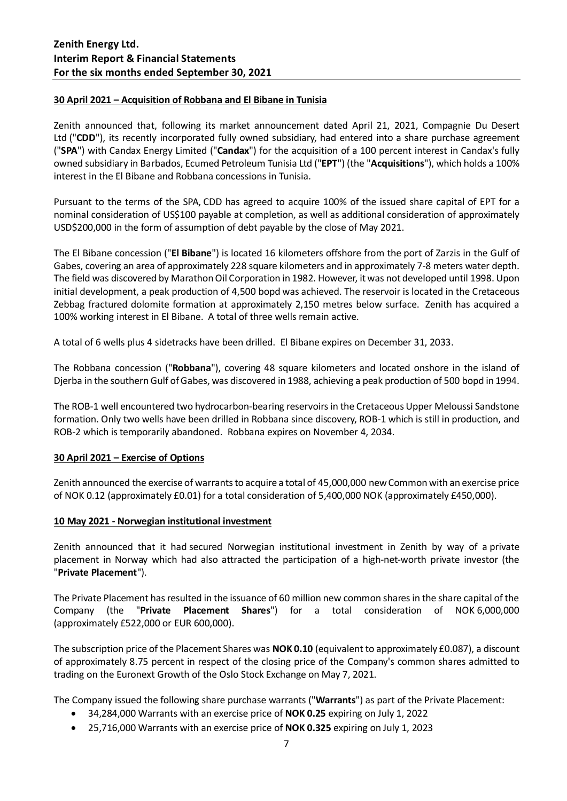### **30 April 2021 – Acquisition of Robbana and El Bibane in Tunisia**

Zenith announced that, following its market announcement dated April 21, 2021, Compagnie Du Desert Ltd ("**CDD**"), its recently incorporated fully owned subsidiary, had entered into a share purchase agreement ("**SPA**") with Candax Energy Limited ("**Candax**") for the acquisition of a 100 percent interest in Candax's fully owned subsidiary in Barbados, Ecumed Petroleum Tunisia Ltd ("**EPT**") (the "**Acquisitions**"), which holds a 100% interest in the El Bibane and Robbana concessions in Tunisia.

Pursuant to the terms of the SPA, CDD has agreed to acquire 100% of the issued share capital of EPT for a nominal consideration of US\$100 payable at completion, as well as additional consideration of approximately USD\$200,000 in the form of assumption of debt payable by the close of May 2021.

The El Bibane concession ("**El Bibane**") is located 16 kilometers offshore from the port of Zarzis in the Gulf of Gabes, covering an area of approximately 228 square kilometers and in approximately 7-8 meters water depth. The field was discovered by Marathon Oil Corporation in 1982. However, it was not developed until 1998. Upon initial development, a peak production of 4,500 bopd was achieved. The reservoir is located in the Cretaceous Zebbag fractured dolomite formation at approximately 2,150 metres below surface. Zenith has acquired a 100% working interest in El Bibane. A total of three wells remain active.

A total of 6 wells plus 4 sidetracks have been drilled. El Bibane expires on December 31, 2033.

The Robbana concession ("**Robbana**"), covering 48 square kilometers and located onshore in the island of Djerba in the southern Gulf of Gabes, was discovered in 1988, achieving a peak production of 500 bopd in 1994.

The ROB-1 well encountered two hydrocarbon-bearing reservoirs in the Cretaceous Upper Meloussi Sandstone formation. Only two wells have been drilled in Robbana since discovery, ROB-1 which is still in production, and ROB-2 which is temporarily abandoned. Robbana expires on November 4, 2034.

### **30 April 2021 – Exercise of Options**

Zenith announced the exercise of warrants to acquire a total of 45,000,000 new Common with an exercise price of NOK 0.12 (approximately £0.01) for a total consideration of 5,400,000 NOK (approximately £450,000).

### **10 May 2021 - Norwegian institutional investment**

Zenith announced that it had secured Norwegian institutional investment in Zenith by way of a private placement in Norway which had also attracted the participation of a high-net-worth private investor (the "**Private Placement**").

The Private Placement has resulted in the issuance of 60 million new common shares in the share capital of the Company (the "**Private Placement Shares**") for a total consideration of NOK 6,000,000 (approximately £522,000 or EUR 600,000).

The subscription price of the Placement Shares was **NOK 0.10** (equivalent to approximately £0.087), a discount of approximately 8.75 percent in respect of the closing price of the Company's common shares admitted to trading on the Euronext Growth of the Oslo Stock Exchange on May 7, 2021.

The Company issued the following share purchase warrants ("**Warrants**") as part of the Private Placement:

- 34,284,000 Warrants with an exercise price of **NOK 0.25** expiring on July 1, 2022
- 25,716,000 Warrants with an exercise price of **NOK 0.325** expiring on July 1, 2023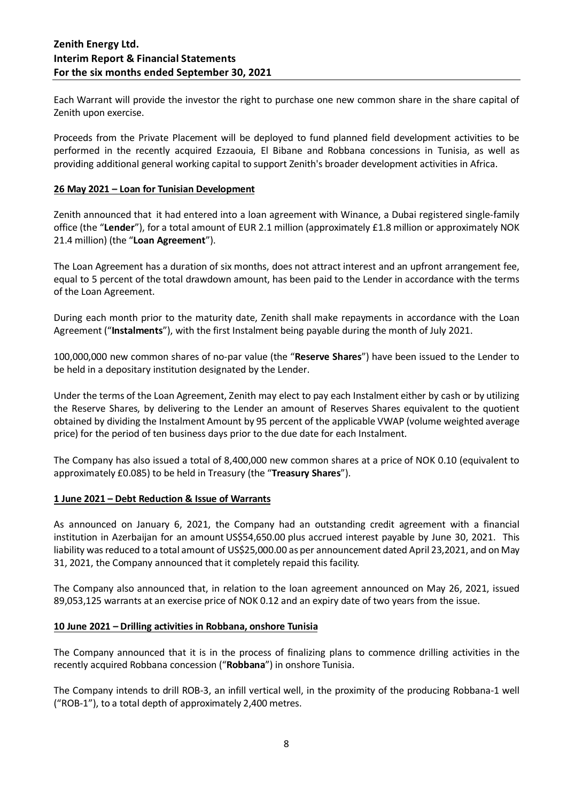Each Warrant will provide the investor the right to purchase one new common share in the share capital of Zenith upon exercise.

Proceeds from the Private Placement will be deployed to fund planned field development activities to be performed in the recently acquired Ezzaouia, El Bibane and Robbana concessions in Tunisia, as well as providing additional general working capital to support Zenith's broader development activities in Africa.

### **26 May 2021 – Loan for Tunisian Development**

Zenith announced that it had entered into a loan agreement with Winance, a Dubai registered single-family office (the "**Lender**"), for a total amount of EUR 2.1 million (approximately £1.8 million or approximately NOK 21.4 million) (the "**Loan Agreement**").

The Loan Agreement has a duration of six months, does not attract interest and an upfront arrangement fee, equal to 5 percent of the total drawdown amount, has been paid to the Lender in accordance with the terms of the Loan Agreement.

During each month prior to the maturity date, Zenith shall make repayments in accordance with the Loan Agreement ("**Instalments**"), with the first Instalment being payable during the month of July 2021.

100,000,000 new common shares of no-par value (the "**Reserve Shares**") have been issued to the Lender to be held in a depositary institution designated by the Lender.

Under the terms of the Loan Agreement, Zenith may elect to pay each Instalment either by cash or by utilizing the Reserve Shares, by delivering to the Lender an amount of Reserves Shares equivalent to the quotient obtained by dividing the Instalment Amount by 95 percent of the applicable VWAP (volume weighted average price) for the period of ten business days prior to the due date for each Instalment.

The Company has also issued a total of 8,400,000 new common shares at a price of NOK 0.10 (equivalent to approximately £0.085) to be held in Treasury (the "**Treasury Shares**").

### **1 June 2021 – Debt Reduction & Issue of Warrants**

As announced on January 6, 2021, the Company had an outstanding credit agreement with a financial institution in Azerbaijan for an amount US\$54,650.00 plus accrued interest payable by June 30, 2021. This liability was reduced to a total amount of US\$25,000.00 as per announcement dated April 23,2021, and on May 31, 2021, the Company announced that it completely repaid this facility.

The Company also announced that, in relation to the loan agreement announced on May 26, 2021, issued 89,053,125 warrants at an exercise price of NOK 0.12 and an expiry date of two years from the issue.

### **10 June 2021 – Drilling activities in Robbana, onshore Tunisia**

The Company announced that it is in the process of finalizing plans to commence drilling activities in the recently acquired Robbana concession ("**Robbana**") in onshore Tunisia.

The Company intends to drill ROB-3, an infill vertical well, in the proximity of the producing Robbana-1 well ("ROB-1"), to a total depth of approximately 2,400 metres.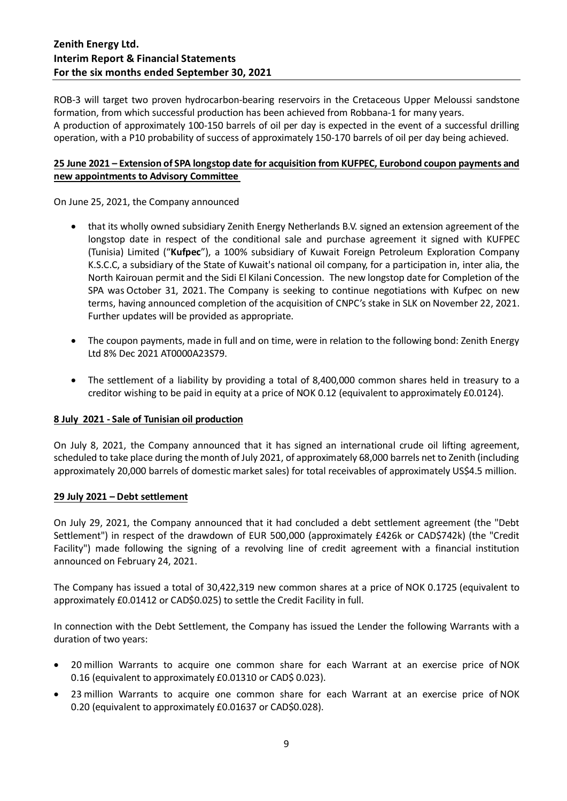ROB-3 will target two proven hydrocarbon-bearing reservoirs in the Cretaceous Upper Meloussi sandstone formation, from which successful production has been achieved from Robbana-1 for many years. A production of approximately 100-150 barrels of oil per day is expected in the event of a successful drilling operation, with a P10 probability of success of approximately 150-170 barrels of oil per day being achieved.

### **25 June 2021 – Extension of SPA longstop date for acquisition from KUFPEC, Eurobond coupon payments and new appointments to Advisory Committee**

On June 25, 2021, the Company announced

- that its wholly owned subsidiary Zenith Energy Netherlands B.V. signed an extension agreement of the longstop date in respect of the conditional sale and purchase agreement it signed with KUFPEC (Tunisia) Limited ("**Kufpec**"), a 100% subsidiary of Kuwait Foreign Petroleum Exploration Company K.S.C.C, a subsidiary of the State of Kuwait's national oil company, for a participation in, inter alia, the North Kairouan permit and the Sidi El Kilani Concession. The new longstop date for Completion of the SPA was October 31, 2021. The Company is seeking to continue negotiations with Kufpec on new terms, having announced completion of the acquisition of CNPC's stake in SLK on November 22, 2021. Further updates will be provided as appropriate.
- The coupon payments, made in full and on time, were in relation to the following bond: Zenith Energy Ltd 8% Dec 2021 AT0000A23S79.
- The settlement of a liability by providing a total of 8,400,000 common shares held in treasury to a creditor wishing to be paid in equity at a price of NOK 0.12 (equivalent to approximately £0.0124).

### **8 July 2021 - Sale of Tunisian oil production**

On July 8, 2021, the Company announced that it has signed an international crude oil lifting agreement, scheduled to take place during the month of July 2021, of approximately 68,000 barrels net to Zenith (including approximately 20,000 barrels of domestic market sales) for total receivables of approximately US\$4.5 million.

### **29 July 2021 – Debt settlement**

On July 29, 2021, the Company announced that it had concluded a debt settlement agreement (the "Debt Settlement") in respect of the drawdown of EUR 500,000 (approximately £426k or CAD\$742k) (the "Credit Facility") made following the signing of a revolving line of credit agreement with a financial institution announced on February 24, 2021.

The Company has issued a total of 30,422,319 new common shares at a price of NOK 0.1725 (equivalent to approximately £0.01412 or CAD\$0.025) to settle the Credit Facility in full.

In connection with the Debt Settlement, the Company has issued the Lender the following Warrants with a duration of two years:

- 20 million Warrants to acquire one common share for each Warrant at an exercise price of NOK 0.16 (equivalent to approximately £0.01310 or CAD\$ 0.023).
- 23 million Warrants to acquire one common share for each Warrant at an exercise price of NOK 0.20 (equivalent to approximately £0.01637 or CAD\$0.028).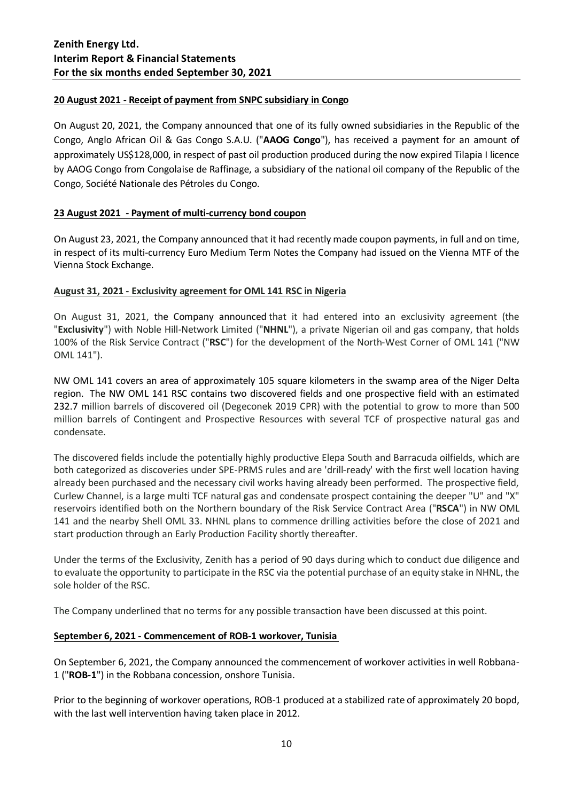### **20 August 2021 - Receipt of payment from SNPC subsidiary in Congo**

On August 20, 2021, the Company announced that one of its fully owned subsidiaries in the Republic of the Congo, Anglo African Oil & Gas Congo S.A.U. ("**AAOG Congo**"), has received a payment for an amount of approximately US\$128,000, in respect of past oil production produced during the now expired Tilapia I licence by AAOG Congo from Congolaise de Raffinage, a subsidiary of the national oil company of the Republic of the Congo, Société Nationale des Pétroles du Congo.

### **23 August 2021 - Payment of multi-currency bond coupon**

On August 23, 2021, the Company announced that it had recently made coupon payments, in full and on time, in respect of its multi-currency Euro Medium Term Notes the Company had issued on the Vienna MTF of the Vienna Stock Exchange.

### **August 31, 2021 - Exclusivity agreement for OML 141 RSC in Nigeria**

On August 31, 2021, the Company announced that it had entered into an exclusivity agreement (the "**Exclusivity**") with Noble Hill-Network Limited ("**NHNL**"), a private Nigerian oil and gas company, that holds 100% of the Risk Service Contract ("**RSC**") for the development of the North-West Corner of OML 141 ("NW OML 141").

NW OML 141 covers an area of approximately 105 square kilometers in the swamp area of the Niger Delta region. The NW OML 141 RSC contains two discovered fields and one prospective field with an estimated 232.7 million barrels of discovered oil (Degeconek 2019 CPR) with the potential to grow to more than 500 million barrels of Contingent and Prospective Resources with several TCF of prospective natural gas and condensate.

The discovered fields include the potentially highly productive Elepa South and Barracuda oilfields, which are both categorized as discoveries under SPE-PRMS rules and are 'drill-ready' with the first well location having already been purchased and the necessary civil works having already been performed. The prospective field, Curlew Channel, is a large multi TCF natural gas and condensate prospect containing the deeper "U" and "X" reservoirs identified both on the Northern boundary of the Risk Service Contract Area ("**RSCA**") in NW OML 141 and the nearby Shell OML 33. NHNL plans to commence drilling activities before the close of 2021 and start production through an Early Production Facility shortly thereafter.

Under the terms of the Exclusivity, Zenith has a period of 90 days during which to conduct due diligence and to evaluate the opportunity to participate in the RSC via the potential purchase of an equity stake in NHNL, the sole holder of the RSC.

The Company underlined that no terms for any possible transaction have been discussed at this point.

### **September 6, 2021 - Commencement of ROB-1 workover, Tunisia**

On September 6, 2021, the Company announced the commencement of workover activities in well Robbana-1 ("**ROB-1**") in the Robbana concession, onshore Tunisia.

Prior to the beginning of workover operations, ROB-1 produced at a stabilized rate of approximately 20 bopd, with the last well intervention having taken place in 2012.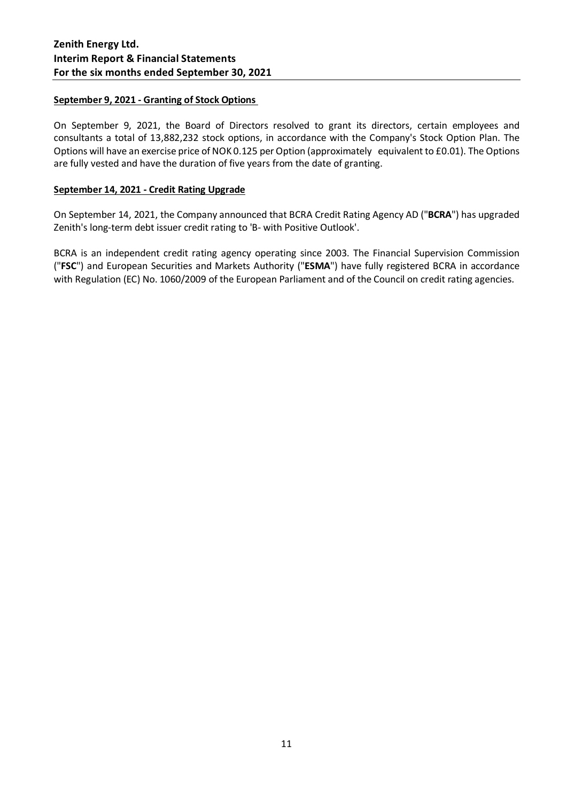### **September 9, 2021 - Granting of Stock Options**

On September 9, 2021, the Board of Directors resolved to grant its directors, certain employees and consultants a total of 13,882,232 stock options, in accordance with the Company's Stock Option Plan. The Options will have an exercise price of NOK 0.125 per Option (approximately equivalent to £0.01). The Options are fully vested and have the duration of five years from the date of granting.

### **September 14, 2021 - Credit Rating Upgrade**

On September 14, 2021, the Company announced that BCRA Credit Rating Agency AD ("**BCRA**") has upgraded Zenith's long-term debt issuer credit rating to 'B- with Positive Outlook'.

BCRA is an independent credit rating agency operating since 2003. The Financial Supervision Commission ("**FSC**") and European Securities and Markets Authority ("**ESMA**") have fully registered BCRA in accordance with Regulation (EC) No. 1060/2009 of the European Parliament and of the Council on credit rating agencies.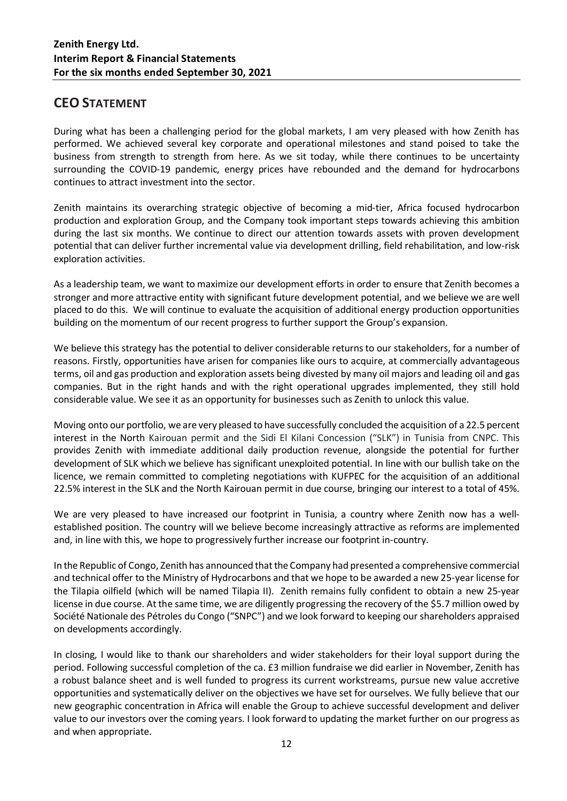# **CEO STATEMENT**

During what has been a challenging period for the global markets, I am very pleased with how Zenith has performed. We achieved several key corporate and operational milestones and stand poised to take the business from strength to strength from here. As we sit today, while there continues to be uncertainty surrounding the COVID-19 pandemic, energy prices have rebounded and the demand for hydrocarbons continues to attract investment into the sector.

Zenith maintains its overarching strategic objective of becoming a mid-tier, Africa focused hydrocarbon production and exploration Group, and the Company took important steps towards achieving this ambition during the last six months. We continue to direct our attention towards assets with proven development potential that can deliver further incremental value via development drilling, field rehabilitation, and low-risk exploration activities.

As a leadership team, we want to maximize our development efforts in order to ensure that Zenith becomes a stronger and more attractive entity with significant future development potential, and we believe we are well placed to do this. We will continue to evaluate the acquisition of additional energy production opportunities building on the momentum of our recent progress to further support the Group's expansion.

We believe this strategy has the potential to deliver considerable returns to our stakeholders, for a number of reasons. Firstly, opportunities have arisen for companies like ours to acquire, at commercially advantageous terms, oil and gas production and exploration assets being divested by many oil majors and leading oil and gas companies. But in the right hands and with the right operational upgrades implemented, they still hold considerable value. We see it as an opportunity for businesses such as Zenith to unlock this value.

Moving onto our portfolio, we are very pleased to have successfully concluded the acquisition of a 22.5 percent interest in the North Kairouan permit and the Sidi El Kilani Concession ("SLK") in Tunisia from CNPC. This provides Zenith with immediate additional daily production revenue, alongside the potential for further development of SLK which we believe has significant unexploited potential. In line with our bullish take on the licence, we remain committed to completing negotiations with KUFPEC for the acquisition of an additional 22.5% interest in the SLK and the North Kairouan permit in due course, bringing our interest to a total of 45%.

We are very pleased to have increased our footprint in Tunisia, a country where Zenith now has a wellestablished position. The country will we believe become increasingly attractive as reforms are implemented and, in line with this, we hope to progressively further increase our footprint in-country.

In the Republic of Congo, Zenith has announced that the Company had presented a comprehensive commercial and technical offer to the Ministry of Hydrocarbons and that we hope to be awarded a new 25-year license for the Tilapia oilfield (which will be named Tilapia II). Zenith remains fully confident to obtain a new 25-year license in due course. At the same time, we are diligently progressing the recovery of the \$5.7 million owed by Société Nationale des Pétroles du Congo ("SNPC") and we look forward to keeping our shareholders appraised on developments accordingly.

In closing, I would like to thank our shareholders and wider stakeholders for their loyal support during the period. Following successful completion of the ca. £3 million fundraise we did earlier in November, Zenith has a robust balance sheet and is well funded to progress its current workstreams, pursue new value accretive opportunities and systematically deliver on the objectives we have set for ourselves. We fully believe that our new geographic concentration in Africa will enable the Group to achieve successful development and deliver value to our investors over the coming years. I look forward to updating the market further on our progress as and when appropriate.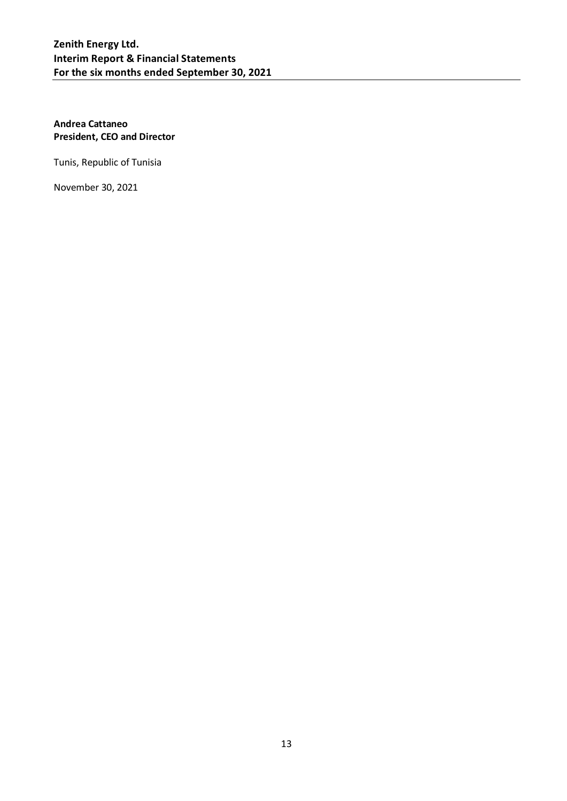### **Andrea Cattaneo President, CEO and Director**

Tunis, Republic of Tunisia

November 30, 2021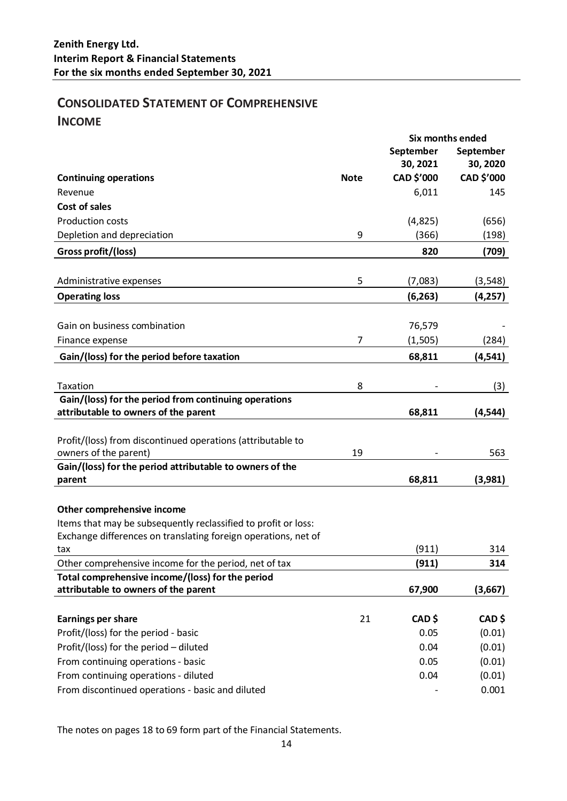# **CONSOLIDATED STATEMENT OF COMPREHENSIVE INCOME**

|                                                                                                                                  | Six months ended |            |            |
|----------------------------------------------------------------------------------------------------------------------------------|------------------|------------|------------|
|                                                                                                                                  |                  | September  | September  |
|                                                                                                                                  |                  | 30, 2021   | 30, 2020   |
| <b>Continuing operations</b>                                                                                                     | <b>Note</b>      | CAD \$'000 | CAD \$'000 |
| Revenue                                                                                                                          |                  | 6,011      | 145        |
| <b>Cost of sales</b>                                                                                                             |                  |            |            |
| <b>Production costs</b>                                                                                                          |                  | (4,825)    | (656)      |
| Depletion and depreciation                                                                                                       | 9                | (366)      | (198)      |
| Gross profit/(loss)                                                                                                              |                  | 820        | (709)      |
|                                                                                                                                  |                  |            |            |
| Administrative expenses                                                                                                          | 5                | (7,083)    | (3, 548)   |
| <b>Operating loss</b>                                                                                                            |                  | (6, 263)   | (4, 257)   |
|                                                                                                                                  |                  |            |            |
| Gain on business combination                                                                                                     |                  | 76,579     |            |
| Finance expense                                                                                                                  | 7                | (1, 505)   | (284)      |
| Gain/(loss) for the period before taxation                                                                                       |                  | 68,811     | (4, 541)   |
|                                                                                                                                  |                  |            |            |
| Taxation                                                                                                                         | 8                |            | (3)        |
| Gain/(loss) for the period from continuing operations                                                                            |                  |            |            |
| attributable to owners of the parent                                                                                             |                  | 68,811     | (4, 544)   |
|                                                                                                                                  |                  |            |            |
| Profit/(loss) from discontinued operations (attributable to                                                                      |                  |            |            |
| owners of the parent)                                                                                                            | 19               |            | 563        |
| Gain/(loss) for the period attributable to owners of the                                                                         |                  |            |            |
| parent                                                                                                                           |                  | 68,811     | (3,981)    |
|                                                                                                                                  |                  |            |            |
| Other comprehensive income                                                                                                       |                  |            |            |
| Items that may be subsequently reclassified to profit or loss:<br>Exchange differences on translating foreign operations, net of |                  |            |            |
| tax                                                                                                                              |                  | (911)      | 314        |
| Other comprehensive income for the period, net of tax                                                                            |                  | (911)      | 314        |
| Total comprehensive income/(loss) for the period                                                                                 |                  |            |            |
| attributable to owners of the parent                                                                                             |                  | 67,900     | (3,667)    |
|                                                                                                                                  |                  |            |            |
| <b>Earnings per share</b>                                                                                                        | 21               | CAD\$      | CAD \$     |
| Profit/(loss) for the period - basic                                                                                             |                  | 0.05       | (0.01)     |
| Profit/(loss) for the period - diluted                                                                                           |                  | 0.04       | (0.01)     |
| From continuing operations - basic                                                                                               |                  | 0.05       | (0.01)     |
| From continuing operations - diluted                                                                                             |                  | 0.04       | (0.01)     |
| From discontinued operations - basic and diluted                                                                                 |                  |            | 0.001      |

The notes on pages 18 to 69 form part of the Financial Statements.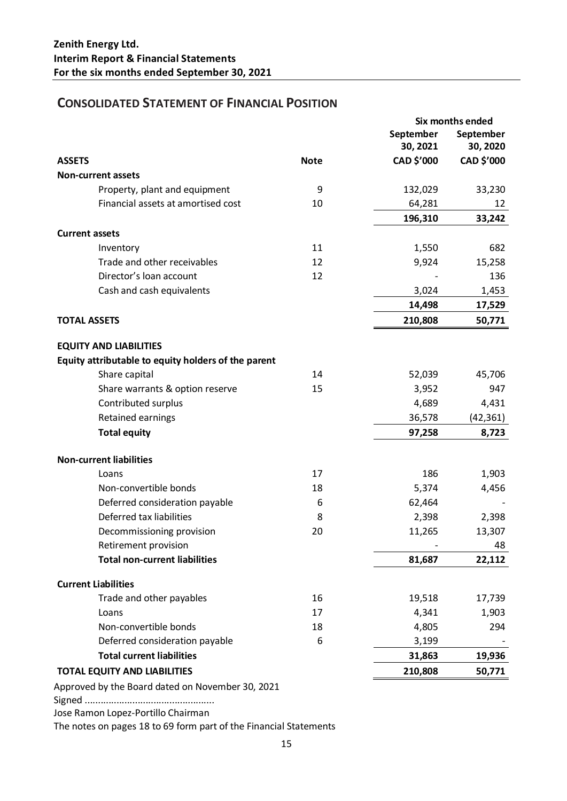# **CONSOLIDATED STATEMENT OF FINANCIAL POSITION**

|                                                     |             | Six months ended |            |
|-----------------------------------------------------|-------------|------------------|------------|
|                                                     |             | September        | September  |
|                                                     |             | 30, 2021         | 30, 2020   |
| <b>ASSETS</b>                                       | <b>Note</b> | CAD \$'000       | CAD \$'000 |
| <b>Non-current assets</b>                           |             |                  |            |
| Property, plant and equipment                       | 9           | 132,029          | 33,230     |
| Financial assets at amortised cost                  | 10          | 64,281           | 12         |
|                                                     |             | 196,310          | 33,242     |
| <b>Current assets</b>                               |             |                  |            |
| Inventory                                           | 11          | 1,550            | 682        |
| Trade and other receivables                         | 12          | 9,924            | 15,258     |
| Director's loan account                             | 12          |                  | 136        |
| Cash and cash equivalents                           |             | 3,024            | 1,453      |
|                                                     |             | 14,498           | 17,529     |
| <b>TOTAL ASSETS</b>                                 |             | 210,808          | 50,771     |
|                                                     |             |                  |            |
| <b>EQUITY AND LIABILITIES</b>                       |             |                  |            |
| Equity attributable to equity holders of the parent |             |                  |            |
| Share capital                                       | 14          | 52,039           | 45,706     |
| Share warrants & option reserve                     | 15          | 3,952            | 947        |
| Contributed surplus                                 |             | 4,689            | 4,431      |
| Retained earnings                                   |             | 36,578           | (42, 361)  |
| <b>Total equity</b>                                 |             | 97,258           | 8,723      |
| <b>Non-current liabilities</b>                      |             |                  |            |
| Loans                                               | 17          | 186              | 1,903      |
| Non-convertible bonds                               | 18          | 5,374            | 4,456      |
| Deferred consideration payable                      | 6           | 62,464           |            |
| Deferred tax liabilities                            | 8           | 2,398            | 2,398      |
| Decommissioning provision                           | 20          | 11,265           | 13,307     |
| Retirement provision                                |             |                  | 48         |
| <b>Total non-current liabilities</b>                |             | 81,687           | 22,112     |
| <b>Current Liabilities</b>                          |             |                  |            |
| Trade and other payables                            | 16          | 19,518           | 17,739     |
| Loans                                               | 17          | 4,341            | 1,903      |
| Non-convertible bonds                               | 18          | 4,805            | 294        |
| Deferred consideration payable                      | 6           | 3,199            |            |
| <b>Total current liabilities</b>                    |             | 31,863           | 19,936     |
| <b>TOTAL EQUITY AND LIABILITIES</b>                 |             | 210,808          | 50,771     |
|                                                     |             |                  |            |
| Approved by the Board dated on November 30, 2021    |             |                  |            |

Signed .................................................

Jose Ramon Lopez-Portillo Chairman

The notes on pages 18 to 69 form part of the Financial Statements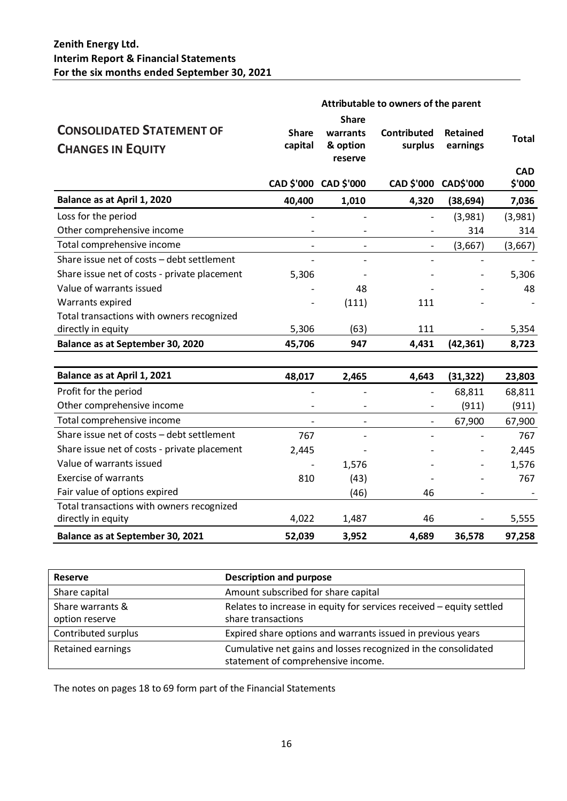|                                                              |                         |                                                 | Attributable to owners of the parent |                             |                      |
|--------------------------------------------------------------|-------------------------|-------------------------------------------------|--------------------------------------|-----------------------------|----------------------|
| <b>CONSOLIDATED STATEMENT OF</b><br><b>CHANGES IN EQUITY</b> | <b>Share</b><br>capital | <b>Share</b><br>warrants<br>& option<br>reserve | <b>Contributed</b><br>surplus        | <b>Retained</b><br>earnings | <b>Total</b>         |
|                                                              |                         | CAD \$'000 CAD \$'000                           | CAD \$'000                           | <b>CAD\$'000</b>            | <b>CAD</b><br>\$'000 |
| Balance as at April 1, 2020                                  | 40,400                  | 1,010                                           | 4,320                                | (38, 694)                   | 7,036                |
| Loss for the period                                          |                         |                                                 | $\overline{\phantom{0}}$             | (3,981)                     | (3,981)              |
| Other comprehensive income                                   |                         |                                                 |                                      | 314                         | 314                  |
| Total comprehensive income                                   |                         |                                                 |                                      | (3,667)                     | (3,667)              |
| Share issue net of costs - debt settlement                   |                         |                                                 |                                      |                             |                      |
| Share issue net of costs - private placement                 | 5,306                   |                                                 |                                      |                             | 5,306                |
| Value of warrants issued                                     |                         | 48                                              |                                      |                             | 48                   |
| Warrants expired                                             |                         | (111)                                           | 111                                  |                             |                      |
| Total transactions with owners recognized                    |                         |                                                 |                                      |                             |                      |
| directly in equity                                           | 5,306                   | (63)                                            | 111                                  |                             | 5,354                |
| Balance as at September 30, 2020                             | 45,706                  | 947                                             | 4,431                                | (42, 361)                   | 8,723                |
|                                                              |                         |                                                 |                                      |                             |                      |
| Balance as at April 1, 2021                                  | 48,017                  | 2,465                                           | 4,643                                | (31, 322)                   | 23,803               |
| Profit for the period                                        |                         |                                                 | $\overline{\phantom{0}}$             | 68,811                      | 68,811               |
| Other comprehensive income                                   |                         |                                                 |                                      | (911)                       | (911)                |
| Total comprehensive income                                   | $\blacksquare$          | $\overline{a}$                                  | $\overline{\phantom{0}}$             | 67,900                      | 67,900               |
| Share issue net of costs - debt settlement                   | 767                     |                                                 |                                      |                             | 767                  |
| Share issue net of costs - private placement                 | 2,445                   |                                                 |                                      |                             | 2,445                |
| Value of warrants issued                                     |                         | 1,576                                           |                                      |                             | 1,576                |
| <b>Exercise of warrants</b>                                  | 810                     | (43)                                            |                                      |                             | 767                  |
| Fair value of options expired                                |                         | (46)                                            | 46                                   | $\overline{a}$              |                      |
| Total transactions with owners recognized                    |                         |                                                 |                                      |                             |                      |
| directly in equity                                           | 4,022                   | 1,487                                           | 46                                   |                             | 5,555                |
| Balance as at September 30, 2021                             | 52,039                  | 3,952                                           | 4,689                                | 36,578                      | 97,258               |

| <b>Reserve</b>      | <b>Description and purpose</b>                                       |
|---------------------|----------------------------------------------------------------------|
| Share capital       | Amount subscribed for share capital                                  |
| Share warrants &    | Relates to increase in equity for services received - equity settled |
| option reserve      | share transactions                                                   |
| Contributed surplus | Expired share options and warrants issued in previous years          |
| Retained earnings   | Cumulative net gains and losses recognized in the consolidated       |
|                     | statement of comprehensive income.                                   |

The notes on pages 18 to 69 form part of the Financial Statements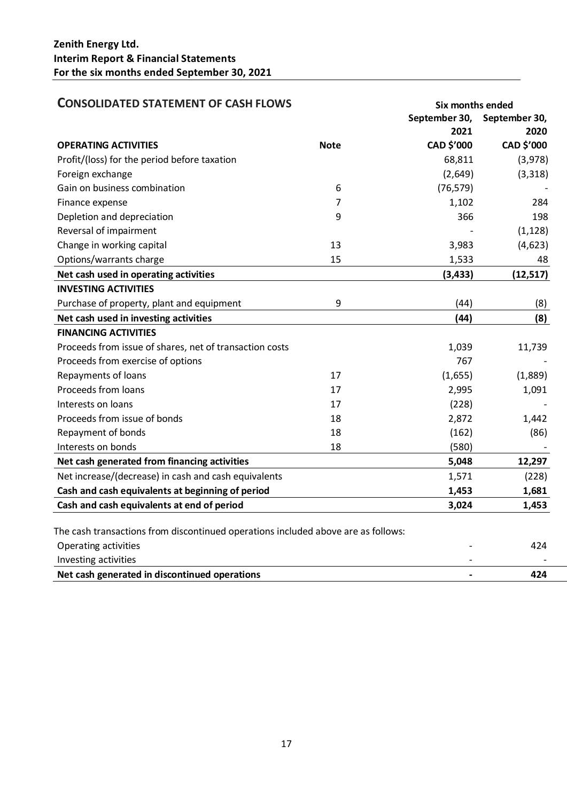| <b>CONSOLIDATED STATEMENT OF CASH FLOWS</b>                                       |             |                       | Six months ended      |  |
|-----------------------------------------------------------------------------------|-------------|-----------------------|-----------------------|--|
|                                                                                   |             | September 30,<br>2021 | September 30,<br>2020 |  |
| <b>OPERATING ACTIVITIES</b>                                                       | <b>Note</b> | CAD \$'000            | CAD \$'000            |  |
| Profit/(loss) for the period before taxation                                      |             | 68,811                | (3,978)               |  |
| Foreign exchange                                                                  |             | (2,649)               | (3,318)               |  |
| Gain on business combination                                                      | 6           | (76, 579)             |                       |  |
| Finance expense                                                                   | 7           | 1,102                 | 284                   |  |
| Depletion and depreciation                                                        | 9           | 366                   | 198                   |  |
| Reversal of impairment                                                            |             |                       | (1, 128)              |  |
| Change in working capital                                                         | 13          | 3,983                 | (4, 623)              |  |
| Options/warrants charge                                                           | 15          | 1,533                 | 48                    |  |
| Net cash used in operating activities                                             |             | (3, 433)              | (12, 517)             |  |
| <b>INVESTING ACTIVITIES</b>                                                       |             |                       |                       |  |
| Purchase of property, plant and equipment                                         | 9           | (44)                  | (8)                   |  |
| Net cash used in investing activities                                             |             | (44)                  | (8)                   |  |
| <b>FINANCING ACTIVITIES</b>                                                       |             |                       |                       |  |
| Proceeds from issue of shares, net of transaction costs                           |             | 1,039                 | 11,739                |  |
| Proceeds from exercise of options                                                 |             | 767                   |                       |  |
| Repayments of loans                                                               | 17          | (1,655)               | (1,889)               |  |
| Proceeds from loans                                                               | 17          | 2,995                 | 1,091                 |  |
| Interests on loans                                                                | 17          | (228)                 |                       |  |
| Proceeds from issue of bonds                                                      | 18          | 2,872                 | 1,442                 |  |
| Repayment of bonds                                                                | 18          | (162)                 | (86)                  |  |
| Interests on bonds                                                                | 18          | (580)                 |                       |  |
| Net cash generated from financing activities                                      |             | 5,048                 | 12,297                |  |
| Net increase/(decrease) in cash and cash equivalents                              |             | 1,571                 | (228)                 |  |
| Cash and cash equivalents at beginning of period                                  |             | 1,453                 | 1,681                 |  |
| Cash and cash equivalents at end of period                                        |             | 3,024                 | 1,453                 |  |
|                                                                                   |             |                       |                       |  |
| The cash transactions from discontinued operations included above are as follows: |             |                       |                       |  |
| Operating activities                                                              |             |                       | 424                   |  |
| Investing activities                                                              |             |                       |                       |  |

| Investing activities                          |  |
|-----------------------------------------------|--|
| Net cash generated in discontinued operations |  |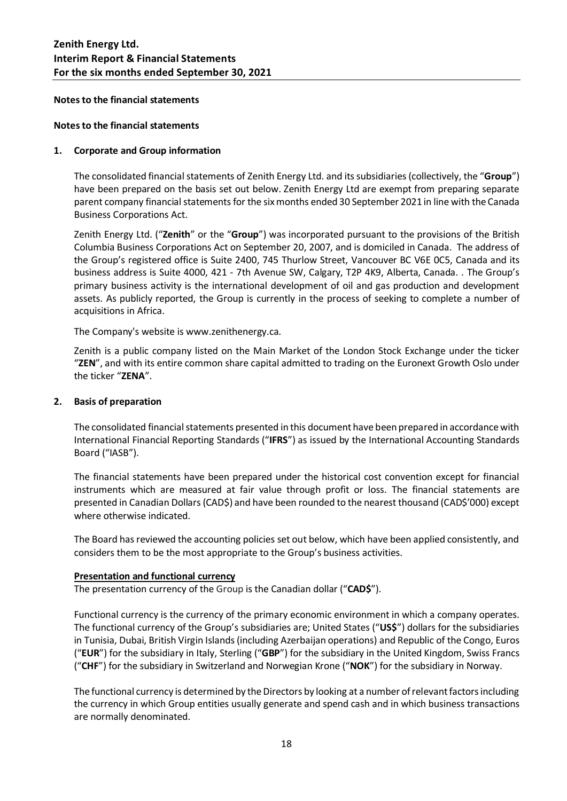**Notes to the financial statements**

#### **Notes to the financial statements**

### **1. Corporate and Group information**

The consolidated financial statements of Zenith Energy Ltd. and its subsidiaries (collectively, the "**Group**") have been prepared on the basis set out below. Zenith Energy Ltd are exempt from preparing separate parent company financial statements for the six months ended 30 September 2021 in line with the Canada Business Corporations Act.

Zenith Energy Ltd. ("**Zenith**" or the "**Group**") was incorporated pursuant to the provisions of the British Columbia Business Corporations Act on September 20, 2007, and is domiciled in Canada. The address of the Group's registered office is Suite 2400, 745 Thurlow Street, Vancouver BC V6E 0C5, Canada and its business address is Suite 4000, 421 - 7th Avenue SW, Calgary, T2P 4K9, Alberta, Canada. . The Group's primary business activity is the international development of oil and gas production and development assets. As publicly reported, the Group is currently in the process of seeking to complete a number of acquisitions in Africa.

The Company's website is www.zenithenergy.ca.

Zenith is a public company listed on the Main Market of the London Stock Exchange under the ticker "**ZEN**", and with its entire common share capital admitted to trading on the Euronext Growth Oslo under the ticker "**ZENA**".

#### **2. Basis of preparation**

The consolidated financial statements presented in this document have been prepared in accordance with International Financial Reporting Standards ("**IFRS**") as issued by the International Accounting Standards Board ("IASB").

The financial statements have been prepared under the historical cost convention except for financial instruments which are measured at fair value through profit or loss. The financial statements are presented in Canadian Dollars (CAD\$) and have been rounded to the nearest thousand (CAD\$'000) except where otherwise indicated.

The Board has reviewed the accounting policies set out below, which have been applied consistently, and considers them to be the most appropriate to the Group's business activities.

### **Presentation and functional currency**

The presentation currency of the Group is the Canadian dollar ("**CAD\$**").

Functional currency is the currency of the primary economic environment in which a company operates. The functional currency of the Group's subsidiaries are; United States ("**US\$**") dollars for the subsidiaries in Tunisia, Dubai, British Virgin Islands(including Azerbaijan operations) and Republic of the Congo, Euros ("**EUR**") for the subsidiary in Italy, Sterling ("**GBP**") for the subsidiary in the United Kingdom, Swiss Francs ("**CHF**") for the subsidiary in Switzerland and Norwegian Krone ("**NOK**") for the subsidiary in Norway.

The functional currency is determined by the Directors by looking at a number of relevant factors including the currency in which Group entities usually generate and spend cash and in which business transactions are normally denominated.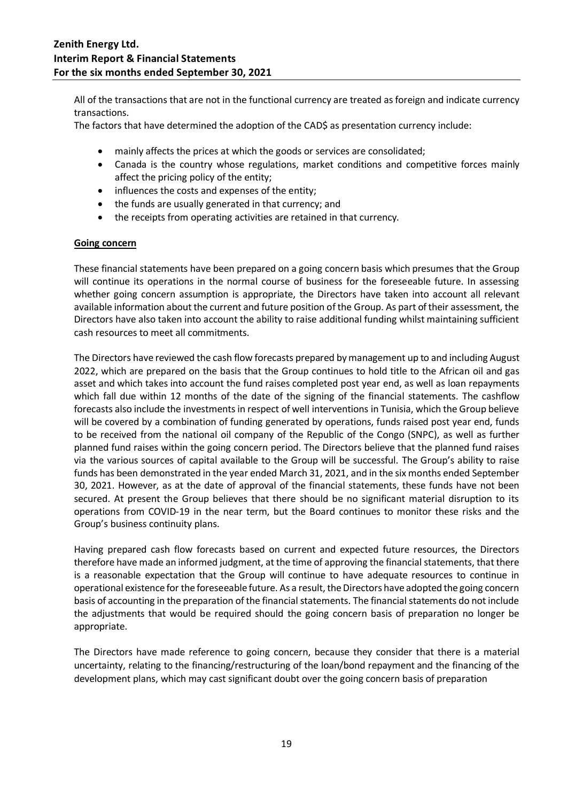All of the transactions that are not in the functional currency are treated as foreign and indicate currency transactions.

The factors that have determined the adoption of the CAD\$ as presentation currency include:

- mainly affects the prices at which the goods or services are consolidated;
- Canada is the country whose regulations, market conditions and competitive forces mainly affect the pricing policy of the entity;
- influences the costs and expenses of the entity;
- the funds are usually generated in that currency; and
- the receipts from operating activities are retained in that currency.

### **Going concern**

These financial statements have been prepared on a going concern basis which presumes that the Group will continue its operations in the normal course of business for the foreseeable future. In assessing whether going concern assumption is appropriate, the Directors have taken into account all relevant available information about the current and future position of the Group. As part of their assessment, the Directors have also taken into account the ability to raise additional funding whilst maintaining sufficient cash resources to meet all commitments.

The Directors have reviewed the cash flow forecasts prepared by management up to and including August 2022, which are prepared on the basis that the Group continues to hold title to the African oil and gas asset and which takes into account the fund raises completed post year end, as well as loan repayments which fall due within 12 months of the date of the signing of the financial statements. The cashflow forecasts also include the investments in respect of well interventions in Tunisia, which the Group believe will be covered by a combination of funding generated by operations, funds raised post year end, funds to be received from the national oil company of the Republic of the Congo (SNPC), as well as further planned fund raises within the going concern period. The Directors believe that the planned fund raises via the various sources of capital available to the Group will be successful. The Group's ability to raise funds has been demonstrated in the year ended March 31, 2021, and in the six months ended September 30, 2021. However, as at the date of approval of the financial statements, these funds have not been secured. At present the Group believes that there should be no significant material disruption to its operations from COVID-19 in the near term, but the Board continues to monitor these risks and the Group's business continuity plans.

Having prepared cash flow forecasts based on current and expected future resources, the Directors therefore have made an informed judgment, at the time of approving the financial statements, that there is a reasonable expectation that the Group will continue to have adequate resources to continue in operational existence for the foreseeable future. As a result, the Directors have adopted the going concern basis of accounting in the preparation of the financial statements. The financial statements do not include the adjustments that would be required should the going concern basis of preparation no longer be appropriate.

The Directors have made reference to going concern, because they consider that there is a material uncertainty, relating to the financing/restructuring of the loan/bond repayment and the financing of the development plans, which may cast significant doubt over the going concern basis of preparation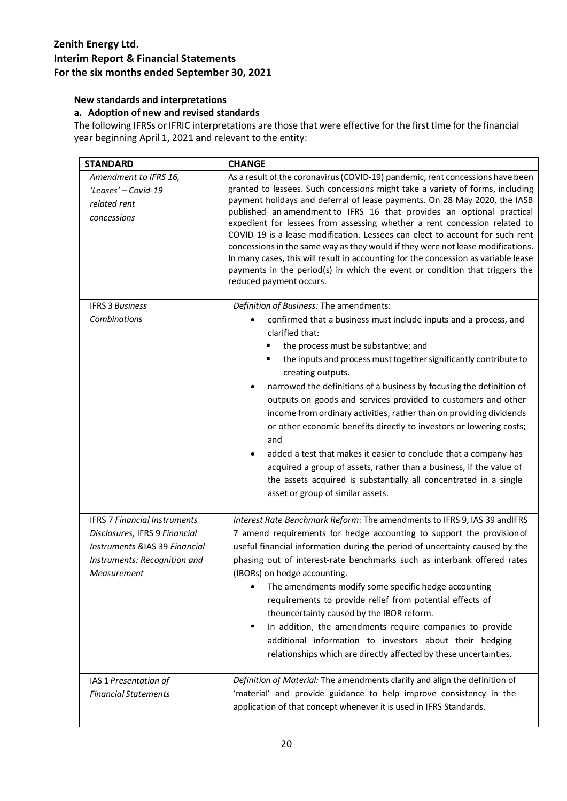### **New standards and interpretations**

### **a. Adoption of new and revised standards**

The following IFRSs or IFRIC interpretations are those that were effective for the first time for the financial year beginning April 1, 2021 and relevant to the entity:

| <b>STANDARD</b>                                                                                                                                      | <b>CHANGE</b>                                                                                                                                                                                                                                                                                                                                                                                                                                                                                                                                                                                                                                                                                                                                                                     |
|------------------------------------------------------------------------------------------------------------------------------------------------------|-----------------------------------------------------------------------------------------------------------------------------------------------------------------------------------------------------------------------------------------------------------------------------------------------------------------------------------------------------------------------------------------------------------------------------------------------------------------------------------------------------------------------------------------------------------------------------------------------------------------------------------------------------------------------------------------------------------------------------------------------------------------------------------|
| Amendment to IFRS 16,<br>'Leases' - Covid-19<br>related rent<br>concessions                                                                          | As a result of the coronavirus (COVID-19) pandemic, rent concessions have been<br>granted to lessees. Such concessions might take a variety of forms, including<br>payment holidays and deferral of lease payments. On 28 May 2020, the IASB<br>published an amendment to IFRS 16 that provides an optional practical<br>expedient for lessees from assessing whether a rent concession related to<br>COVID-19 is a lease modification. Lessees can elect to account for such rent<br>concessions in the same way as they would if they were not lease modifications.<br>In many cases, this will result in accounting for the concession as variable lease<br>payments in the period(s) in which the event or condition that triggers the<br>reduced payment occurs.             |
| <b>IFRS 3 Business</b>                                                                                                                               | Definition of Business: The amendments:                                                                                                                                                                                                                                                                                                                                                                                                                                                                                                                                                                                                                                                                                                                                           |
| Combinations                                                                                                                                         | confirmed that a business must include inputs and a process, and<br>٠<br>clarified that:<br>the process must be substantive; and<br>the inputs and process must together significantly contribute to<br>creating outputs.<br>narrowed the definitions of a business by focusing the definition of<br>outputs on goods and services provided to customers and other<br>income from ordinary activities, rather than on providing dividends<br>or other economic benefits directly to investors or lowering costs;<br>and<br>added a test that makes it easier to conclude that a company has<br>٠<br>acquired a group of assets, rather than a business, if the value of<br>the assets acquired is substantially all concentrated in a single<br>asset or group of similar assets. |
| <b>IFRS 7 Financial Instruments</b><br>Disclosures, IFRS 9 Financial<br>Instruments &IAS 39 Financial<br>Instruments: Recognition and<br>Measurement | Interest Rate Benchmark Reform: The amendments to IFRS 9, IAS 39 and IFRS<br>7 amend requirements for hedge accounting to support the provision of<br>useful financial information during the period of uncertainty caused by the<br>phasing out of interest-rate benchmarks such as interbank offered rates<br>(IBORs) on hedge accounting.<br>The amendments modify some specific hedge accounting<br>requirements to provide relief from potential effects of<br>theuncertainty caused by the IBOR reform.<br>In addition, the amendments require companies to provide<br>п<br>additional information to investors about their hedging<br>relationships which are directly affected by these uncertainties.                                                                    |
| IAS 1 Presentation of<br><b>Financial Statements</b>                                                                                                 | Definition of Material: The amendments clarify and align the definition of<br>'material' and provide guidance to help improve consistency in the<br>application of that concept whenever it is used in IFRS Standards.                                                                                                                                                                                                                                                                                                                                                                                                                                                                                                                                                            |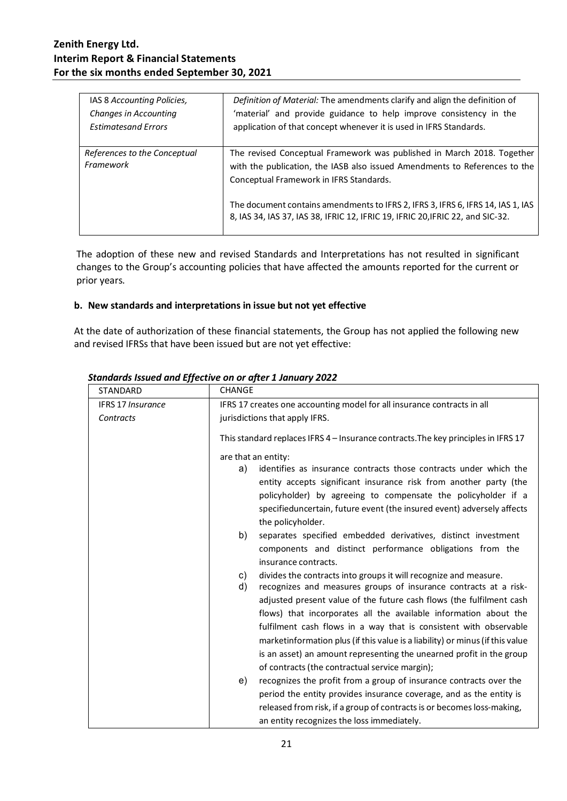| IAS 8 Accounting Policies,   | Definition of Material: The amendments clarify and align the definition of                                                                                        |
|------------------------------|-------------------------------------------------------------------------------------------------------------------------------------------------------------------|
| <b>Changes in Accounting</b> | 'material' and provide guidance to help improve consistency in the                                                                                                |
| <b>Estimatesand Errors</b>   | application of that concept whenever it is used in IFRS Standards.                                                                                                |
| References to the Conceptual | The revised Conceptual Framework was published in March 2018. Together                                                                                            |
| Framework                    | with the publication, the IASB also issued Amendments to References to the                                                                                        |
|                              | Conceptual Framework in IFRS Standards.                                                                                                                           |
|                              | The document contains amendments to IFRS 2, IFRS 3, IFRS 6, IFRS 14, IAS 1, IAS<br>8, IAS 34, IAS 37, IAS 38, IFRIC 12, IFRIC 19, IFRIC 20, IFRIC 22, and SIC-32. |

The adoption of these new and revised Standards and Interpretations has not resulted in significant changes to the Group's accounting policies that have affected the amounts reported for the current or prior years.

### **b. New standards and interpretations in issue but not yet effective**

At the date of authorization of these financial statements, the Group has not applied the following new and revised IFRSs that have been issued but are not yet effective:

| <b>STANDARD</b>   | <b>CHANGE</b>                                                                                                                                                                                                                                                                                                                                                                                                                                                                                                                                                                |
|-------------------|------------------------------------------------------------------------------------------------------------------------------------------------------------------------------------------------------------------------------------------------------------------------------------------------------------------------------------------------------------------------------------------------------------------------------------------------------------------------------------------------------------------------------------------------------------------------------|
| IFRS 17 Insurance | IFRS 17 creates one accounting model for all insurance contracts in all                                                                                                                                                                                                                                                                                                                                                                                                                                                                                                      |
| Contracts         | jurisdictions that apply IFRS.                                                                                                                                                                                                                                                                                                                                                                                                                                                                                                                                               |
|                   | This standard replaces IFRS 4 – Insurance contracts. The key principles in IFRS 17                                                                                                                                                                                                                                                                                                                                                                                                                                                                                           |
|                   | are that an entity:                                                                                                                                                                                                                                                                                                                                                                                                                                                                                                                                                          |
|                   | identifies as insurance contracts those contracts under which the<br>a)<br>entity accepts significant insurance risk from another party (the<br>policyholder) by agreeing to compensate the policyholder if a<br>specifieduncertain, future event (the insured event) adversely affects<br>the policyholder.                                                                                                                                                                                                                                                                 |
|                   | b)<br>separates specified embedded derivatives, distinct investment<br>components and distinct performance obligations from the<br>insurance contracts.                                                                                                                                                                                                                                                                                                                                                                                                                      |
|                   | divides the contracts into groups it will recognize and measure.<br>C)<br>d)<br>recognizes and measures groups of insurance contracts at a risk-<br>adjusted present value of the future cash flows (the fulfilment cash<br>flows) that incorporates all the available information about the<br>fulfilment cash flows in a way that is consistent with observable<br>marketinformation plus (if this value is a liability) or minus (if this value<br>is an asset) an amount representing the unearned profit in the group<br>of contracts (the contractual service margin); |
|                   | recognizes the profit from a group of insurance contracts over the<br>e)<br>period the entity provides insurance coverage, and as the entity is<br>released from risk, if a group of contracts is or becomes loss-making,<br>an entity recognizes the loss immediately.                                                                                                                                                                                                                                                                                                      |

### *Standards Issued and Effective on or after 1 January 2022*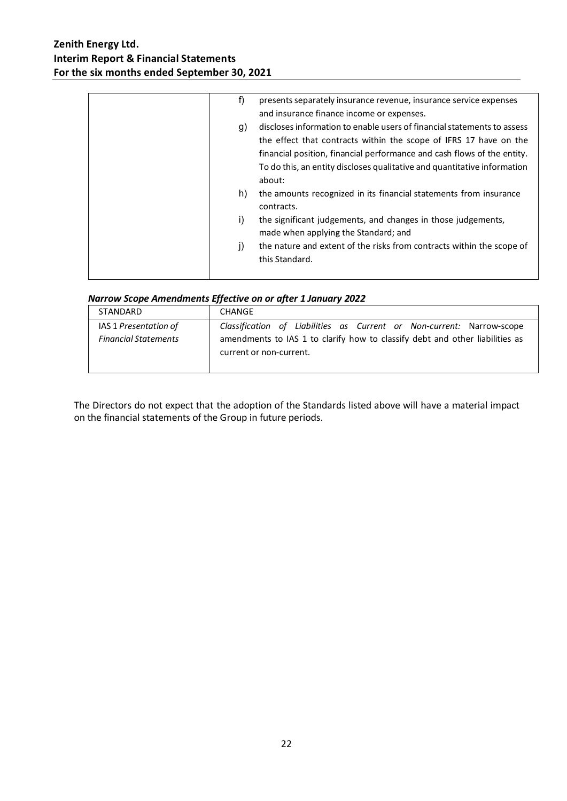| f)<br>presents separately insurance revenue, insurance service expenses<br>and insurance finance income or expenses.                                                                                                                                                                                                |
|---------------------------------------------------------------------------------------------------------------------------------------------------------------------------------------------------------------------------------------------------------------------------------------------------------------------|
| discloses information to enable users of financial statements to assess<br>g)<br>the effect that contracts within the scope of IFRS 17 have on the<br>financial position, financial performance and cash flows of the entity.<br>To do this, an entity discloses qualitative and quantitative information<br>about: |
| h)<br>the amounts recognized in its financial statements from insurance<br>contracts.                                                                                                                                                                                                                               |
| the significant judgements, and changes in those judgements,<br>i)<br>made when applying the Standard; and                                                                                                                                                                                                          |
| the nature and extent of the risks from contracts within the scope of<br>j)<br>this Standard.                                                                                                                                                                                                                       |

### *Narrow Scope Amendments Effective on or after 1 January 2022*

|                                                      | ---                                                                                                                                                                              |
|------------------------------------------------------|----------------------------------------------------------------------------------------------------------------------------------------------------------------------------------|
| <b>STANDARD</b>                                      | CHANGE                                                                                                                                                                           |
| IAS 1 Presentation of<br><b>Financial Statements</b> | Classification of Liabilities as Current or Non-current: Narrow-scope<br>amendments to IAS 1 to clarify how to classify debt and other liabilities as<br>current or non-current. |

The Directors do not expect that the adoption of the Standards listed above will have a material impact on the financial statements of the Group in future periods.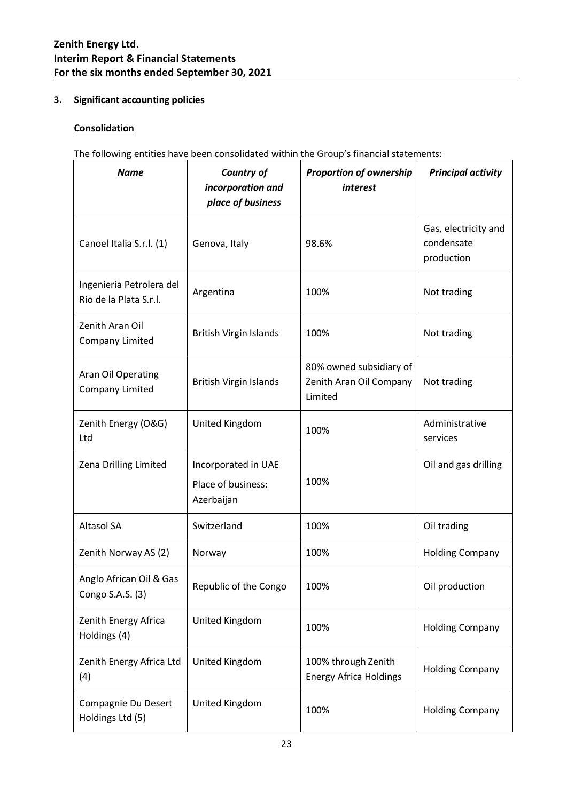### **3. Significant accounting policies**

### **Consolidation**

The following entities have been consolidated within the Group's financial statements:

| <b>Name</b>                                        | Country of<br>incorporation and<br>place of business    | <b>Proportion of ownership</b><br>interest                    | <b>Principal activity</b>                        |
|----------------------------------------------------|---------------------------------------------------------|---------------------------------------------------------------|--------------------------------------------------|
| Canoel Italia S.r.l. (1)                           | Genova, Italy                                           | 98.6%                                                         | Gas, electricity and<br>condensate<br>production |
| Ingenieria Petrolera del<br>Rio de la Plata S.r.l. | Argentina                                               | 100%                                                          | Not trading                                      |
| Zenith Aran Oil<br><b>Company Limited</b>          | <b>British Virgin Islands</b>                           | 100%                                                          | Not trading                                      |
| Aran Oil Operating<br>Company Limited              | <b>British Virgin Islands</b>                           | 80% owned subsidiary of<br>Zenith Aran Oil Company<br>Limited | Not trading                                      |
| Zenith Energy (O&G)<br>Ltd                         | United Kingdom                                          | 100%                                                          | Administrative<br>services                       |
| Zena Drilling Limited                              | Incorporated in UAE<br>Place of business:<br>Azerbaijan | 100%                                                          | Oil and gas drilling                             |
| <b>Altasol SA</b>                                  | Switzerland                                             | 100%                                                          | Oil trading                                      |
| Zenith Norway AS (2)                               | Norway                                                  | 100%                                                          | <b>Holding Company</b>                           |
| Anglo African Oil & Gas<br>Congo S.A.S. (3)        | Republic of the Congo                                   | 100%                                                          | Oil production                                   |
| Zenith Energy Africa<br>Holdings (4)               | United Kingdom                                          | 100%                                                          | <b>Holding Company</b>                           |
| Zenith Energy Africa Ltd<br>(4)                    | United Kingdom                                          | 100% through Zenith<br><b>Energy Africa Holdings</b>          | <b>Holding Company</b>                           |
| Compagnie Du Desert<br>Holdings Ltd (5)            | United Kingdom                                          | 100%                                                          | <b>Holding Company</b>                           |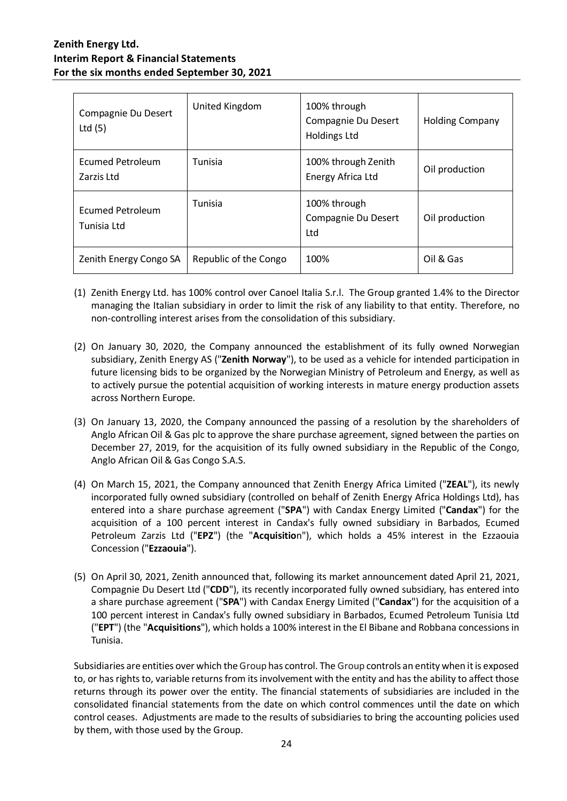| Compagnie Du Desert<br>Ltd $(5)$       | United Kingdom        | 100% through<br>Compagnie Du Desert<br><b>Holdings Ltd</b> | <b>Holding Company</b> |
|----------------------------------------|-----------------------|------------------------------------------------------------|------------------------|
| Ecumed Petroleum<br>Zarzis Ltd         | Tunisia               | 100% through Zenith<br>Energy Africa Ltd                   | Oil production         |
| <b>Ecumed Petroleum</b><br>Tunisia Ltd | Tunisia               | 100% through<br>Compagnie Du Desert<br>Ltd                 | Oil production         |
| Zenith Energy Congo SA                 | Republic of the Congo | 100%                                                       | Oil & Gas              |

- (1) Zenith Energy Ltd. has 100% control over Canoel Italia S.r.l. The Group granted 1.4% to the Director managing the Italian subsidiary in order to limit the risk of any liability to that entity. Therefore, no non-controlling interest arises from the consolidation of this subsidiary.
- (2) On January 30, 2020, the Company announced the establishment of its fully owned Norwegian subsidiary, Zenith Energy AS ("**Zenith Norway**"), to be used as a vehicle for intended participation in future licensing bids to be organized by the Norwegian Ministry of Petroleum and Energy, as well as to actively pursue the potential acquisition of working interests in mature energy production assets across Northern Europe.
- (3) On January 13, 2020, the Company announced the passing of a resolution by the shareholders of Anglo African Oil & Gas plc to approve the share purchase agreement, signed between the parties on December 27, 2019, for the acquisition of its fully owned subsidiary in the Republic of the Congo, Anglo African Oil & Gas Congo S.A.S.
- (4) On March 15, 2021, the Company announced that Zenith Energy Africa Limited ("**ZEAL**"), its newly incorporated fully owned subsidiary (controlled on behalf of Zenith Energy Africa Holdings Ltd), has entered into a share purchase agreement ("**SPA**") with Candax Energy Limited ("**Candax**") for the acquisition of a 100 percent interest in Candax's fully owned subsidiary in Barbados, Ecumed Petroleum Zarzis Ltd ("**EPZ**") (the "**Acquisitio**n"), which holds a 45% interest in the Ezzaouia Concession ("**Ezzaouia**").
- (5) On April 30, 2021, Zenith announced that, following its market announcement dated April 21, 2021, Compagnie Du Desert Ltd ("**CDD**"), its recently incorporated fully owned subsidiary, has entered into a share purchase agreement ("**SPA**") with Candax Energy Limited ("**Candax**") for the acquisition of a 100 percent interest in Candax's fully owned subsidiary in Barbados, Ecumed Petroleum Tunisia Ltd ("**EPT**") (the "**Acquisitions**"), which holds a 100% interest in the El Bibane and Robbana concessions in Tunisia.

Subsidiaries are entities over which the Group has control. The Group controls an entity when it is exposed to, or has rights to, variable returns from its involvement with the entity and has the ability to affect those returns through its power over the entity. The financial statements of subsidiaries are included in the consolidated financial statements from the date on which control commences until the date on which control ceases. Adjustments are made to the results of subsidiaries to bring the accounting policies used by them, with those used by the Group.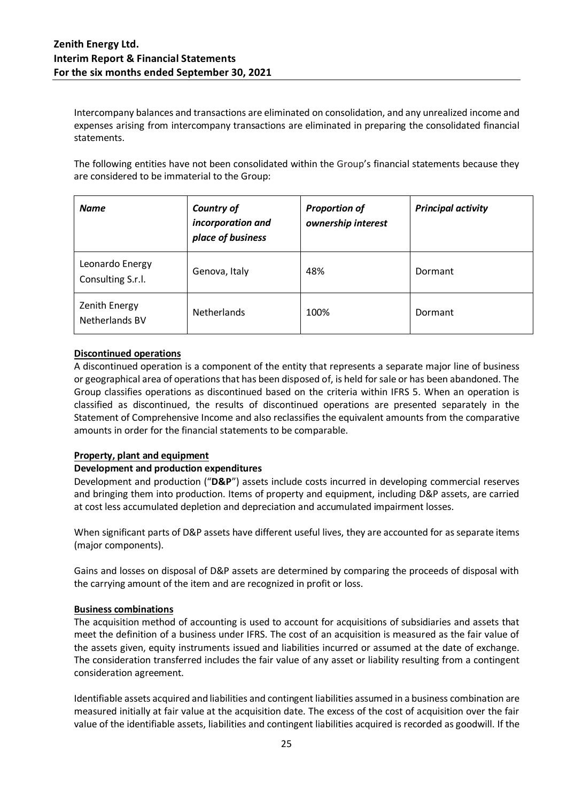Intercompany balances and transactions are eliminated on consolidation, and any unrealized income and expenses arising from intercompany transactions are eliminated in preparing the consolidated financial statements.

The following entities have not been consolidated within the Group's financial statements because they are considered to be immaterial to the Group:

| <b>Name</b>                            | <b>Country of</b><br>incorporation and<br>place of business | <b>Proportion of</b><br>ownership interest | <b>Principal activity</b> |
|----------------------------------------|-------------------------------------------------------------|--------------------------------------------|---------------------------|
| Leonardo Energy<br>Consulting S.r.l.   | Genova, Italy                                               | 48%                                        | Dormant                   |
| <b>Zenith Energy</b><br>Netherlands BV | <b>Netherlands</b>                                          | 100%                                       | Dormant                   |

### **Discontinued operations**

A discontinued operation is a component of the entity that represents a separate major line of business or geographical area of operations that has been disposed of, is held for sale or has been abandoned. The Group classifies operations as discontinued based on the criteria within IFRS 5. When an operation is classified as discontinued, the results of discontinued operations are presented separately in the Statement of Comprehensive Income and also reclassifies the equivalent amounts from the comparative amounts in order for the financial statements to be comparable.

### **Property, plant and equipment**

### **Development and production expenditures**

Development and production ("**D&P**") assets include costs incurred in developing commercial reserves and bringing them into production. Items of property and equipment, including D&P assets, are carried at cost less accumulated depletion and depreciation and accumulated impairment losses.

When significant parts of D&P assets have different useful lives, they are accounted for as separate items (major components).

Gains and losses on disposal of D&P assets are determined by comparing the proceeds of disposal with the carrying amount of the item and are recognized in profit or loss.

### **Business combinations**

The acquisition method of accounting is used to account for acquisitions of subsidiaries and assets that meet the definition of a business under IFRS. The cost of an acquisition is measured as the fair value of the assets given, equity instruments issued and liabilities incurred or assumed at the date of exchange. The consideration transferred includes the fair value of any asset or liability resulting from a contingent consideration agreement.

Identifiable assets acquired and liabilities and contingent liabilities assumed in a business combination are measured initially at fair value at the acquisition date. The excess of the cost of acquisition over the fair value of the identifiable assets, liabilities and contingent liabilities acquired is recorded as goodwill. If the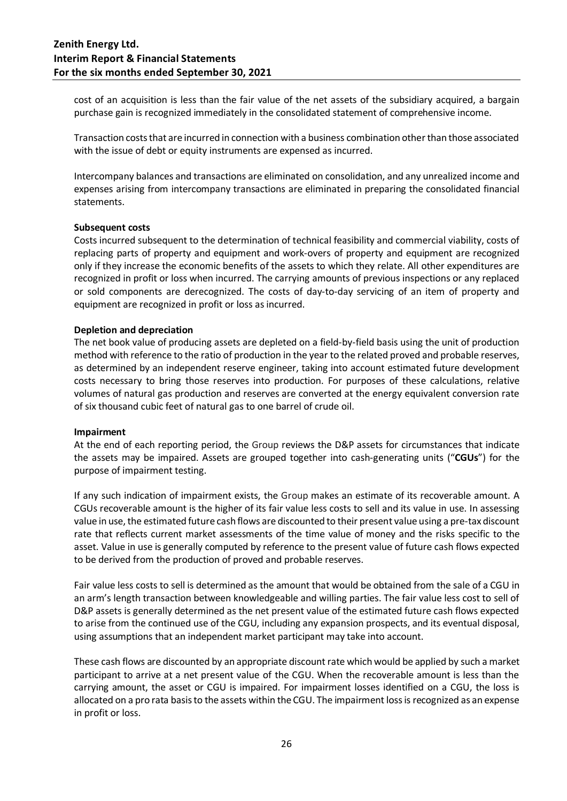cost of an acquisition is less than the fair value of the net assets of the subsidiary acquired, a bargain purchase gain is recognized immediately in the consolidated statement of comprehensive income.

Transaction costs that are incurred in connection with a business combination other than those associated with the issue of debt or equity instruments are expensed as incurred.

Intercompany balances and transactions are eliminated on consolidation, and any unrealized income and expenses arising from intercompany transactions are eliminated in preparing the consolidated financial statements.

#### **Subsequent costs**

Costs incurred subsequent to the determination of technical feasibility and commercial viability, costs of replacing parts of property and equipment and work-overs of property and equipment are recognized only if they increase the economic benefits of the assets to which they relate. All other expenditures are recognized in profit or loss when incurred. The carrying amounts of previous inspections or any replaced or sold components are derecognized. The costs of day-to-day servicing of an item of property and equipment are recognized in profit or loss as incurred.

#### **Depletion and depreciation**

The net book value of producing assets are depleted on a field-by-field basis using the unit of production method with reference to the ratio of production in the year to the related proved and probable reserves, as determined by an independent reserve engineer, taking into account estimated future development costs necessary to bring those reserves into production. For purposes of these calculations, relative volumes of natural gas production and reserves are converted at the energy equivalent conversion rate of six thousand cubic feet of natural gas to one barrel of crude oil.

#### **Impairment**

At the end of each reporting period, the Group reviews the D&P assets for circumstances that indicate the assets may be impaired. Assets are grouped together into cash-generating units ("**CGUs**") for the purpose of impairment testing.

If any such indication of impairment exists, the Group makes an estimate of its recoverable amount. A CGUs recoverable amount is the higher of its fair value less costs to sell and its value in use. In assessing value in use, the estimated future cash flows are discounted to their present value using a pre-tax discount rate that reflects current market assessments of the time value of money and the risks specific to the asset. Value in use is generally computed by reference to the present value of future cash flows expected to be derived from the production of proved and probable reserves.

Fair value less costs to sell is determined as the amount that would be obtained from the sale of a CGU in an arm's length transaction between knowledgeable and willing parties. The fair value less cost to sell of D&P assets is generally determined as the net present value of the estimated future cash flows expected to arise from the continued use of the CGU, including any expansion prospects, and its eventual disposal, using assumptions that an independent market participant may take into account.

These cash flows are discounted by an appropriate discount rate which would be applied by such a market participant to arrive at a net present value of the CGU. When the recoverable amount is less than the carrying amount, the asset or CGU is impaired. For impairment losses identified on a CGU, the loss is allocated on a pro rata basis to the assets within the CGU. The impairment loss is recognized as an expense in profit or loss.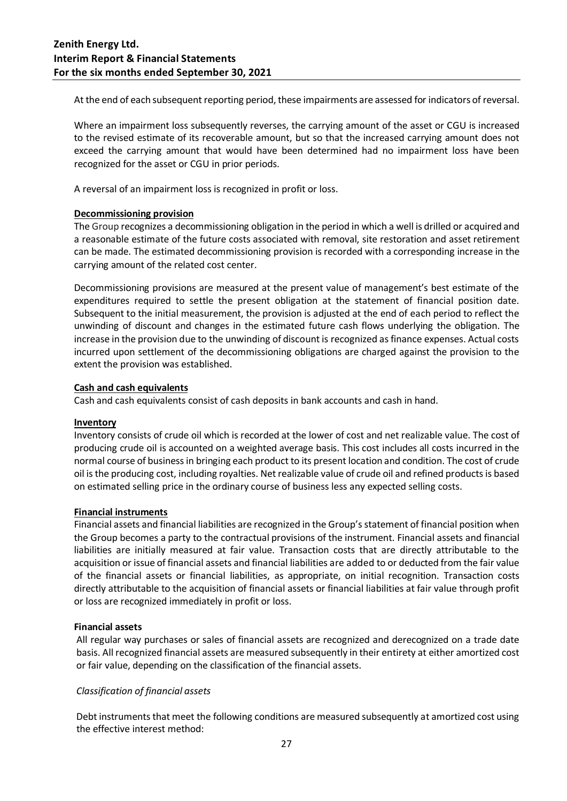At the end of each subsequent reporting period, these impairments are assessed for indicators of reversal.

Where an impairment loss subsequently reverses, the carrying amount of the asset or CGU is increased to the revised estimate of its recoverable amount, but so that the increased carrying amount does not exceed the carrying amount that would have been determined had no impairment loss have been recognized for the asset or CGU in prior periods.

A reversal of an impairment loss is recognized in profit or loss.

### **Decommissioning provision**

The Group recognizes a decommissioning obligation in the period in which a well is drilled or acquired and a reasonable estimate of the future costs associated with removal, site restoration and asset retirement can be made. The estimated decommissioning provision is recorded with a corresponding increase in the carrying amount of the related cost center.

Decommissioning provisions are measured at the present value of management's best estimate of the expenditures required to settle the present obligation at the statement of financial position date. Subsequent to the initial measurement, the provision is adjusted at the end of each period to reflect the unwinding of discount and changes in the estimated future cash flows underlying the obligation. The increase in the provision due to the unwinding of discount is recognized as finance expenses. Actual costs incurred upon settlement of the decommissioning obligations are charged against the provision to the extent the provision was established.

### **Cash and cash equivalents**

Cash and cash equivalents consist of cash deposits in bank accounts and cash in hand.

### **Inventory**

Inventory consists of crude oil which is recorded at the lower of cost and net realizable value. The cost of producing crude oil is accounted on a weighted average basis. This cost includes all costs incurred in the normal course of business in bringing each product to its present location and condition. The cost of crude oil is the producing cost, including royalties. Net realizable value of crude oil and refined products is based on estimated selling price in the ordinary course of business less any expected selling costs.

### **Financial instruments**

Financial assets and financial liabilities are recognized in the Group'sstatement of financial position when the Group becomes a party to the contractual provisions of the instrument. Financial assets and financial liabilities are initially measured at fair value. Transaction costs that are directly attributable to the acquisition or issue of financial assets and financial liabilities are added to or deducted from the fair value of the financial assets or financial liabilities, as appropriate, on initial recognition. Transaction costs directly attributable to the acquisition of financial assets or financial liabilities at fair value through profit or loss are recognized immediately in profit or loss.

### **Financial assets**

All regular way purchases or sales of financial assets are recognized and derecognized on a trade date basis. All recognized financial assets are measured subsequently in their entirety at either amortized cost or fair value, depending on the classification of the financial assets.

### *Classification of financial assets*

Debt instruments that meet the following conditions are measured subsequently at amortized cost using the effective interest method: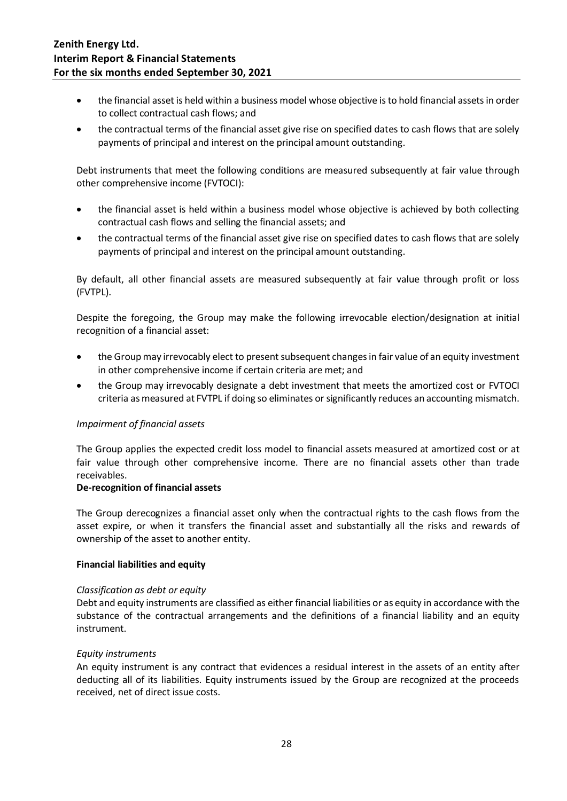- the financial asset is held within a business model whose objective is to hold financial assets in order to collect contractual cash flows; and
- the contractual terms of the financial asset give rise on specified dates to cash flows that are solely payments of principal and interest on the principal amount outstanding.

Debt instruments that meet the following conditions are measured subsequently at fair value through other comprehensive income (FVTOCI):

- the financial asset is held within a business model whose objective is achieved by both collecting contractual cash flows and selling the financial assets; and
- the contractual terms of the financial asset give rise on specified dates to cash flows that are solely payments of principal and interest on the principal amount outstanding.

By default, all other financial assets are measured subsequently at fair value through profit or loss (FVTPL).

Despite the foregoing, the Group may make the following irrevocable election/designation at initial recognition of a financial asset:

- the Groupmay irrevocably elect to present subsequent changes in fair value of an equity investment in other comprehensive income if certain criteria are met; and
- the Group may irrevocably designate a debt investment that meets the amortized cost or FVTOCI criteria as measured at FVTPL if doing so eliminates or significantly reduces an accounting mismatch.

### *Impairment of financial assets*

The Group applies the expected credit loss model to financial assets measured at amortized cost or at fair value through other comprehensive income. There are no financial assets other than trade receivables.

### **De-recognition of financial assets**

The Group derecognizes a financial asset only when the contractual rights to the cash flows from the asset expire, or when it transfers the financial asset and substantially all the risks and rewards of ownership of the asset to another entity.

### **Financial liabilities and equity**

### *Classification as debt or equity*

Debt and equity instruments are classified as either financial liabilities or as equity in accordance with the substance of the contractual arrangements and the definitions of a financial liability and an equity instrument.

### *Equity instruments*

An equity instrument is any contract that evidences a residual interest in the assets of an entity after deducting all of its liabilities. Equity instruments issued by the Group are recognized at the proceeds received, net of direct issue costs.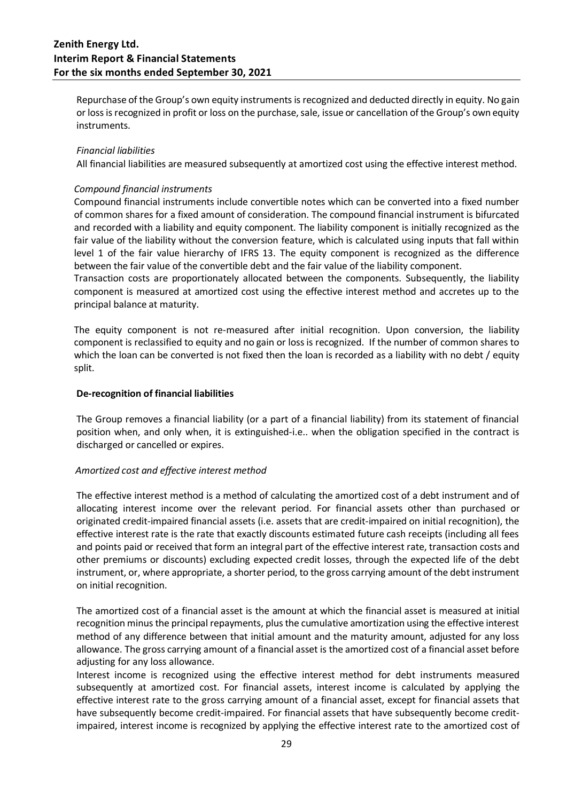Repurchase of the Group's own equity instruments is recognized and deducted directly in equity. No gain or loss is recognized in profit or loss on the purchase, sale, issue or cancellation of the Group's own equity instruments.

### *Financial liabilities*

All financial liabilities are measured subsequently at amortized cost using the effective interest method.

#### *Compound financial instruments*

Compound financial instruments include convertible notes which can be converted into a fixed number of common shares for a fixed amount of consideration. The compound financial instrument is bifurcated and recorded with a liability and equity component. The liability component is initially recognized as the fair value of the liability without the conversion feature, which is calculated using inputs that fall within level 1 of the fair value hierarchy of IFRS 13. The equity component is recognized as the difference between the fair value of the convertible debt and the fair value of the liability component.

Transaction costs are proportionately allocated between the components. Subsequently, the liability component is measured at amortized cost using the effective interest method and accretes up to the principal balance at maturity.

The equity component is not re-measured after initial recognition. Upon conversion, the liability component is reclassified to equity and no gain or loss is recognized. If the number of common shares to which the loan can be converted is not fixed then the loan is recorded as a liability with no debt / equity split.

#### **De-recognition of financial liabilities**

The Group removes a financial liability (or a part of a financial liability) from its statement of financial position when, and only when, it is extinguished-i.e.. when the obligation specified in the contract is discharged or cancelled or expires.

### *Amortized cost and effective interest method*

The effective interest method is a method of calculating the amortized cost of a debt instrument and of allocating interest income over the relevant period. For financial assets other than purchased or originated credit-impaired financial assets (i.e. assets that are credit-impaired on initial recognition), the effective interest rate is the rate that exactly discounts estimated future cash receipts (including all fees and points paid or received that form an integral part of the effective interest rate, transaction costs and other premiums or discounts) excluding expected credit losses, through the expected life of the debt instrument, or, where appropriate, a shorter period, to the gross carrying amount of the debt instrument on initial recognition.

The amortized cost of a financial asset is the amount at which the financial asset is measured at initial recognition minus the principal repayments, plus the cumulative amortization using the effective interest method of any difference between that initial amount and the maturity amount, adjusted for any loss allowance. The gross carrying amount of a financial asset is the amortized cost of a financial asset before adjusting for any loss allowance.

Interest income is recognized using the effective interest method for debt instruments measured subsequently at amortized cost. For financial assets, interest income is calculated by applying the effective interest rate to the gross carrying amount of a financial asset, except for financial assets that have subsequently become credit-impaired. For financial assets that have subsequently become creditimpaired, interest income is recognized by applying the effective interest rate to the amortized cost of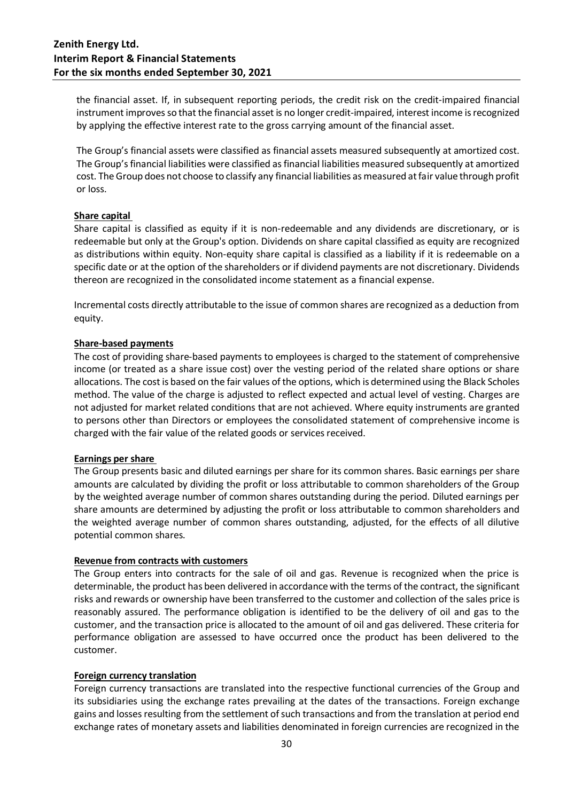the financial asset. If, in subsequent reporting periods, the credit risk on the credit-impaired financial instrument improves so that the financial asset is no longer credit-impaired, interest income is recognized by applying the effective interest rate to the gross carrying amount of the financial asset.

The Group's financial assets were classified as financial assets measured subsequently at amortized cost. The Group'sfinancial liabilities were classified as financial liabilities measured subsequently at amortized cost. The Group does not choose to classify any financial liabilities as measured at fair value through profit or loss.

### **Share capital**

Share capital is classified as equity if it is non-redeemable and any dividends are discretionary, or is redeemable but only at the Group's option. Dividends on share capital classified as equity are recognized as distributions within equity. Non-equity share capital is classified as a liability if it is redeemable on a specific date or at the option of the shareholders or if dividend payments are not discretionary. Dividends thereon are recognized in the consolidated income statement as a financial expense.

Incremental costs directly attributable to the issue of common shares are recognized as a deduction from equity.

### **Share-based payments**

The cost of providing share-based payments to employees is charged to the statement of comprehensive income (or treated as a share issue cost) over the vesting period of the related share options or share allocations. The cost is based on the fair values of the options, which is determined using the Black Scholes method. The value of the charge is adjusted to reflect expected and actual level of vesting. Charges are not adjusted for market related conditions that are not achieved. Where equity instruments are granted to persons other than Directors or employees the consolidated statement of comprehensive income is charged with the fair value of the related goods or services received.

### **Earnings per share**

The Group presents basic and diluted earnings per share for its common shares. Basic earnings per share amounts are calculated by dividing the profit or loss attributable to common shareholders of the Group by the weighted average number of common shares outstanding during the period. Diluted earnings per share amounts are determined by adjusting the profit or loss attributable to common shareholders and the weighted average number of common shares outstanding, adjusted, for the effects of all dilutive potential common shares.

### **Revenue from contracts with customers**

The Group enters into contracts for the sale of oil and gas. Revenue is recognized when the price is determinable, the product has been delivered in accordance with the terms of the contract, the significant risks and rewards or ownership have been transferred to the customer and collection of the sales price is reasonably assured. The performance obligation is identified to be the delivery of oil and gas to the customer, and the transaction price is allocated to the amount of oil and gas delivered. These criteria for performance obligation are assessed to have occurred once the product has been delivered to the customer.

### **Foreign currency translation**

Foreign currency transactions are translated into the respective functional currencies of the Group and its subsidiaries using the exchange rates prevailing at the dates of the transactions. Foreign exchange gains and losses resulting from the settlement of such transactions and from the translation at period end exchange rates of monetary assets and liabilities denominated in foreign currencies are recognized in the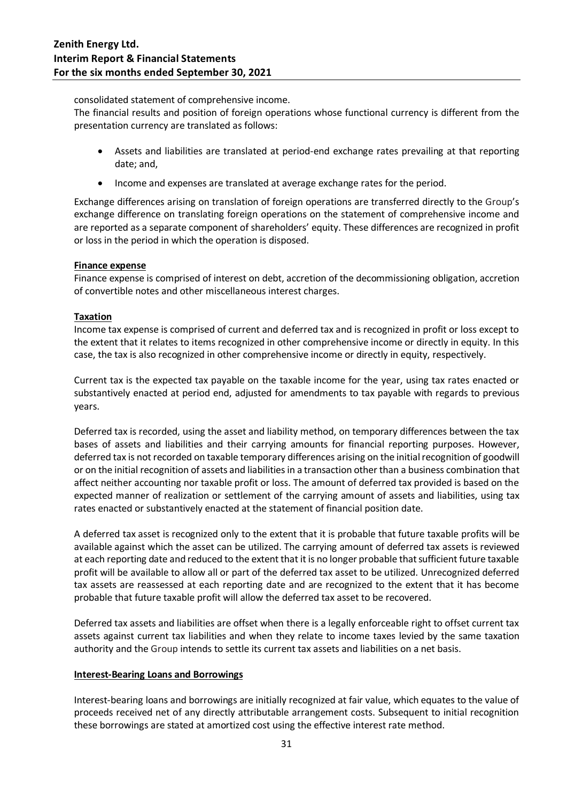consolidated statement of comprehensive income.

The financial results and position of foreign operations whose functional currency is different from the presentation currency are translated as follows:

- Assets and liabilities are translated at period-end exchange rates prevailing at that reporting date; and,
- Income and expenses are translated at average exchange rates for the period.

Exchange differences arising on translation of foreign operations are transferred directly to the Group's exchange difference on translating foreign operations on the statement of comprehensive income and are reported as a separate component of shareholders' equity. These differences are recognized in profit or loss in the period in which the operation is disposed.

### **Finance expense**

Finance expense is comprised of interest on debt, accretion of the decommissioning obligation, accretion of convertible notes and other miscellaneous interest charges.

### **Taxation**

Income tax expense is comprised of current and deferred tax and is recognized in profit or loss except to the extent that it relates to items recognized in other comprehensive income or directly in equity. In this case, the tax is also recognized in other comprehensive income or directly in equity, respectively.

Current tax is the expected tax payable on the taxable income for the year, using tax rates enacted or substantively enacted at period end, adjusted for amendments to tax payable with regards to previous years.

Deferred tax is recorded, using the asset and liability method, on temporary differences between the tax bases of assets and liabilities and their carrying amounts for financial reporting purposes. However, deferred tax is not recorded on taxable temporary differences arising on the initial recognition of goodwill or on the initial recognition of assets and liabilities in a transaction other than a business combination that affect neither accounting nor taxable profit or loss. The amount of deferred tax provided is based on the expected manner of realization or settlement of the carrying amount of assets and liabilities, using tax rates enacted or substantively enacted at the statement of financial position date.

A deferred tax asset is recognized only to the extent that it is probable that future taxable profits will be available against which the asset can be utilized. The carrying amount of deferred tax assets is reviewed at each reporting date and reduced to the extent that it is no longer probable that sufficient future taxable profit will be available to allow all or part of the deferred tax asset to be utilized. Unrecognized deferred tax assets are reassessed at each reporting date and are recognized to the extent that it has become probable that future taxable profit will allow the deferred tax asset to be recovered.

Deferred tax assets and liabilities are offset when there is a legally enforceable right to offset current tax assets against current tax liabilities and when they relate to income taxes levied by the same taxation authority and the Group intends to settle its current tax assets and liabilities on a net basis.

### **Interest-Bearing Loans and Borrowings**

Interest-bearing loans and borrowings are initially recognized at fair value, which equates to the value of proceeds received net of any directly attributable arrangement costs. Subsequent to initial recognition these borrowings are stated at amortized cost using the effective interest rate method.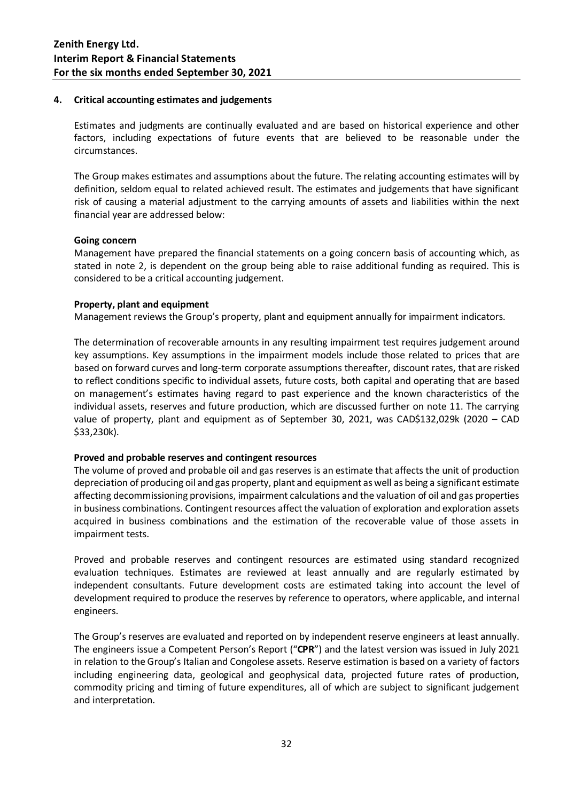#### **4. Critical accounting estimates and judgements**

Estimates and judgments are continually evaluated and are based on historical experience and other factors, including expectations of future events that are believed to be reasonable under the circumstances.

The Group makes estimates and assumptions about the future. The relating accounting estimates will by definition, seldom equal to related achieved result. The estimates and judgements that have significant risk of causing a material adjustment to the carrying amounts of assets and liabilities within the next financial year are addressed below:

#### **Going concern**

Management have prepared the financial statements on a going concern basis of accounting which, as stated in note 2, is dependent on the group being able to raise additional funding as required. This is considered to be a critical accounting judgement.

#### **Property, plant and equipment**

Management reviews the Group's property, plant and equipment annually for impairment indicators.

The determination of recoverable amounts in any resulting impairment test requires judgement around key assumptions. Key assumptions in the impairment models include those related to prices that are based on forward curves and long-term corporate assumptions thereafter, discount rates, that are risked to reflect conditions specific to individual assets, future costs, both capital and operating that are based on management's estimates having regard to past experience and the known characteristics of the individual assets, reserves and future production, which are discussed further on note 11. The carrying value of property, plant and equipment as of September 30, 2021, was CAD\$132,029k (2020 – CAD \$33,230k).

### **Proved and probable reserves and contingent resources**

The volume of proved and probable oil and gas reserves is an estimate that affects the unit of production depreciation of producing oil and gas property, plant and equipment as well as being a significant estimate affecting decommissioning provisions, impairment calculations and the valuation of oil and gas properties in business combinations. Contingent resources affect the valuation of exploration and exploration assets acquired in business combinations and the estimation of the recoverable value of those assets in impairment tests.

Proved and probable reserves and contingent resources are estimated using standard recognized evaluation techniques. Estimates are reviewed at least annually and are regularly estimated by independent consultants. Future development costs are estimated taking into account the level of development required to produce the reserves by reference to operators, where applicable, and internal engineers.

The Group's reserves are evaluated and reported on by independent reserve engineers at least annually. The engineers issue a Competent Person's Report ("**CPR**") and the latest version was issued in July 2021 in relation to the Group's Italian and Congolese assets. Reserve estimation is based on a variety of factors including engineering data, geological and geophysical data, projected future rates of production, commodity pricing and timing of future expenditures, all of which are subject to significant judgement and interpretation.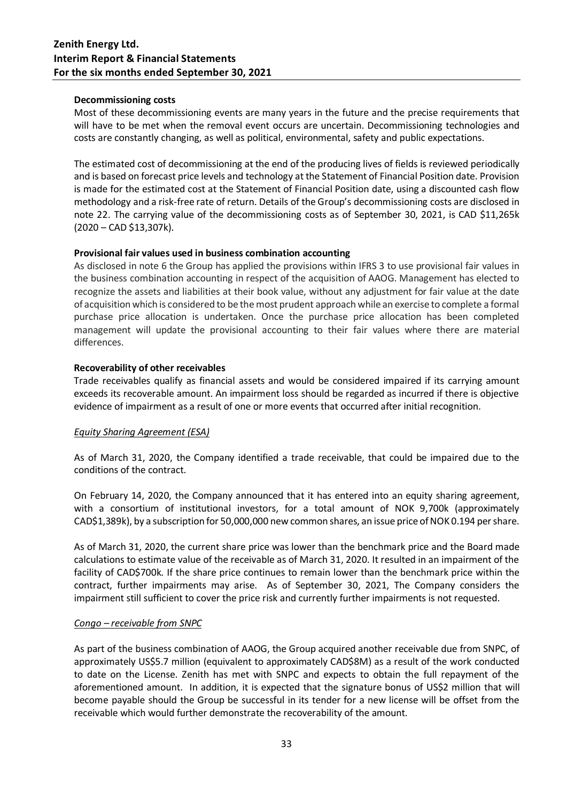### **Decommissioning costs**

Most of these decommissioning events are many years in the future and the precise requirements that will have to be met when the removal event occurs are uncertain. Decommissioning technologies and costs are constantly changing, as well as political, environmental, safety and public expectations.

The estimated cost of decommissioning at the end of the producing lives of fields is reviewed periodically and is based on forecast price levels and technology at the Statement of Financial Position date. Provision is made for the estimated cost at the Statement of Financial Position date, using a discounted cash flow methodology and a risk-free rate of return. Details of the Group's decommissioning costs are disclosed in note 22. The carrying value of the decommissioning costs as of September 30, 2021, is CAD \$11,265k (2020 – CAD \$13,307k).

### **Provisional fair values used in business combination accounting**

As disclosed in note 6 the Group has applied the provisions within IFRS 3 to use provisional fair values in the business combination accounting in respect of the acquisition of AAOG. Management has elected to recognize the assets and liabilities at their book value, without any adjustment for fair value at the date of acquisition which is considered to be themost prudent approach while an exercise to complete a formal purchase price allocation is undertaken. Once the purchase price allocation has been completed management will update the provisional accounting to their fair values where there are material differences.

### **Recoverability of other receivables**

Trade receivables qualify as financial assets and would be considered impaired if its carrying amount exceeds its recoverable amount. An impairment loss should be regarded as incurred if there is objective evidence of impairment as a result of one or more events that occurred after initial recognition.

### *Equity Sharing Agreement (ESA)*

As of March 31, 2020, the Company identified a trade receivable, that could be impaired due to the conditions of the contract.

On February 14, 2020, the Company announced that it has entered into an equity sharing agreement, with a consortium of institutional investors, for a total amount of NOK 9,700k (approximately CAD\$1,389k), by a subscription for 50,000,000 new common shares, an issue price of NOK 0.194 per share.

As of March 31, 2020, the current share price was lower than the benchmark price and the Board made calculations to estimate value of the receivable as of March 31, 2020. It resulted in an impairment of the facility of CAD\$700k. If the share price continues to remain lower than the benchmark price within the contract, further impairments may arise. As of September 30, 2021, The Company considers the impairment still sufficient to cover the price risk and currently further impairments is not requested.

### *Congo – receivable from SNPC*

As part of the business combination of AAOG, the Group acquired another receivable due from SNPC, of approximately US\$5.7 million (equivalent to approximately CAD\$8M) as a result of the work conducted to date on the License. Zenith has met with SNPC and expects to obtain the full repayment of the aforementioned amount. In addition, it is expected that the signature bonus of US\$2 million that will become payable should the Group be successful in its tender for a new license will be offset from the receivable which would further demonstrate the recoverability of the amount.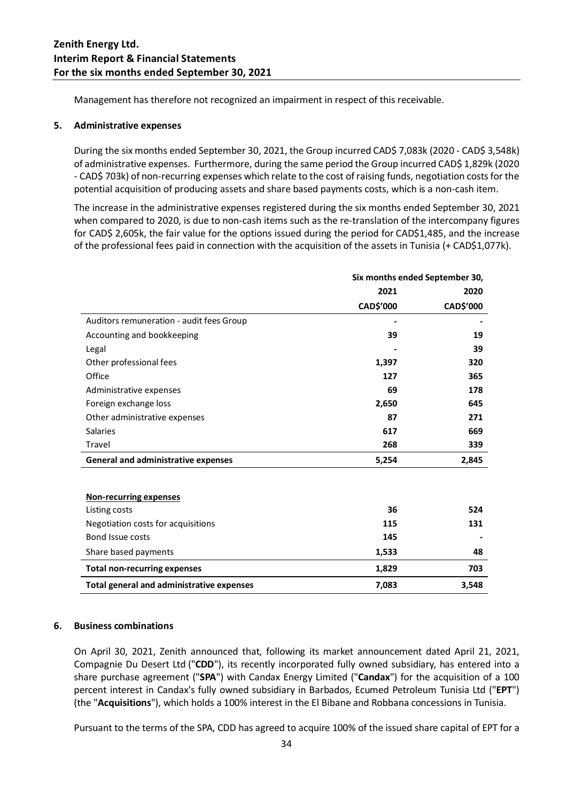Management has therefore not recognized an impairment in respect of this receivable.

### **5. Administrative expenses**

During the six months ended September 30, 2021, the Group incurred CAD\$ 7,083k (2020 - CAD\$ 3,548k) of administrative expenses. Furthermore, during the same period the Group incurred CAD\$ 1,829k (2020 - CAD\$ 703k) of non-recurring expenses which relate to the cost of raising funds, negotiation costsfor the potential acquisition of producing assets and share based payments costs, which is a non-cash item.

The increase in the administrative expenses registered during the six months ended September 30, 2021 when compared to 2020, is due to non-cash items such as the re-translation of the intercompany figures for CAD\$ 2,605k, the fair value for the options issued during the period for CAD\$1,485, and the increase of the professional fees paid in connection with the acquisition of the assets in Tunisia (+ CAD\$1,077k).

|                                            | Six months ended September 30, |           |
|--------------------------------------------|--------------------------------|-----------|
|                                            | 2021                           | 2020      |
|                                            | CAD\$'000                      | CAD\$'000 |
| Auditors remuneration - audit fees Group   |                                |           |
| Accounting and bookkeeping                 | 39                             | 19        |
| Legal                                      |                                | 39        |
| Other professional fees                    | 1,397                          | 320       |
| Office                                     | 127                            | 365       |
| Administrative expenses                    | 69                             | 178       |
| Foreign exchange loss                      | 2,650                          | 645       |
| Other administrative expenses              | 87                             | 271       |
| <b>Salaries</b>                            | 617                            | 669       |
| Travel                                     | 268                            | 339       |
| <b>General and administrative expenses</b> | 5,254                          | 2,845     |
|                                            |                                |           |
| Non-recurring expenses                     |                                |           |
| Listing costs                              | 36                             | 524       |
| Negotiation costs for acquisitions         | 115                            | 131       |
| Bond Issue costs                           | 145                            |           |
| Share based payments                       | 1,533                          | 48        |
| <b>Total non-recurring expenses</b>        | 1,829                          | 703       |
| Total general and administrative expenses  | 7,083                          | 3,548     |

#### **6. Business combinations**

On April 30, 2021, Zenith announced that, following its market announcement dated April 21, 2021, Compagnie Du Desert Ltd ("**CDD**"), its recently incorporated fully owned subsidiary, has entered into a share purchase agreement ("**SPA**") with Candax Energy Limited ("**Candax**") for the acquisition of a 100 percent interest in Candax's fully owned subsidiary in Barbados, Ecumed Petroleum Tunisia Ltd ("**EPT**") (the "**Acquisitions**"), which holds a 100% interest in the El Bibane and Robbana concessions in Tunisia.

Pursuant to the terms of the SPA, CDD has agreed to acquire 100% of the issued share capital of EPT for a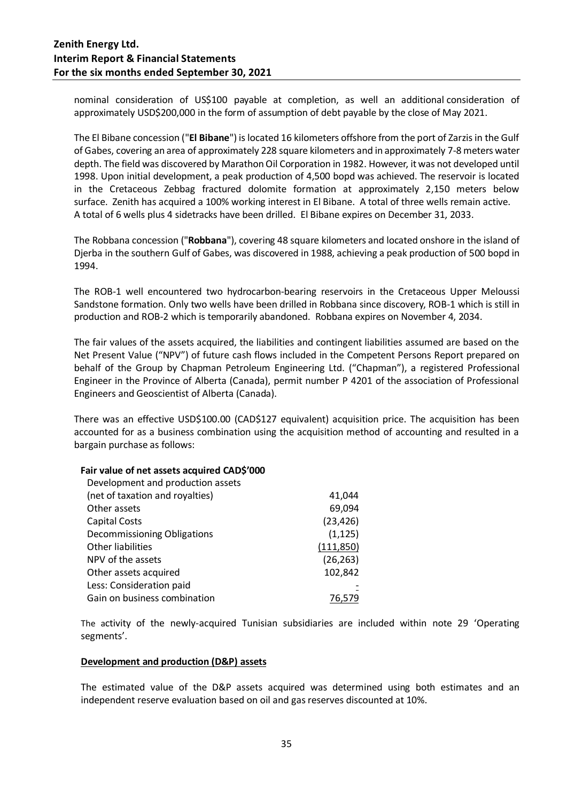nominal consideration of US\$100 payable at completion, as well an additional consideration of approximately USD\$200,000 in the form of assumption of debt payable by the close of May 2021.

The El Bibane concession ("**El Bibane**") is located 16 kilometers offshore from the port of Zarzis in the Gulf of Gabes, covering an area of approximately 228 square kilometers and in approximately 7-8 meters water depth. The field was discovered by Marathon Oil Corporation in 1982. However, it was not developed until 1998. Upon initial development, a peak production of 4,500 bopd was achieved. The reservoir is located in the Cretaceous Zebbag fractured dolomite formation at approximately 2,150 meters below surface. Zenith has acquired a 100% working interest in El Bibane. A total of three wells remain active. A total of 6 wells plus 4 sidetracks have been drilled. El Bibane expires on December 31, 2033.

The Robbana concession ("**Robbana**"), covering 48 square kilometers and located onshore in the island of Djerba in the southern Gulf of Gabes, was discovered in 1988, achieving a peak production of 500 bopd in 1994.

The ROB-1 well encountered two hydrocarbon-bearing reservoirs in the Cretaceous Upper Meloussi Sandstone formation. Only two wells have been drilled in Robbana since discovery, ROB-1 which is still in production and ROB-2 which is temporarily abandoned. Robbana expires on November 4, 2034.

The fair values of the assets acquired, the liabilities and contingent liabilities assumed are based on the Net Present Value ("NPV") of future cash flows included in the Competent Persons Report prepared on behalf of the Group by Chapman Petroleum Engineering Ltd. ("Chapman"), a registered Professional Engineer in the Province of Alberta (Canada), permit number P 4201 of the association of Professional Engineers and Geoscientist of Alberta (Canada).

There was an effective USD\$100.00 (CAD\$127 equivalent) acquisition price. The acquisition has been accounted for as a business combination using the acquisition method of accounting and resulted in a bargain purchase as follows:

### **Fair value of net assets acquired CAD\$'000**

| Development and production assets |            |
|-----------------------------------|------------|
| (net of taxation and royalties)   | 41,044     |
| Other assets                      | 69,094     |
| <b>Capital Costs</b>              | (23, 426)  |
| Decommissioning Obligations       | (1, 125)   |
| Other liabilities                 | (111, 850) |
| NPV of the assets                 | (26, 263)  |
| Other assets acquired             | 102,842    |
| Less: Consideration paid          |            |
| Gain on business combination      |            |
|                                   |            |

The activity of the newly-acquired Tunisian subsidiaries are included within note 29 'Operating segments'.

### **Development and production (D&P) assets**

The estimated value of the D&P assets acquired was determined using both estimates and an independent reserve evaluation based on oil and gas reserves discounted at 10%.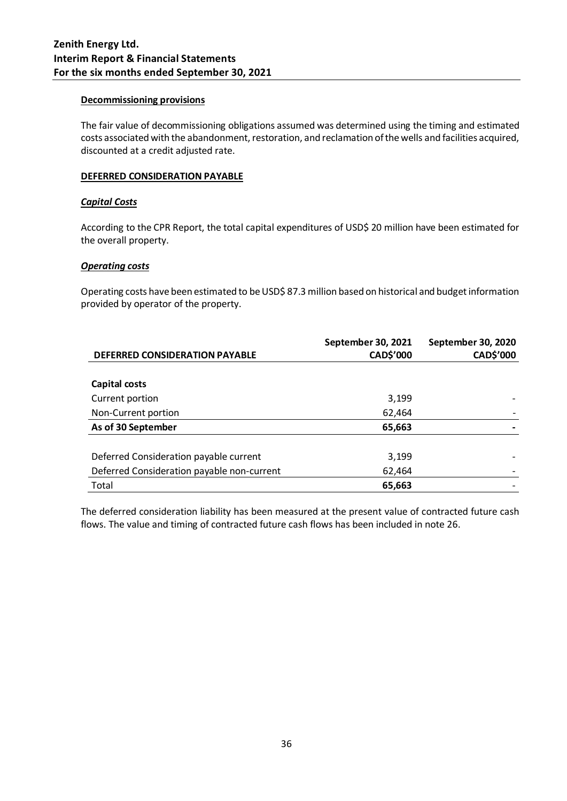### **Decommissioning provisions**

The fair value of decommissioning obligations assumed was determined using the timing and estimated costs associated with the abandonment, restoration, and reclamation of the wells and facilities acquired, discounted at a credit adjusted rate.

### **DEFERRED CONSIDERATION PAYABLE**

### *Capital Costs*

According to the CPR Report, the total capital expenditures of USD\$ 20 million have been estimated for the overall property.

### *Operating costs*

Operating costs have been estimated to be USD\$ 87.3 million based on historical and budget information provided by operator of the property.

| <b>DEFERRED CONSIDERATION PAYABLE</b>      | September 30, 2021<br><b>CAD\$'000</b> | September 30, 2020<br><b>CAD\$'000</b> |
|--------------------------------------------|----------------------------------------|----------------------------------------|
|                                            |                                        |                                        |
| Capital costs                              |                                        |                                        |
| Current portion                            | 3,199                                  |                                        |
| Non-Current portion                        | 62,464                                 |                                        |
| As of 30 September                         | 65,663                                 |                                        |
|                                            |                                        |                                        |
| Deferred Consideration payable current     | 3,199                                  |                                        |
| Deferred Consideration payable non-current | 62,464                                 |                                        |
| Total                                      | 65,663                                 |                                        |

The deferred consideration liability has been measured at the present value of contracted future cash flows. The value and timing of contracted future cash flows has been included in note 26.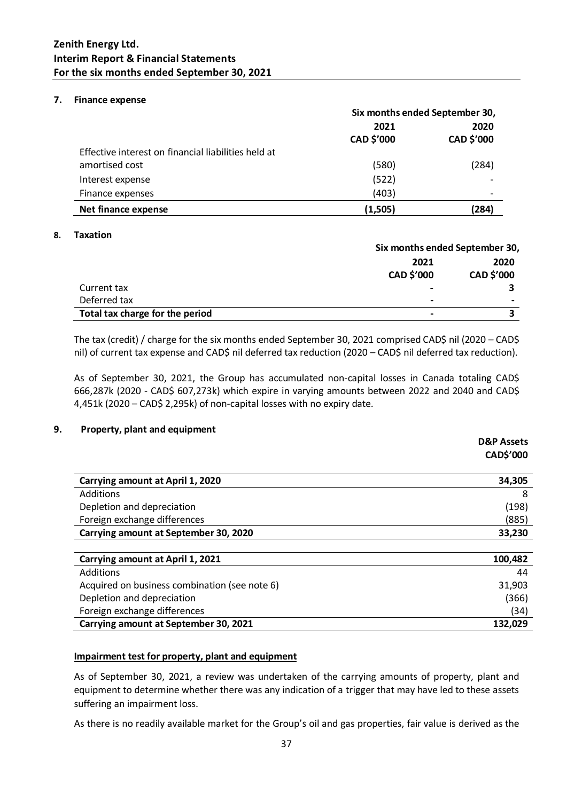### **7. Finance expense**

|                                                     | Six months ended September 30, |                    |
|-----------------------------------------------------|--------------------------------|--------------------|
|                                                     | 2021<br>CAD \$'000             | 2020<br>CAD \$'000 |
| Effective interest on financial liabilities held at |                                |                    |
| amortised cost                                      | (580)                          | (284)              |
| Interest expense                                    | (522)                          |                    |
| Finance expenses                                    | (403)                          |                    |
| Net finance expense                                 | (1,505)                        | (284)              |

### **8. Taxation**

|                                 |                          | Six months ended September 30, |  |
|---------------------------------|--------------------------|--------------------------------|--|
|                                 | 2021<br>2020             |                                |  |
|                                 | <b>CAD \$'000</b>        | <b>CAD \$'000</b>              |  |
| Current tax                     |                          |                                |  |
| Deferred tax                    |                          |                                |  |
| Total tax charge for the period | $\overline{\phantom{0}}$ |                                |  |

The tax (credit) / charge for the six months ended September 30, 2021 comprised CAD\$ nil (2020 – CAD\$ nil) of current tax expense and CAD\$ nil deferred tax reduction (2020 – CAD\$ nil deferred tax reduction).

As of September 30, 2021, the Group has accumulated non-capital losses in Canada totaling CAD\$ 666,287k (2020 - CAD\$ 607,273k) which expire in varying amounts between 2022 and 2040 and CAD\$ 4,451k (2020 – CAD\$ 2,295k) of non-capital losses with no expiry date.

### **9. Property, plant and equipment**

|                                               | <b>D&amp;P Assets</b> |
|-----------------------------------------------|-----------------------|
|                                               | CAD\$'000             |
| Carrying amount at April 1, 2020              | 34,305                |
| Additions                                     | 8                     |
| Depletion and depreciation                    | (198)                 |
| Foreign exchange differences                  | (885)                 |
| Carrying amount at September 30, 2020         | 33,230                |
| Carrying amount at April 1, 2021              | 100,482               |
| Additions                                     | 44                    |
| Acquired on business combination (see note 6) | 31,903                |
| Depletion and depreciation                    | (366)                 |
| Foreign exchange differences                  | (34)                  |
| Carrying amount at September 30, 2021         | 132,029               |

### **Impairment test for property, plant and equipment**

As of September 30, 2021, a review was undertaken of the carrying amounts of property, plant and equipment to determine whether there was any indication of a trigger that may have led to these assets suffering an impairment loss.

As there is no readily available market for the Group's oil and gas properties, fair value is derived as the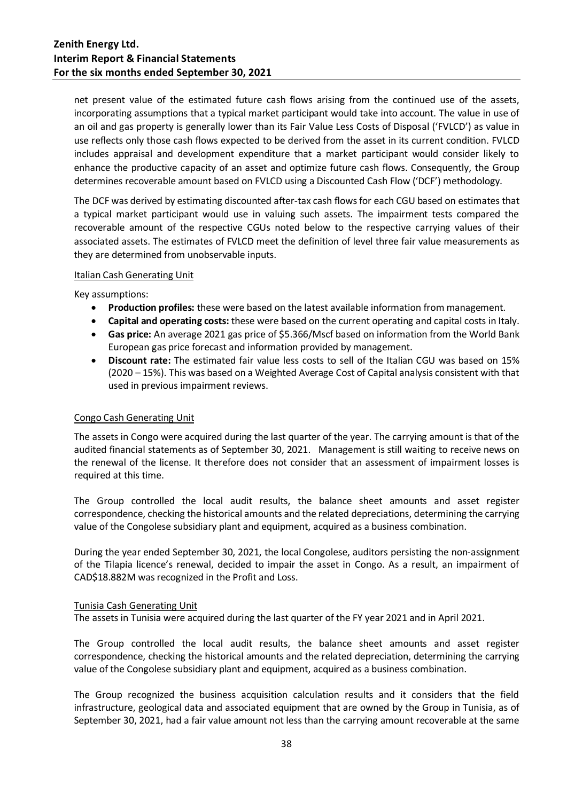net present value of the estimated future cash flows arising from the continued use of the assets, incorporating assumptions that a typical market participant would take into account. The value in use of an oil and gas property is generally lower than its Fair Value Less Costs of Disposal ('FVLCD') as value in use reflects only those cash flows expected to be derived from the asset in its current condition. FVLCD includes appraisal and development expenditure that a market participant would consider likely to enhance the productive capacity of an asset and optimize future cash flows. Consequently, the Group determines recoverable amount based on FVLCD using a Discounted Cash Flow ('DCF') methodology.

The DCF was derived by estimating discounted after-tax cash flows for each CGU based on estimates that a typical market participant would use in valuing such assets. The impairment tests compared the recoverable amount of the respective CGUs noted below to the respective carrying values of their associated assets. The estimates of FVLCD meet the definition of level three fair value measurements as they are determined from unobservable inputs.

### **Italian Cash Generating Unit**

Key assumptions:

- **Production profiles:** these were based on the latest available information from management.
- **Capital and operating costs:** these were based on the current operating and capital costs in Italy.
- **Gas price:** An average 2021 gas price of \$5.366/Mscf based on information from the World Bank European gas price forecast and information provided by management.
- **Discount rate:** The estimated fair value less costs to sell of the Italian CGU was based on 15% (2020 – 15%). This was based on a Weighted Average Cost of Capital analysis consistent with that used in previous impairment reviews.

### Congo Cash Generating Unit

The assets in Congo were acquired during the last quarter of the year. The carrying amount is that of the audited financial statements as of September 30, 2021. Management is still waiting to receive news on the renewal of the license. It therefore does not consider that an assessment of impairment losses is required at this time.

The Group controlled the local audit results, the balance sheet amounts and asset register correspondence, checking the historical amounts and the related depreciations, determining the carrying value of the Congolese subsidiary plant and equipment, acquired as a business combination.

During the year ended September 30, 2021, the local Congolese, auditors persisting the non-assignment of the Tilapia licence's renewal, decided to impair the asset in Congo. As a result, an impairment of CAD\$18.882M was recognized in the Profit and Loss.

### Tunisia Cash Generating Unit

The assets in Tunisia were acquired during the last quarter of the FY year 2021 and in April 2021.

The Group controlled the local audit results, the balance sheet amounts and asset register correspondence, checking the historical amounts and the related depreciation, determining the carrying value of the Congolese subsidiary plant and equipment, acquired as a business combination.

The Group recognized the business acquisition calculation results and it considers that the field infrastructure, geological data and associated equipment that are owned by the Group in Tunisia, as of September 30, 2021, had a fair value amount not less than the carrying amount recoverable at the same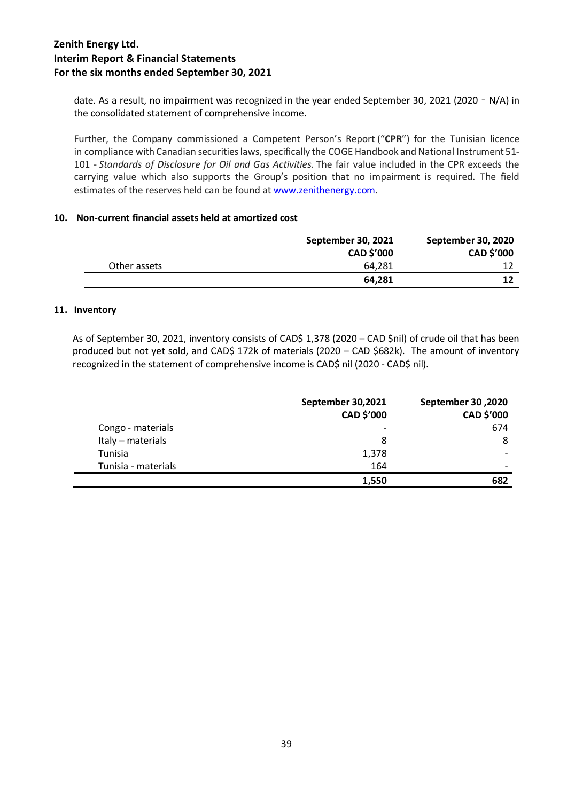date. As a result, no impairment was recognized in the year ended September 30, 2021 (2020 – N/A) in the consolidated statement of comprehensive income.

Further, the Company commissioned a Competent Person's Report ("**CPR**") for the Tunisian licence in compliance with Canadian securities laws, specifically the COGE Handbook and National Instrument 51- 101 - *Standards of Disclosure for Oil and Gas Activities.* The fair value included in the CPR exceeds the carrying value which also supports the Group's position that no impairment is required. The field estimates of the reserves held can be found at [www.zenithenergy.com.](http://www.zenithenergy.com/)

### **10. Non-current financial assets held at amortized cost**

|              | September 30, 2021<br><b>CAD \$'000</b> | September 30, 2020<br>CAD \$'000 |
|--------------|-----------------------------------------|----------------------------------|
| Other assets | 64.281                                  |                                  |
|              | 64,281                                  |                                  |

### **11. Inventory**

As of September 30, 2021, inventory consists of CAD\$ 1,378 (2020 – CAD \$nil) of crude oil that has been produced but not yet sold, and CAD\$ 172k of materials (2020 – CAD \$682k). The amount of inventory recognized in the statement of comprehensive income is CAD\$ nil (2020 - CAD\$ nil).

|                     | September 30,2021<br>CAD \$'000 | September 30, 2020<br>CAD \$'000 |
|---------------------|---------------------------------|----------------------------------|
| Congo - materials   | $\qquad \qquad$                 | 674                              |
| Italy - materials   | 8                               | 8                                |
| Tunisia             | 1,378                           |                                  |
| Tunisia - materials | 164                             |                                  |
|                     | 1,550                           | 682                              |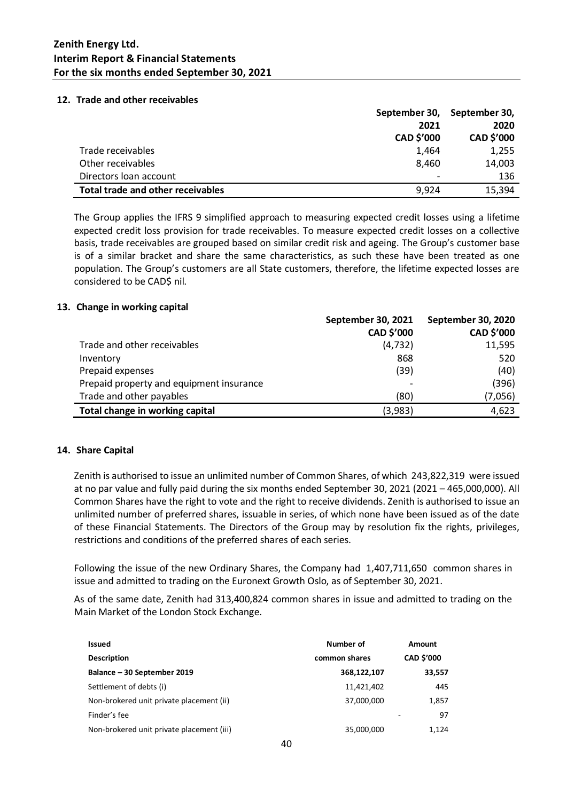#### **12. Trade and other receivables**

|                                          |                   | September 30, September 30, |
|------------------------------------------|-------------------|-----------------------------|
|                                          | 2021              | 2020                        |
|                                          | <b>CAD \$'000</b> | CAD \$'000                  |
| Trade receivables                        | 1,464             | 1,255                       |
| Other receivables                        | 8.460             | 14,003                      |
| Directors loan account                   |                   | 136                         |
| <b>Total trade and other receivables</b> | 9,924             | 15,394                      |

The Group applies the IFRS 9 simplified approach to measuring expected credit losses using a lifetime expected credit loss provision for trade receivables. To measure expected credit losses on a collective basis, trade receivables are grouped based on similar credit risk and ageing. The Group's customer base is of a similar bracket and share the same characteristics, as such these have been treated as one population. The Group's customers are all State customers, therefore, the lifetime expected losses are considered to be CAD\$ nil.

#### **13. Change in working capital**

|                                          | September 30, 2021 | <b>September 30, 2020</b> |
|------------------------------------------|--------------------|---------------------------|
|                                          | CAD \$'000         | CAD \$'000                |
| Trade and other receivables              | (4, 732)           | 11,595                    |
| Inventory                                | 868                | 520                       |
| Prepaid expenses                         | (39)               | (40)                      |
| Prepaid property and equipment insurance |                    | (396)                     |
| Trade and other payables                 | (80)               | (7,056)                   |
| Total change in working capital          | (3,983)            | 4,623                     |

### **14. Share Capital**

Zenith is authorised to issue an unlimited number of Common Shares, of which 243,822,319 were issued at no par value and fully paid during the six months ended September 30, 2021 (2021 – 465,000,000). All Common Shares have the right to vote and the right to receive dividends. Zenith is authorised to issue an unlimited number of preferred shares, issuable in series, of which none have been issued as of the date of these Financial Statements. The Directors of the Group may by resolution fix the rights, privileges, restrictions and conditions of the preferred shares of each series.

Following the issue of the new Ordinary Shares, the Company had 1,407,711,650 common shares in issue and admitted to trading on the Euronext Growth Oslo, as of September 30, 2021.

As of the same date, Zenith had 313,400,824 common shares in issue and admitted to trading on the Main Market of the London Stock Exchange.

| <b>Issued</b>                             | Number of     | Amount            |
|-------------------------------------------|---------------|-------------------|
| <b>Description</b>                        | common shares | <b>CAD \$'000</b> |
| Balance - 30 September 2019               | 368,122,107   | 33,557            |
| Settlement of debts (i)                   | 11,421,402    | 445               |
| Non-brokered unit private placement (ii)  | 37,000,000    | 1,857             |
| Finder's fee                              |               | 97                |
| Non-brokered unit private placement (iii) | 35,000,000    | 1,124             |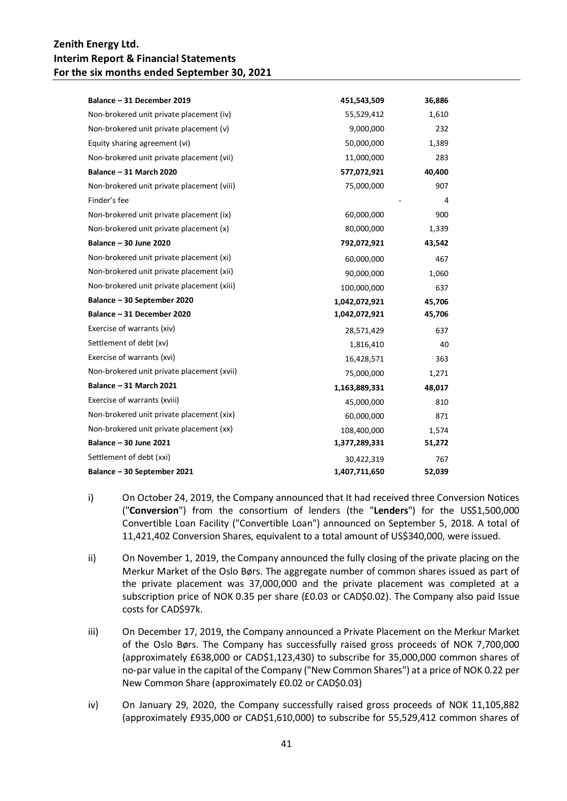| Balance - 31 December 2019                 | 451,543,509   | 36,886 |
|--------------------------------------------|---------------|--------|
| Non-brokered unit private placement (iv)   | 55,529,412    | 1,610  |
| Non-brokered unit private placement (v)    | 9,000,000     | 232    |
| Equity sharing agreement (vi)              | 50,000,000    | 1,389  |
| Non-brokered unit private placement (vii)  | 11,000,000    | 283    |
| Balance - 31 March 2020                    | 577,072,921   | 40,400 |
| Non-brokered unit private placement (viii) | 75,000,000    | 907    |
| Finder's fee                               |               | 4      |
| Non-brokered unit private placement (ix)   | 60,000,000    | 900    |
| Non-brokered unit private placement (x)    | 80,000,000    | 1,339  |
| Balance - 30 June 2020                     | 792,072,921   | 43,542 |
| Non-brokered unit private placement (xi)   | 60,000,000    | 467    |
| Non-brokered unit private placement (xii)  | 90,000,000    | 1,060  |
| Non-brokered unit private placement (xiii) | 100,000,000   | 637    |
| Balance - 30 September 2020                | 1,042,072,921 | 45,706 |
| Balance - 31 December 2020                 | 1,042,072,921 | 45,706 |
| Exercise of warrants (xiv)                 | 28,571,429    | 637    |
| Settlement of debt (xv)                    | 1,816,410     | 40     |
| Exercise of warrants (xvi)                 | 16,428,571    | 363    |
| Non-brokered unit private placement (xvii) | 75,000,000    | 1,271  |
| Balance - 31 March 2021                    | 1,163,889,331 | 48,017 |
| Exercise of warrants (xviii)               | 45,000,000    | 810    |
| Non-brokered unit private placement (xix)  | 60,000,000    | 871    |
| Non-brokered unit private placement (xx)   | 108,400,000   | 1.574  |
| Balance - 30 June 2021                     | 1,377,289,331 | 51,272 |
| Settlement of debt (xxi)                   | 30,422,319    | 767    |
| Balance - 30 September 2021                | 1,407,711,650 | 52,039 |

- i) On October 24, 2019, the Company announced that It had received three Conversion Notices ("**Conversion**") from the consortium of lenders (the "**Lenders**") for the US\$1,500,000 Convertible Loan Facility ("Convertible Loan") announced on September 5, 2018. A total of 11,421,402 Conversion Shares, equivalent to a total amount of US\$340,000, were issued.
- ii) On November 1, 2019, the Company announced the fully closing of the private placing on the Merkur Market of the Oslo Børs. The aggregate number of common shares issued as part of the private placement was 37,000,000 and the private placement was completed at a subscription price of NOK 0.35 per share (£0.03 or CAD\$0.02). The Company also paid Issue costs for CAD\$97k.
- iii) On December 17, 2019, the Company announced a Private Placement on the Merkur Market of the Oslo Børs. The Company has successfully raised gross proceeds of NOK 7,700,000 (approximately £638,000 or CAD\$1,123,430) to subscribe for 35,000,000 common shares of no-par value in the capital of the Company ("New Common Shares") at a price of NOK 0.22 per New Common Share (approximately £0.02 or CAD\$0.03)
- iv) On January 29, 2020, the Company successfully raised gross proceeds of NOK 11,105,882 (approximately £935,000 or CAD\$1,610,000) to subscribe for 55,529,412 common shares of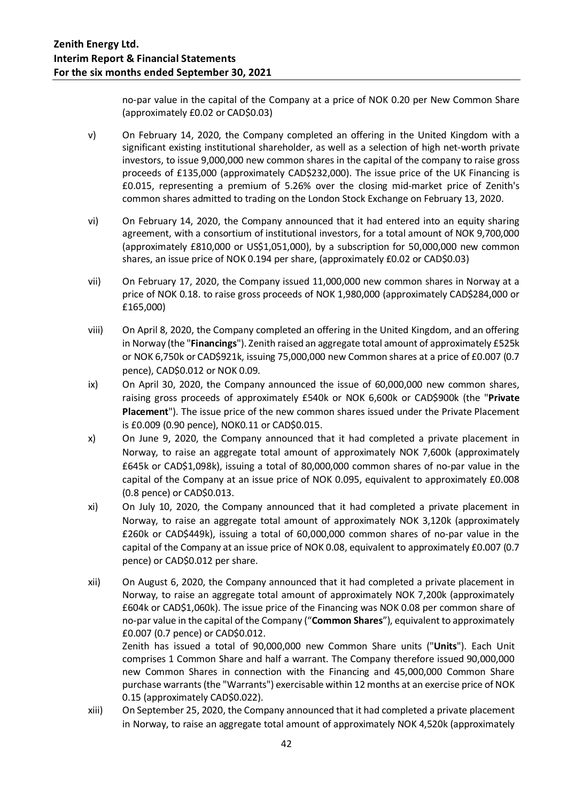no-par value in the capital of the Company at a price of NOK 0.20 per New Common Share (approximately £0.02 or CAD\$0.03)

- v) On February 14, 2020, the Company completed an offering in the United Kingdom with a significant existing institutional shareholder, as well as a selection of high net-worth private investors, to issue 9,000,000 new common shares in the capital of the company to raise gross proceeds of £135,000 (approximately CAD\$232,000). The issue price of the UK Financing is £0.015, representing a premium of 5.26% over the closing mid-market price of Zenith's common shares admitted to trading on the London Stock Exchange on February 13, 2020.
- vi) On February 14, 2020, the Company announced that it had entered into an equity sharing agreement, with a consortium of institutional investors, for a total amount of NOK 9,700,000 (approximately £810,000 or US\$1,051,000), by a subscription for 50,000,000 new common shares, an issue price of NOK 0.194 per share, (approximately £0.02 or CAD\$0.03)
- vii) On February 17, 2020, the Company issued 11,000,000 new common shares in Norway at a price of NOK 0.18. to raise gross proceeds of NOK 1,980,000 (approximately CAD\$284,000 or £165,000)
- viii) On April 8, 2020, the Company completed an offering in the United Kingdom, and an offering in Norway (the "**Financings**"). Zenith raised an aggregate total amount of approximately £525k or NOK 6,750k or CAD\$921k, issuing 75,000,000 new Common shares at a price of £0.007 (0.7 pence), CAD\$0.012 or NOK 0.09.
- ix) On April 30, 2020, the Company announced the issue of 60,000,000 new common shares, raising gross proceeds of approximately £540k or NOK 6,600k or CAD\$900k (the "**Private Placement**"). The issue price of the new common shares issued under the Private Placement is £0.009 (0.90 pence), NOK0.11 or CAD\$0.015.
- x) On June 9, 2020, the Company announced that it had completed a private placement in Norway, to raise an aggregate total amount of approximately NOK 7,600k (approximately £645k or CAD\$1,098k), issuing a total of 80,000,000 common shares of no-par value in the capital of the Company at an issue price of NOK 0.095, equivalent to approximately £0.008 (0.8 pence) or CAD\$0.013.
- xi) On July 10, 2020, the Company announced that it had completed a private placement in Norway, to raise an aggregate total amount of approximately NOK 3,120k (approximately £260k or CAD\$449k), issuing a total of 60,000,000 common shares of no-par value in the capital of the Company at an issue price of NOK 0.08, equivalent to approximately £0.007 (0.7 pence) or CAD\$0.012 per share.
- xii) On August 6, 2020, the Company announced that it had completed a private placement in Norway, to raise an aggregate total amount of approximately NOK 7,200k (approximately £604k or CAD\$1,060k). The issue price of the Financing was NOK 0.08 per common share of no-par value in the capital of the Company ("**Common Shares**"), equivalent to approximately £0.007 (0.7 pence) or CAD\$0.012.

Zenith has issued a total of 90,000,000 new Common Share units ("**Units**"). Each Unit comprises 1 Common Share and half a warrant. The Company therefore issued 90,000,000 new Common Shares in connection with the Financing and 45,000,000 Common Share purchase warrants (the "Warrants") exercisable within 12 months at an exercise price of NOK 0.15 (approximately CAD\$0.022).

xiii) On September 25, 2020, the Company announced that it had completed a private placement in Norway, to raise an aggregate total amount of approximately NOK 4,520k (approximately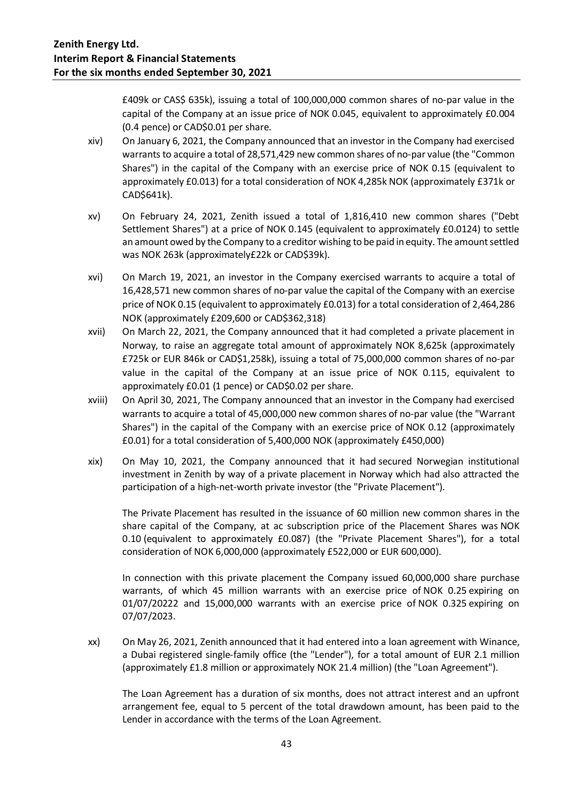£409k or CAS\$ 635k), issuing a total of 100,000,000 common shares of no-par value in the capital of the Company at an issue price of NOK 0.045, equivalent to approximately £0.004 (0.4 pence) or CAD\$0.01 per share.

- xiv) On January 6, 2021, the Company announced that an investor in the Company had exercised warrants to acquire a total of 28,571,429 new common shares of no-par value (the "Common Shares") in the capital of the Company with an exercise price of NOK 0.15 (equivalent to approximately £0.013) for a total consideration of NOK 4,285k NOK (approximately £371k or CAD\$641k).
- xv) On February 24, 2021, Zenith issued a total of 1,816,410 new common shares ("Debt Settlement Shares") at a price of NOK 0.145 (equivalent to approximately £0.0124) to settle an amount owed by the Company to a creditor wishing to be paid in equity. The amount settled was NOK 263k (approximately£22k or CAD\$39k).
- xvi) On March 19, 2021, an investor in the Company exercised warrants to acquire a total of 16,428,571 new common shares of no-par value the capital of the Company with an exercise price of NOK 0.15 (equivalent to approximately £0.013) for a total consideration of 2,464,286 NOK (approximately £209,600 or CAD\$362,318)
- xvii) On March 22, 2021, the Company announced that it had completed a private placement in Norway, to raise an aggregate total amount of approximately NOK 8,625k (approximately £725k or EUR 846k or CAD\$1,258k), issuing a total of 75,000,000 common shares of no-par value in the capital of the Company at an issue price of NOK 0.115, equivalent to approximately £0.01 (1 pence) or CAD\$0.02 per share.
- xviii) On April 30, 2021, The Company announced that an investor in the Company had exercised warrants to acquire a total of 45,000,000 new common shares of no-par value (the "Warrant Shares") in the capital of the Company with an exercise price of NOK 0.12 (approximately £0.01) for a total consideration of 5,400,000 NOK (approximately £450,000)
- xix) On May 10, 2021, the Company announced that it had secured Norwegian institutional investment in Zenith by way of a private placement in Norway which had also attracted the participation of a high-net-worth private investor (the "Private Placement").

The Private Placement has resulted in the issuance of 60 million new common shares in the share capital of the Company, at ac subscription price of the Placement Shares was NOK 0.10 (equivalent to approximately £0.087) (the "Private Placement Shares"), for a total consideration of NOK 6,000,000 (approximately £522,000 or EUR 600,000).

In connection with this private placement the Company issued 60,000,000 share purchase warrants, of which 45 million warrants with an exercise price of NOK 0.25 expiring on 01/07/20222 and 15,000,000 warrants with an exercise price of NOK 0.325 expiring on 07/07/2023.

xx) On May 26, 2021, Zenith announced that it had entered into a loan agreement with Winance, a Dubai registered single-family office (the "Lender"), for a total amount of EUR 2.1 million (approximately £1.8 million or approximately NOK 21.4 million) (the "Loan Agreement").

The Loan Agreement has a duration of six months, does not attract interest and an upfront arrangement fee, equal to 5 percent of the total drawdown amount, has been paid to the Lender in accordance with the terms of the Loan Agreement.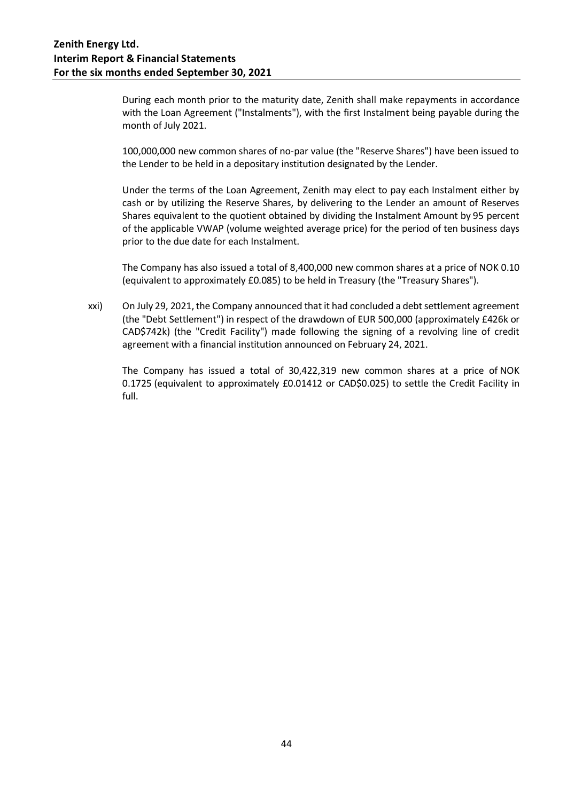During each month prior to the maturity date, Zenith shall make repayments in accordance with the Loan Agreement ("Instalments"), with the first Instalment being payable during the month of July 2021.

100,000,000 new common shares of no-par value (the "Reserve Shares") have been issued to the Lender to be held in a depositary institution designated by the Lender.

Under the terms of the Loan Agreement, Zenith may elect to pay each Instalment either by cash or by utilizing the Reserve Shares, by delivering to the Lender an amount of Reserves Shares equivalent to the quotient obtained by dividing the Instalment Amount by 95 percent of the applicable VWAP (volume weighted average price) for the period of ten business days prior to the due date for each Instalment.

The Company has also issued a total of 8,400,000 new common shares at a price of NOK 0.10 (equivalent to approximately £0.085) to be held in Treasury (the "Treasury Shares").

xxi) On July 29, 2021, the Company announced that it had concluded a debt settlement agreement (the "Debt Settlement") in respect of the drawdown of EUR 500,000 (approximately £426k or CAD\$742k) (the "Credit Facility") made following the signing of a revolving line of credit agreement with a financial institution announced on February 24, 2021.

The Company has issued a total of 30,422,319 new common shares at a price of NOK 0.1725 (equivalent to approximately £0.01412 or CAD\$0.025) to settle the Credit Facility in full.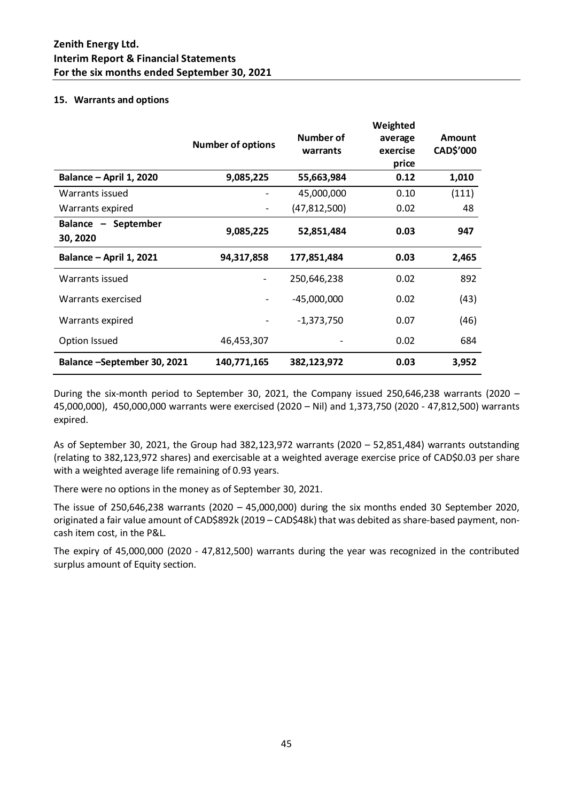### **15. Warrants and options**

|                                 | <b>Number of options</b> | Number of<br>warrants | Weighted<br>average<br>exercise<br>price | <b>Amount</b><br>CAD\$'000 |
|---------------------------------|--------------------------|-----------------------|------------------------------------------|----------------------------|
| Balance - April 1, 2020         | 9,085,225                | 55,663,984            | 0.12                                     | 1,010                      |
| Warrants issued                 |                          | 45,000,000            | 0.10                                     | (111)                      |
| Warrants expired                |                          | (47, 812, 500)        | 0.02                                     | 48                         |
| Balance - September<br>30, 2020 | 9,085,225                | 52,851,484            | 0.03                                     | 947                        |
| <b>Balance - April 1, 2021</b>  | 94,317,858               | 177,851,484           | 0.03                                     | 2,465                      |
| Warrants issued                 |                          | 250,646,238           | 0.02                                     | 892                        |
| Warrants exercised              |                          | $-45,000,000$         | 0.02                                     | (43)                       |
| Warrants expired                |                          | $-1,373,750$          | 0.07                                     | (46)                       |
| Option Issued                   | 46,453,307               |                       | 0.02                                     | 684                        |
| Balance -September 30, 2021     | 140,771,165              | 382,123,972           | 0.03                                     | 3,952                      |

During the six-month period to September 30, 2021, the Company issued 250,646,238 warrants (2020 – 45,000,000), 450,000,000 warrants were exercised (2020 – Nil) and 1,373,750 (2020 - 47,812,500) warrants expired.

As of September 30, 2021, the Group had 382,123,972 warrants (2020 – 52,851,484) warrants outstanding (relating to 382,123,972 shares) and exercisable at a weighted average exercise price of CAD\$0.03 per share with a weighted average life remaining of 0.93 years.

There were no options in the money as of September 30, 2021.

The issue of 250,646,238 warrants (2020 – 45,000,000) during the six months ended 30 September 2020, originated a fair value amount of CAD\$892k (2019 – CAD\$48k) that was debited as share-based payment, noncash item cost, in the P&L.

The expiry of 45,000,000 (2020 - 47,812,500) warrants during the year was recognized in the contributed surplus amount of Equity section.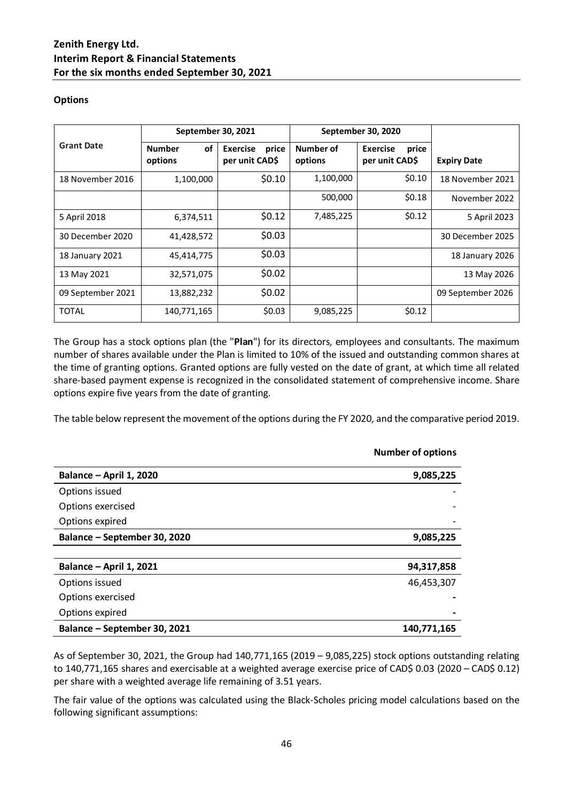### **Options**

|                   | September 30, 2021             |                                            | September 30, 2020   |                                            |                    |
|-------------------|--------------------------------|--------------------------------------------|----------------------|--------------------------------------------|--------------------|
| <b>Grant Date</b> | <b>Number</b><br>οf<br>options | <b>Exercise</b><br>price<br>per unit CAD\$ | Number of<br>options | <b>Exercise</b><br>price<br>per unit CAD\$ | <b>Expiry Date</b> |
| 18 November 2016  | 1,100,000                      | \$0.10                                     | 1,100,000            | \$0.10                                     | 18 November 2021   |
|                   |                                |                                            | 500,000              | \$0.18                                     | November 2022      |
| 5 April 2018      | 6,374,511                      | \$0.12                                     | 7,485,225            | \$0.12                                     | 5 April 2023       |
| 30 December 2020  | 41,428,572                     | \$0.03                                     |                      |                                            | 30 December 2025   |
| 18 January 2021   | 45,414,775                     | \$0.03                                     |                      |                                            | 18 January 2026    |
| 13 May 2021       | 32,571,075                     | \$0.02                                     |                      |                                            | 13 May 2026        |
| 09 September 2021 | 13,882,232                     | \$0.02                                     |                      |                                            | 09 September 2026  |
| <b>TOTAL</b>      | 140,771,165                    | \$0.03                                     | 9,085,225            | \$0.12                                     |                    |

The Group has a stock options plan (the "**Plan**") for its directors, employees and consultants. The maximum number of shares available under the Plan is limited to 10% of the issued and outstanding common shares at the time of granting options. Granted options are fully vested on the date of grant, at which time all related share-based payment expense is recognized in the consolidated statement of comprehensive income. Share options expire five years from the date of granting.

The table below represent the movement of the options during the FY 2020, and the comparative period 2019.

|                              | <b>Number of options</b> |
|------------------------------|--------------------------|
| Balance - April 1, 2020      | 9,085,225                |
| Options issued               |                          |
| Options exercised            |                          |
| Options expired              |                          |
| Balance - September 30, 2020 | 9,085,225                |
|                              |                          |
| Balance - April 1, 2021      | 94,317,858               |
| Options issued               | 46,453,307               |
| Options exercised            |                          |
| Options expired              |                          |
| Balance - September 30, 2021 | 140,771,165              |

As of September 30, 2021, the Group had 140,771,165 (2019 – 9,085,225) stock options outstanding relating to 140,771,165 shares and exercisable at a weighted average exercise price of CAD\$ 0.03 (2020 – CAD\$ 0.12) per share with a weighted average life remaining of 3.51 years.

The fair value of the options was calculated using the Black-Scholes pricing model calculations based on the following significant assumptions: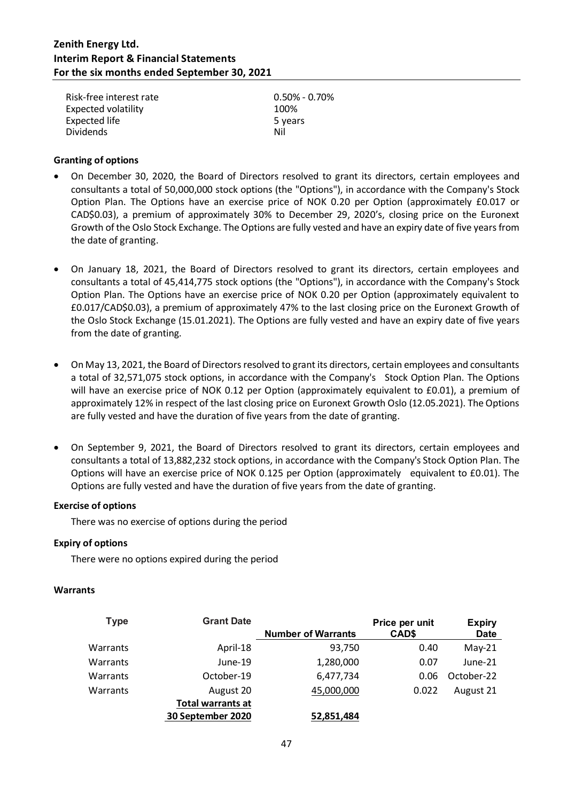| Risk-free interest rate    | $0.50\%$ - 0.70% |
|----------------------------|------------------|
| <b>Expected volatility</b> | 100%             |
| Expected life              | 5 years          |
| <b>Dividends</b>           | Nil              |

### **Granting of options**

- On December 30, 2020, the Board of Directors resolved to grant its directors, certain employees and consultants a total of 50,000,000 stock options (the "Options"), in accordance with the Company's Stock Option Plan. The Options have an exercise price of NOK 0.20 per Option (approximately £0.017 or CAD\$0.03), a premium of approximately 30% to December 29, 2020's, closing price on the Euronext Growth of the Oslo Stock Exchange. The Options are fully vested and have an expiry date of five years from the date of granting.
- On January 18, 2021, the Board of Directors resolved to grant its directors, certain employees and consultants a total of 45,414,775 stock options (the "Options"), in accordance with the Company's Stock Option Plan. The Options have an exercise price of NOK 0.20 per Option (approximately equivalent to £0.017/CAD\$0.03), a premium of approximately 47% to the last closing price on the Euronext Growth of the Oslo Stock Exchange (15.01.2021). The Options are fully vested and have an expiry date of five years from the date of granting.
- On May 13, 2021, the Board of Directors resolved to grant its directors, certain employees and consultants a total of 32,571,075 stock options, in accordance with the Company's Stock Option Plan. The Options will have an exercise price of NOK 0.12 per Option (approximately equivalent to £0.01), a premium of approximately 12% in respect of the last closing price on Euronext Growth Oslo (12.05.2021). The Options are fully vested and have the duration of five years from the date of granting.
- On September 9, 2021, the Board of Directors resolved to grant its directors, certain employees and consultants a total of 13,882,232 stock options, in accordance with the Company's Stock Option Plan. The Options will have an exercise price of NOK 0.125 per Option (approximately equivalent to £0.01). The Options are fully vested and have the duration of five years from the date of granting.

### **Exercise of options**

There was no exercise of options during the period

### **Expiry of options**

There were no options expired during the period

### **Warrants**

| Type     | <b>Grant Date</b>        |                           | Price per unit | <b>Expiry</b> |
|----------|--------------------------|---------------------------|----------------|---------------|
|          |                          | <b>Number of Warrants</b> | CAD\$          | <b>Date</b>   |
| Warrants | April-18                 | 93,750                    | 0.40           | $May-21$      |
| Warrants | June-19                  | 1,280,000                 | 0.07           | June-21       |
| Warrants | October-19               | 6,477,734                 | 0.06           | October-22    |
| Warrants | August 20                | 45,000,000                | 0.022          | August 21     |
|          | <b>Total warrants at</b> |                           |                |               |
|          | 30 September 2020        | 52,851,484                |                |               |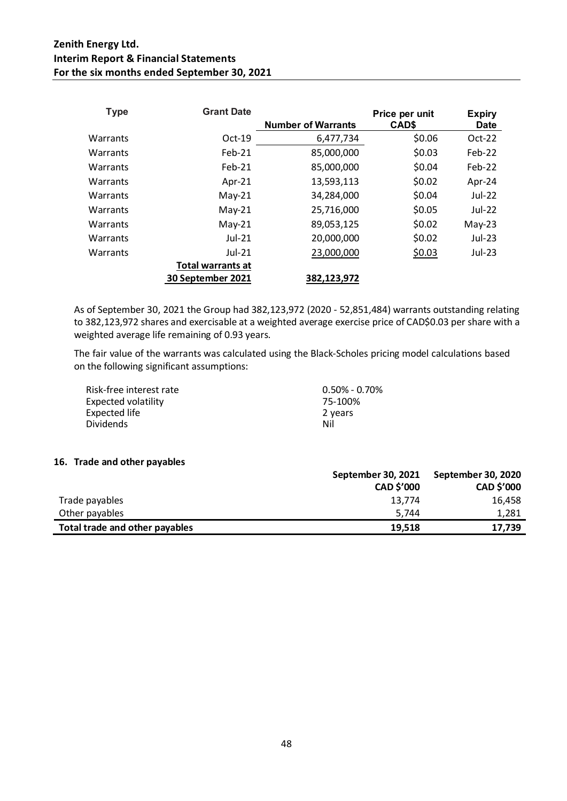| <b>Type</b> | <b>Grant Date</b>        |                           | Price per unit | <b>Expiry</b> |
|-------------|--------------------------|---------------------------|----------------|---------------|
|             |                          | <b>Number of Warrants</b> | CAD\$          | <b>Date</b>   |
| Warrants    | $Oct-19$                 | 6,477,734                 | \$0.06         | $Oct-22$      |
| Warrants    | $Feb-21$                 | 85,000,000                | \$0.03         | Feb-22        |
| Warrants    | $Feb-21$                 | 85,000,000                | \$0.04         | Feb-22        |
| Warrants    | Apr- $21$                | 13,593,113                | \$0.02         | Apr-24        |
| Warrants    | $May-21$                 | 34,284,000                | \$0.04         | Jul-22        |
| Warrants    | $May-21$                 | 25,716,000                | \$0.05         | Jul-22        |
| Warrants    | $May-21$                 | 89,053,125                | \$0.02         | $May-23$      |
| Warrants    | $Jul-21$                 | 20,000,000                | \$0.02         | Jul-23        |
| Warrants    | $Jul-21$                 | 23,000,000                | \$0.03         | Jul-23        |
|             | <b>Total warrants at</b> |                           |                |               |
|             | 30 September 2021        | 382,123,972               |                |               |

As of September 30, 2021 the Group had 382,123,972 (2020 - 52,851,484) warrants outstanding relating to 382,123,972 shares and exercisable at a weighted average exercise price of CAD\$0.03 per share with a weighted average life remaining of 0.93 years.

The fair value of the warrants was calculated using the Black-Scholes pricing model calculations based on the following significant assumptions:

| Risk-free interest rate | $0.50\%$ - 0.70% |
|-------------------------|------------------|
| Expected volatility     | 75-100%          |
| Expected life           | 2 years          |
| <b>Dividends</b>        | Nil              |

### **16. Trade and other payables**

|                                | September 30, 2021 | September 30, 2020 |
|--------------------------------|--------------------|--------------------|
|                                | <b>CAD \$'000</b>  | CAD \$'000         |
| Trade payables                 | 13.774             | 16.458             |
| Other payables                 | 5.744              | 1,281              |
| Total trade and other payables | 19.518             | 17.739             |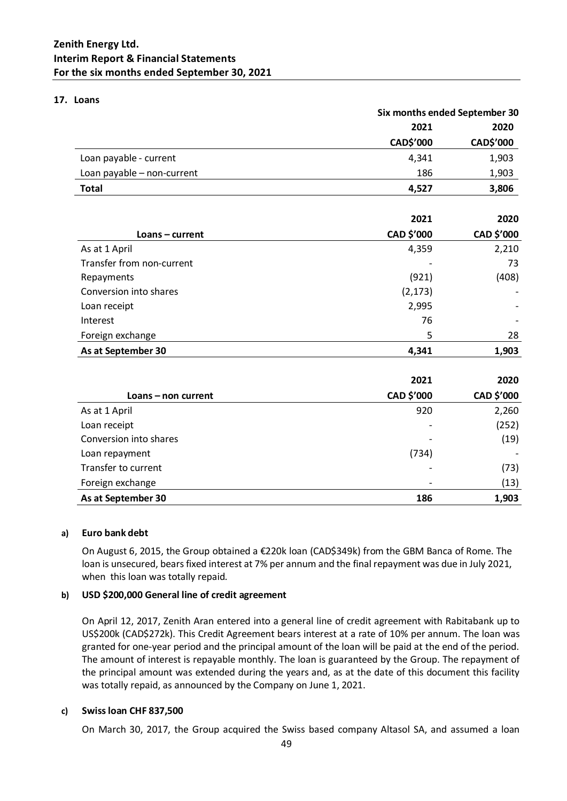### **17. Loans**

|                            | Six months ended September 30 |            |  |
|----------------------------|-------------------------------|------------|--|
|                            | 2021                          | 2020       |  |
|                            | CAD\$'000                     | CAD\$'000  |  |
| Loan payable - current     | 4,341                         | 1,903      |  |
| Loan payable - non-current | 186                           | 1,903      |  |
| <b>Total</b>               | 4,527                         | 3,806      |  |
|                            | 2021                          | 2020       |  |
| Loans - current            | CAD \$'000                    | CAD \$'000 |  |
| As at 1 April              | 4,359                         | 2,210      |  |
| Transfer from non-current  |                               | 73         |  |
| Repayments                 | (921)                         | (408)      |  |
| Conversion into shares     | (2, 173)                      |            |  |
| Loan receipt               | 2,995                         |            |  |
| Interest                   | 76                            |            |  |
| Foreign exchange           | 5                             | 28         |  |
| As at September 30         | 4,341                         | 1,903      |  |
|                            | 2021                          | 2020       |  |
| Loans - non current        | CAD \$'000                    | CAD \$'000 |  |
| As at 1 April              | 920                           | 2,260      |  |
| Loan receipt               |                               | (252)      |  |
| Conversion into shares     |                               | (19)       |  |
| Loan repayment             | (734)                         |            |  |
| Transfer to current        |                               | (73)       |  |
| Foreign exchange           |                               | (13)       |  |
| As at September 30         | 186                           | 1,903      |  |

### **a) Euro bank debt**

On August 6, 2015, the Group obtained a €220k loan (CAD\$349k) from the GBM Banca of Rome. The loan is unsecured, bears fixed interest at 7% per annum and the final repayment was due in July 2021, when this loan was totally repaid.

### **b) USD \$200,000 General line of credit agreement**

On April 12, 2017, Zenith Aran entered into a general line of credit agreement with Rabitabank up to US\$200k (CAD\$272k). This Credit Agreement bears interest at a rate of 10% per annum. The loan was granted for one-year period and the principal amount of the loan will be paid at the end of the period. The amount of interest is repayable monthly. The loan is guaranteed by the Group. The repayment of the principal amount was extended during the years and, as at the date of this document this facility was totally repaid, as announced by the Company on June 1, 2021.

### **c) Swiss loan CHF 837,500**

On March 30, 2017, the Group acquired the Swiss based company Altasol SA, and assumed a loan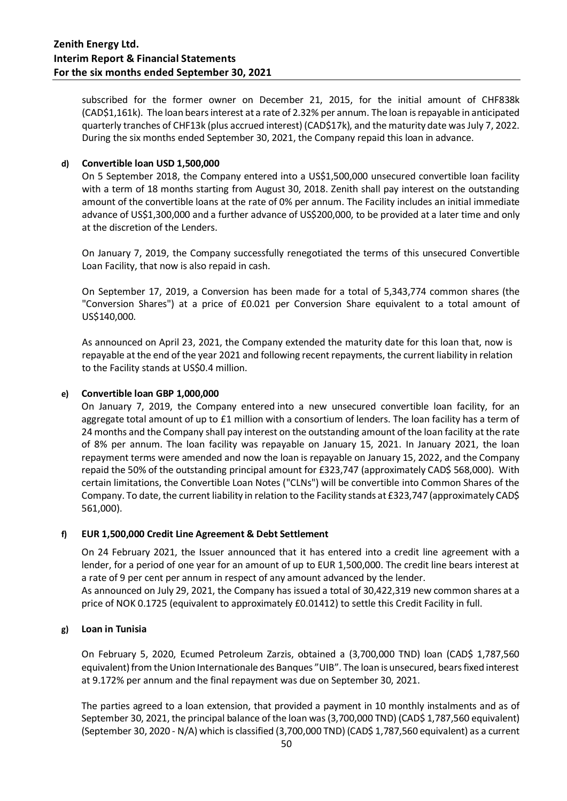subscribed for the former owner on December 21, 2015, for the initial amount of CHF838k (CAD\$1,161k). The loan bears interest at a rate of 2.32% per annum. The loan is repayable in anticipated quarterly tranches of CHF13k (plus accrued interest) (CAD\$17k), and the maturity date was July 7, 2022. During the six months ended September 30, 2021, the Company repaid this loan in advance.

### **d) Convertible loan USD 1,500,000**

On 5 September 2018, the Company entered into a US\$1,500,000 unsecured convertible loan facility with a term of 18 months starting from August 30, 2018. Zenith shall pay interest on the outstanding amount of the convertible loans at the rate of 0% per annum. The Facility includes an initial immediate advance of US\$1,300,000 and a further advance of US\$200,000, to be provided at a later time and only at the discretion of the Lenders.

On January 7, 2019, the Company successfully renegotiated the terms of this unsecured Convertible Loan Facility, that now is also repaid in cash.

On September 17, 2019, a Conversion has been made for a total of 5,343,774 common shares (the "Conversion Shares") at a price of £0.021 per Conversion Share equivalent to a total amount of US\$140,000.

As announced on April 23, 2021, the Company extended the maturity date for this loan that, now is repayable at the end of the year 2021 and following recent repayments, the current liability in relation to the Facility stands at US\$0.4 million.

### **e) Convertible loan GBP 1,000,000**

On January 7, 2019, the Company entered into a new unsecured convertible loan facility, for an aggregate total amount of up to £1 million with a consortium of lenders. The loan facility has a term of 24 months and the Company shall pay interest on the outstanding amount of the loan facility at the rate of 8% per annum. The loan facility was repayable on January 15, 2021. In January 2021, the loan repayment terms were amended and now the loan is repayable on January 15, 2022, and the Company repaid the 50% of the outstanding principal amount for £323,747 (approximately CAD\$ 568,000). With certain limitations, the Convertible Loan Notes ("CLNs") will be convertible into Common Shares of the Company. To date, the current liability in relation to the Facility stands at £323,747 (approximately CAD\$ 561,000).

### **f) EUR 1,500,000 Credit Line Agreement & Debt Settlement**

On 24 February 2021, the Issuer announced that it has entered into a credit line agreement with a lender, for a period of one year for an amount of up to EUR 1,500,000. The credit line bears interest at a rate of 9 per cent per annum in respect of any amount advanced by the lender. As announced on July 29, 2021, the Company has issued a total of 30,422,319 new common shares at a price of NOK 0.1725 (equivalent to approximately £0.01412) to settle this Credit Facility in full.

### **g) Loan in Tunisia**

On February 5, 2020, Ecumed Petroleum Zarzis, obtained a (3,700,000 TND) loan (CAD\$ 1,787,560 equivalent) from the Union Internationale des Banques "UIB". The loan is unsecured, bears fixed interest at 9.172% per annum and the final repayment was due on September 30, 2021.

The parties agreed to a loan extension, that provided a payment in 10 monthly instalments and as of September 30, 2021, the principal balance of the loan was (3,700,000 TND) (CAD\$ 1,787,560 equivalent) (September 30, 2020 - N/A) which is classified (3,700,000 TND) (CAD\$ 1,787,560 equivalent) as a current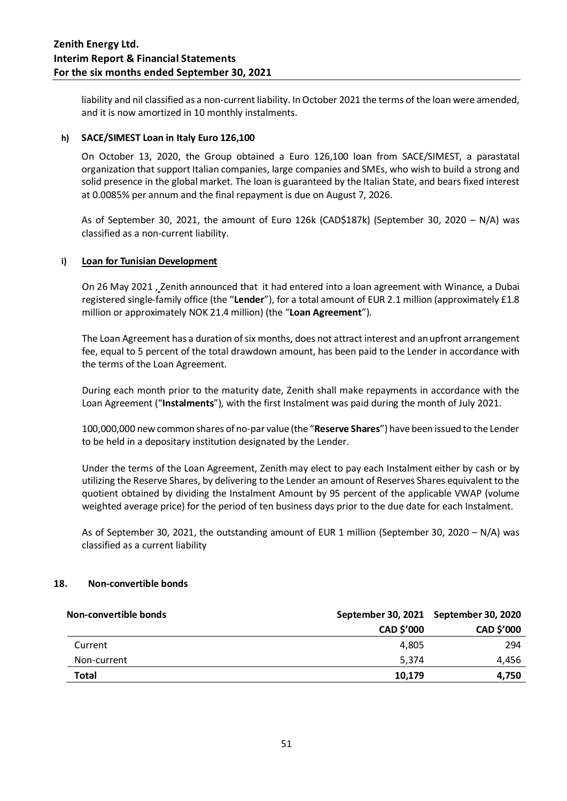liability and nil classified as a non-current liability. In October 2021 the terms of the loan were amended, and it is now amortized in 10 monthly instalments.

### **h) SACE/SIMEST Loan in Italy Euro 126,100**

On October 13, 2020, the Group obtained a Euro 126,100 loan from SACE/SIMEST, a parastatal organization that support Italian companies, large companies and SMEs, who wish to build a strong and solid presence in the global market. The loan is guaranteed by the Italian State, and bears fixed interest at 0.0085% per annum and the final repayment is due on August 7, 2026.

As of September 30, 2021, the amount of Euro 126k (CAD\$187k) (September 30, 2020 – N/A) was classified as a non-current liability.

### **i) Loan for Tunisian Development**

On 26 May 2021 , Zenith announced that it had entered into a loan agreement with Winance, a Dubai registered single-family office (the "**Lender**"), for a total amount of EUR 2.1 million (approximately £1.8 million or approximately NOK 21.4 million) (the "**Loan Agreement**").

The Loan Agreement has a duration of six months, does not attract interest and an upfront arrangement fee, equal to 5 percent of the total drawdown amount, has been paid to the Lender in accordance with the terms of the Loan Agreement.

During each month prior to the maturity date, Zenith shall make repayments in accordance with the Loan Agreement ("**Instalments**"), with the first Instalment was paid during the month of July 2021.

100,000,000 new common shares of no-par value (the "**Reserve Shares**") have been issued to the Lender to be held in a depositary institution designated by the Lender.

Under the terms of the Loan Agreement, Zenith may elect to pay each Instalment either by cash or by utilizing the Reserve Shares, by delivering to the Lender an amount of Reserves Shares equivalent to the quotient obtained by dividing the Instalment Amount by 95 percent of the applicable VWAP (volume weighted average price) for the period of ten business days prior to the due date for each Instalment.

As of September 30, 2021, the outstanding amount of EUR 1 million (September 30, 2020 – N/A) was classified as a current liability

### **18. Non-convertible bonds**

| Non-convertible bonds |                   | September 30, 2021 September 30, 2020 |
|-----------------------|-------------------|---------------------------------------|
|                       | <b>CAD \$'000</b> | <b>CAD \$'000</b>                     |
| Current               | 4.805             | 294                                   |
| Non-current           | 5.374             | 4.456                                 |
| <b>Total</b>          | 10,179            | 4.750                                 |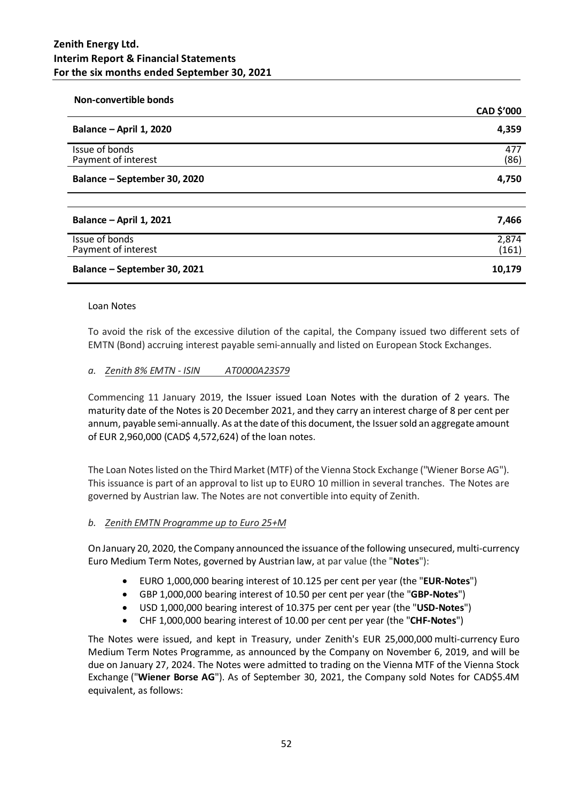| <b>Non-convertible bonds</b>          |                |
|---------------------------------------|----------------|
|                                       | CAD \$'000     |
| Balance - April 1, 2020               | 4,359          |
| Issue of bonds<br>Payment of interest | 477<br>(86)    |
| Balance - September 30, 2020          | 4,750          |
| Balance - April 1, 2021               | 7,466          |
|                                       |                |
| Issue of bonds<br>Payment of interest | 2,874<br>(161) |
| Balance - September 30, 2021          | 10,179         |

#### Loan Notes

To avoid the risk of the excessive dilution of the capital, the Company issued two different sets of EMTN (Bond) accruing interest payable semi-annually and listed on European Stock Exchanges.

### *a. Zenith 8% EMTN - ISIN AT0000A23S79*

Commencing 11 January 2019, the Issuer issued Loan Notes with the duration of 2 years. The maturity date of the Notes is 20 December 2021, and they carry an interest charge of 8 per cent per annum, payable semi-annually. As at the date of this document, the Issuer sold an aggregate amount of EUR 2,960,000 (CAD\$ 4,572,624) of the loan notes.

The Loan Notes listed on the Third Market (MTF) of the Vienna Stock Exchange ("Wiener Borse AG"). This issuance is part of an approval to list up to EURO 10 million in several tranches. The Notes are governed by Austrian law. The Notes are not convertible into equity of Zenith.

### *b. Zenith EMTN Programme up to Euro 25+M*

On January 20, 2020, the Company announced the issuance of the following unsecured, multi-currency Euro Medium Term Notes, governed by Austrian law, at par value (the "**Notes**"):

- EURO 1,000,000 bearing interest of 10.125 per cent per year (the "**EUR-Notes**")
- GBP 1,000,000 bearing interest of 10.50 per cent per year (the "**GBP-Notes**")
- USD 1,000,000 bearing interest of 10.375 per cent per year (the "**USD-Notes**")
- CHF 1,000,000 bearing interest of 10.00 per cent per year (the "**CHF-Notes**")

The Notes were issued, and kept in Treasury, under Zenith's EUR 25,000,000 multi-currency Euro Medium Term Notes Programme, as announced by the Company on November 6, 2019, and will be due on January 27, 2024. The Notes were admitted to trading on the Vienna MTF of the Vienna Stock Exchange ("**Wiener Borse AG**"). As of September 30, 2021, the Company sold Notes for CAD\$5.4M equivalent, as follows: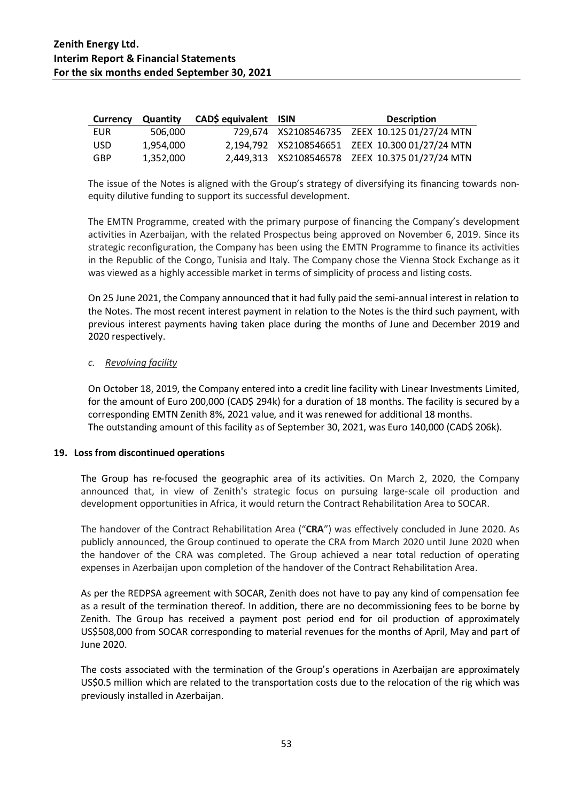| Currency | <b>Quantity</b> | CAD\$ equivalent ISIN | <b>Description</b>                              |
|----------|-----------------|-----------------------|-------------------------------------------------|
| EUR      | 506.000         |                       | 729,674 XS2108546735 ZEEX 10.125 01/27/24 MTN   |
| USD.     | 1.954.000       |                       | 2,194,792 XS2108546651 ZEEX 10.300 01/27/24 MTN |
| GBP      | 1,352,000       |                       | 2,449,313 XS2108546578 ZEEX 10.375 01/27/24 MTN |

The issue of the Notes is aligned with the Group's strategy of diversifying its financing towards nonequity dilutive funding to support its successful development.

The EMTN Programme, created with the primary purpose of financing the Company's development activities in Azerbaijan, with the related Prospectus being approved on November 6, 2019. Since its strategic reconfiguration, the Company has been using the EMTN Programme to finance its activities in the Republic of the Congo, Tunisia and Italy. The Company chose the Vienna Stock Exchange as it was viewed as a highly accessible market in terms of simplicity of process and listing costs.

On 25 June 2021, the Company announced that it had fully paid the semi-annual interest in relation to the Notes. The most recent interest payment in relation to the Notes is the third such payment, with previous interest payments having taken place during the months of June and December 2019 and 2020 respectively.

### *c. Revolving facility*

On October 18, 2019, the Company entered into a credit line facility with Linear Investments Limited, for the amount of Euro 200,000 (CAD\$ 294k) for a duration of 18 months. The facility is secured by a corresponding EMTN Zenith 8%, 2021 value, and it was renewed for additional 18 months. The outstanding amount of this facility as of September 30, 2021, was Euro 140,000 (CAD\$ 206k).

### **19. Loss from discontinued operations**

The Group has re-focused the geographic area of its activities. On March 2, 2020, the Company announced that, in view of Zenith's strategic focus on pursuing large-scale oil production and development opportunities in Africa, it would return the Contract Rehabilitation Area to SOCAR.

The handover of the Contract Rehabilitation Area ("**CRA**") was effectively concluded in June 2020. As publicly announced, the Group continued to operate the CRA from March 2020 until June 2020 when the handover of the CRA was completed. The Group achieved a near total reduction of operating expenses in Azerbaijan upon completion of the handover of the Contract Rehabilitation Area.

As per the REDPSA agreement with SOCAR, Zenith does not have to pay any kind of compensation fee as a result of the termination thereof. In addition, there are no decommissioning fees to be borne by Zenith. The Group has received a payment post period end for oil production of approximately US\$508,000 from SOCAR corresponding to material revenues for the months of April, May and part of June 2020.

The costs associated with the termination of the Group's operations in Azerbaijan are approximately US\$0.5 million which are related to the transportation costs due to the relocation of the rig which was previously installed in Azerbaijan.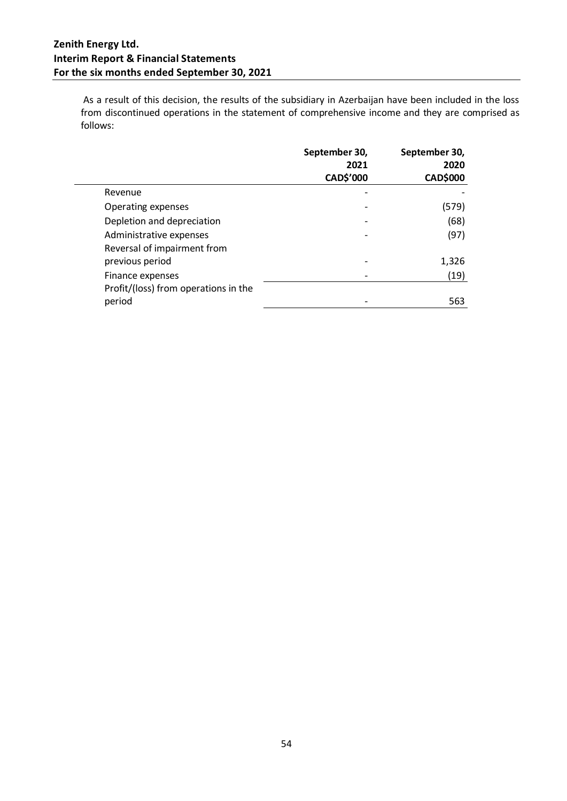As a result of this decision, the results of the subsidiary in Azerbaijan have been included in the loss from discontinued operations in the statement of comprehensive income and they are comprised as follows:

|                                                        | September 30,<br>2021<br>CAD\$'000 | September 30,<br>2020<br><b>CAD\$000</b> |
|--------------------------------------------------------|------------------------------------|------------------------------------------|
| Revenue                                                |                                    |                                          |
| Operating expenses                                     |                                    | (579)                                    |
| Depletion and depreciation                             |                                    | (68)                                     |
| Administrative expenses<br>Reversal of impairment from |                                    | (97)                                     |
| previous period                                        |                                    | 1,326                                    |
| Finance expenses                                       | -                                  | (19)                                     |
| Profit/(loss) from operations in the                   |                                    |                                          |
| period                                                 |                                    | 563                                      |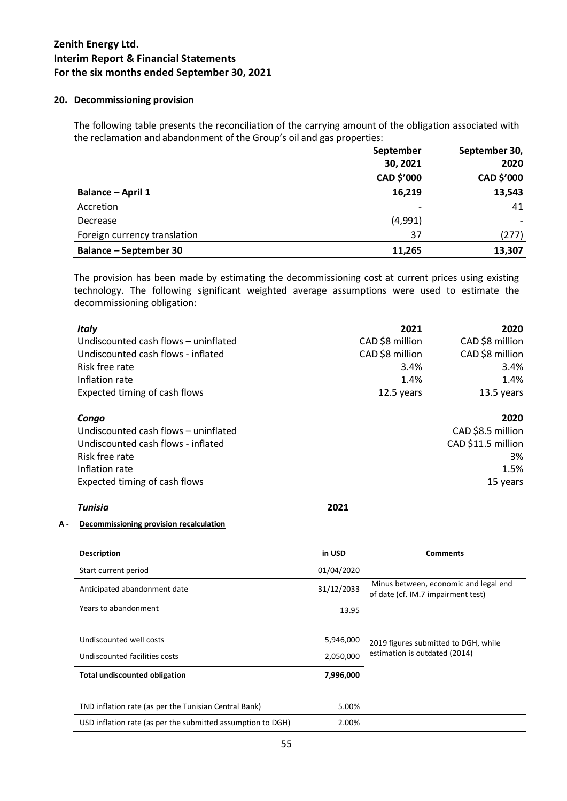#### **20. Decommissioning provision**

The following table presents the reconciliation of the carrying amount of the obligation associated with the reclamation and abandonment of the Group's oil and gas properties:

|                               | September  | September 30, |  |
|-------------------------------|------------|---------------|--|
|                               | 30, 2021   | 2020          |  |
|                               | CAD \$'000 | CAD \$'000    |  |
| Balance - April 1             | 16,219     | 13,543        |  |
| Accretion                     |            | 41            |  |
| Decrease                      | (4,991)    |               |  |
| Foreign currency translation  | 37         | (277)         |  |
| <b>Balance - September 30</b> | 11,265     | 13,307        |  |

The provision has been made by estimating the decommissioning cost at current prices using existing technology. The following significant weighted average assumptions were used to estimate the decommissioning obligation:

| <b>Italy</b>                         | 2021            | 2020               |
|--------------------------------------|-----------------|--------------------|
| Undiscounted cash flows - uninflated | CAD \$8 million | CAD \$8 million    |
| Undiscounted cash flows - inflated   | CAD \$8 million | CAD \$8 million    |
| Risk free rate                       | 3.4%            | 3.4%               |
| Inflation rate                       | 1.4%            | 1.4%               |
| Expected timing of cash flows        | 12.5 years      | 13.5 years         |
| Congo                                |                 | 2020               |
| Undiscounted cash flows - uninflated |                 | CAD \$8.5 million  |
| Undiscounted cash flows - inflated   |                 | CAD \$11.5 million |
| Risk free rate                       |                 | 3%                 |
| Inflation rate                       |                 | 1.5%               |
| Expected timing of cash flows        |                 | 15 years           |
|                                      |                 |                    |

#### *Tunisia* **2021**

#### **A - Decommissioning provision recalculation**

| <b>Description</b>                                          | in USD     | <b>Comments</b>                                                             |
|-------------------------------------------------------------|------------|-----------------------------------------------------------------------------|
| Start current period                                        | 01/04/2020 |                                                                             |
| Anticipated abandonment date                                | 31/12/2033 | Minus between, economic and legal end<br>of date (cf. IM.7 impairment test) |
| Years to abandonment                                        | 13.95      |                                                                             |
|                                                             |            |                                                                             |
| Undiscounted well costs                                     | 5,946,000  | 2019 figures submitted to DGH, while                                        |
| Undiscounted facilities costs                               | 2,050,000  | estimation is outdated (2014)                                               |
| <b>Total undiscounted obligation</b>                        | 7,996,000  |                                                                             |
|                                                             |            |                                                                             |
| TND inflation rate (as per the Tunisian Central Bank)       | 5.00%      |                                                                             |
| USD inflation rate (as per the submitted assumption to DGH) | 2.00%      |                                                                             |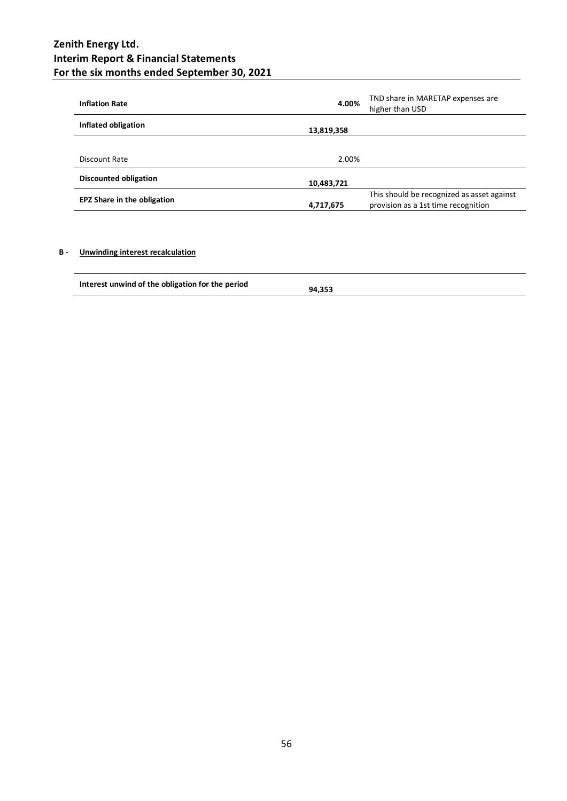| <b>Inflation Rate</b>              | 4.00%      | TND share in MARETAP expenses are<br>higher than USD                              |
|------------------------------------|------------|-----------------------------------------------------------------------------------|
| Inflated obligation                | 13,819,358 |                                                                                   |
|                                    |            |                                                                                   |
| Discount Rate                      | 2.00%      |                                                                                   |
| <b>Discounted obligation</b>       | 10,483,721 |                                                                                   |
| <b>EPZ Share in the obligation</b> | 4,717,675  | This should be recognized as asset against<br>provision as a 1st time recognition |

### **B - Unwinding interest recalculation**

| Interest unwind of the obligation for the period | 94.353 |
|--------------------------------------------------|--------|
|                                                  |        |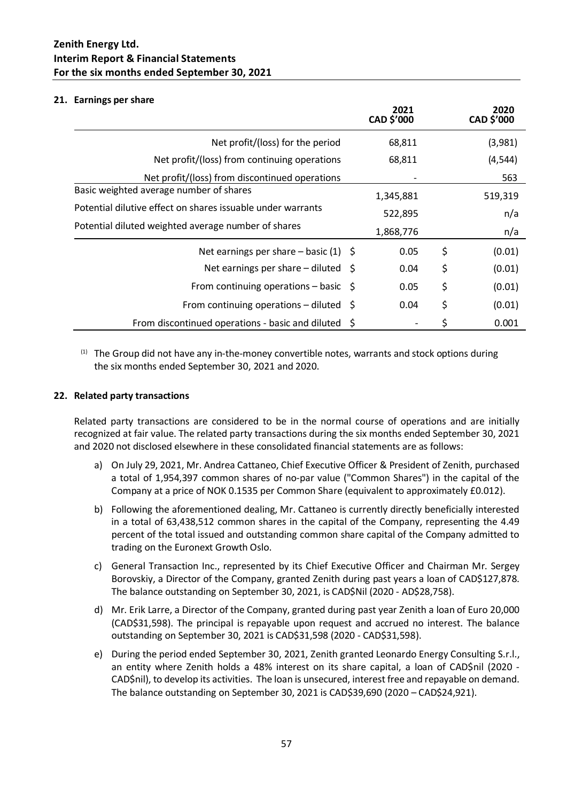### **21. Earnings per share**

|                                                             | 2021<br>CAD \$'000 | 2020<br>CAD \$'000 |
|-------------------------------------------------------------|--------------------|--------------------|
| Net profit/(loss) for the period                            | 68,811             | (3,981)            |
| Net profit/(loss) from continuing operations                | 68,811             | (4, 544)           |
| Net profit/(loss) from discontinued operations              |                    | 563                |
| Basic weighted average number of shares                     | 1,345,881          | 519,319            |
| Potential dilutive effect on shares issuable under warrants | 522,895            | n/a                |
| Potential diluted weighted average number of shares         | 1,868,776          | n/a                |
| Net earnings per share $-$ basic (1) $\zeta$                | 0.05               | \$<br>(0.01)       |
| Net earnings per share – diluted $\oint$                    | 0.04               | \$<br>(0.01)       |
| From continuing operations – basic $\oint$                  | 0.05               | \$<br>(0.01)       |
| From continuing operations $-$ diluted $\Diamond$           | 0.04               | \$<br>(0.01)       |
| From discontinued operations - basic and diluted \$         |                    | 0.001              |

 $<sup>(1)</sup>$  The Group did not have any in-the-money convertible notes, warrants and stock options during</sup> the six months ended September 30, 2021 and 2020.

### **22. Related party transactions**

Related party transactions are considered to be in the normal course of operations and are initially recognized at fair value. The related party transactions during the six months ended September 30, 2021 and 2020 not disclosed elsewhere in these consolidated financial statements are as follows:

- a) On July 29, 2021, Mr. Andrea Cattaneo, Chief Executive Officer & President of Zenith, purchased a total of 1,954,397 common shares of no-par value ("Common Shares") in the capital of the Company at a price of NOK 0.1535 per Common Share (equivalent to approximately £0.012).
- b) Following the aforementioned dealing, Mr. Cattaneo is currently directly beneficially interested in a total of 63,438,512 common shares in the capital of the Company, representing the 4.49 percent of the total issued and outstanding common share capital of the Company admitted to trading on the Euronext Growth Oslo.
- c) General Transaction Inc., represented by its Chief Executive Officer and Chairman Mr. Sergey Borovskiy, a Director of the Company, granted Zenith during past years a loan of CAD\$127,878. The balance outstanding on September 30, 2021, is CAD\$Nil (2020 - AD\$28,758).
- d) Mr. Erik Larre, a Director of the Company, granted during past year Zenith a loan of Euro 20,000 (CAD\$31,598). The principal is repayable upon request and accrued no interest. The balance outstanding on September 30, 2021 is CAD\$31,598 (2020 - CAD\$31,598).
- e) During the period ended September 30, 2021, Zenith granted Leonardo Energy Consulting S.r.l., an entity where Zenith holds a 48% interest on its share capital, a loan of CAD\$nil (2020 - CAD\$nil), to develop its activities. The loan is unsecured, interest free and repayable on demand. The balance outstanding on September 30, 2021 is CAD\$39,690 (2020 – CAD\$24,921).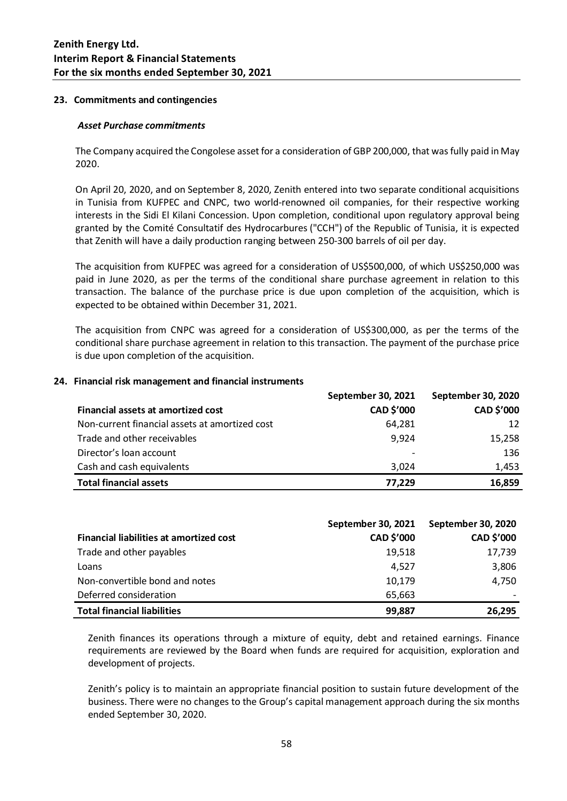### **23. Commitments and contingencies**

#### *Asset Purchase commitments*

The Company acquired the Congolese asset for a consideration of GBP 200,000, that was fully paid in May 2020.

On April 20, 2020, and on September 8, 2020, Zenith entered into two separate conditional acquisitions in Tunisia from KUFPEC and CNPC, two world-renowned oil companies, for their respective working interests in the Sidi El Kilani Concession. Upon completion, conditional upon regulatory approval being granted by the Comité Consultatif des Hydrocarbures ("CCH") of the Republic of Tunisia, it is expected that Zenith will have a daily production ranging between 250-300 barrels of oil per day.

The acquisition from KUFPEC was agreed for a consideration of US\$500,000, of which US\$250,000 was paid in June 2020, as per the terms of the conditional share purchase agreement in relation to this transaction. The balance of the purchase price is due upon completion of the acquisition, which is expected to be obtained within December 31, 2021.

The acquisition from CNPC was agreed for a consideration of US\$300,000, as per the terms of the conditional share purchase agreement in relation to this transaction. The payment of the purchase price is due upon completion of the acquisition.

|                                                | <b>September 30, 2021</b> | <b>September 30, 2020</b> |
|------------------------------------------------|---------------------------|---------------------------|
| Financial assets at amortized cost             | CAD \$'000                | CAD \$'000                |
| Non-current financial assets at amortized cost | 64,281                    | 12                        |
| Trade and other receivables                    | 9,924                     | 15,258                    |
| Director's loan account                        |                           | 136                       |
| Cash and cash equivalents                      | 3.024                     | 1.453                     |
| <b>Total financial assets</b>                  | 77.229                    | 16,859                    |

#### **24. Financial risk management and financial instruments**

|                                         | September 30, 2021 | September 30, 2020 |
|-----------------------------------------|--------------------|--------------------|
| Financial liabilities at amortized cost | CAD \$'000         | CAD \$'000         |
| Trade and other payables                | 19,518             | 17,739             |
| Loans                                   | 4,527              | 3,806              |
| Non-convertible bond and notes          | 10,179             | 4,750              |
| Deferred consideration                  | 65,663             |                    |
| <b>Total financial liabilities</b>      | 99,887             | 26,295             |

Zenith finances its operations through a mixture of equity, debt and retained earnings. Finance requirements are reviewed by the Board when funds are required for acquisition, exploration and development of projects.

Zenith's policy is to maintain an appropriate financial position to sustain future development of the business. There were no changes to the Group's capital management approach during the six months ended September 30, 2020.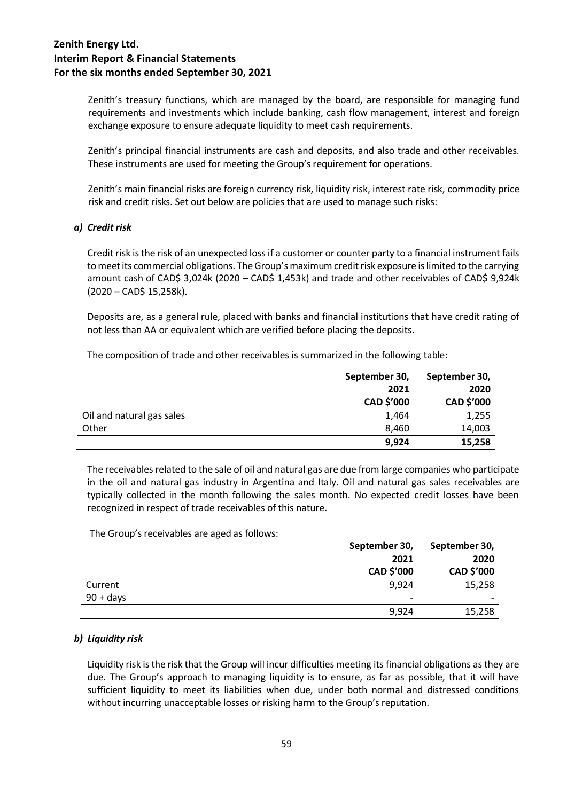Zenith's treasury functions, which are managed by the board, are responsible for managing fund requirements and investments which include banking, cash flow management, interest and foreign exchange exposure to ensure adequate liquidity to meet cash requirements.

Zenith's principal financial instruments are cash and deposits, and also trade and other receivables. These instruments are used for meeting the Group's requirement for operations.

Zenith's main financial risks are foreign currency risk, liquidity risk, interest rate risk, commodity price risk and credit risks. Set out below are policies that are used to manage such risks:

### *a) Credit risk*

Credit risk is the risk of an unexpected loss if a customer or counter party to a financial instrument fails to meet its commercial obligations. The Group's maximum credit risk exposure is limited to the carrying amount cash of CAD\$ 3,024k (2020 – CAD\$ 1,453k) and trade and other receivables of CAD\$ 9,924k (2020 – CAD\$ 15,258k).

Deposits are, as a general rule, placed with banks and financial institutions that have credit rating of not less than AA or equivalent which are verified before placing the deposits.

The composition of trade and other receivables is summarized in the following table:

|                           | September 30, | September 30, |
|---------------------------|---------------|---------------|
|                           | 2021          | 2020          |
|                           | CAD \$'000    | CAD \$'000    |
| Oil and natural gas sales | 1,464         | 1,255         |
| Other                     | 8.460         | 14,003        |
|                           | 9,924         | 15,258        |

The receivables related to the sale of oil and natural gas are due from large companies who participate in the oil and natural gas industry in Argentina and Italy. Oil and natural gas sales receivables are typically collected in the month following the sales month. No expected credit losses have been recognized in respect of trade receivables of this nature.

The Group's receivables are aged as follows:

|             | September 30, | September 30, |  |
|-------------|---------------|---------------|--|
|             | 2021          | 2020          |  |
|             | CAD \$'000    | CAD \$'000    |  |
| Current     | 9,924         | 15,258        |  |
| $90 + days$ | -             |               |  |
|             | 9,924         | 15,258        |  |

### *b) Liquidity risk*

Liquidity risk is the risk that the Group will incur difficulties meeting its financial obligations as they are due. The Group's approach to managing liquidity is to ensure, as far as possible, that it will have sufficient liquidity to meet its liabilities when due, under both normal and distressed conditions without incurring unacceptable losses or risking harm to the Group's reputation.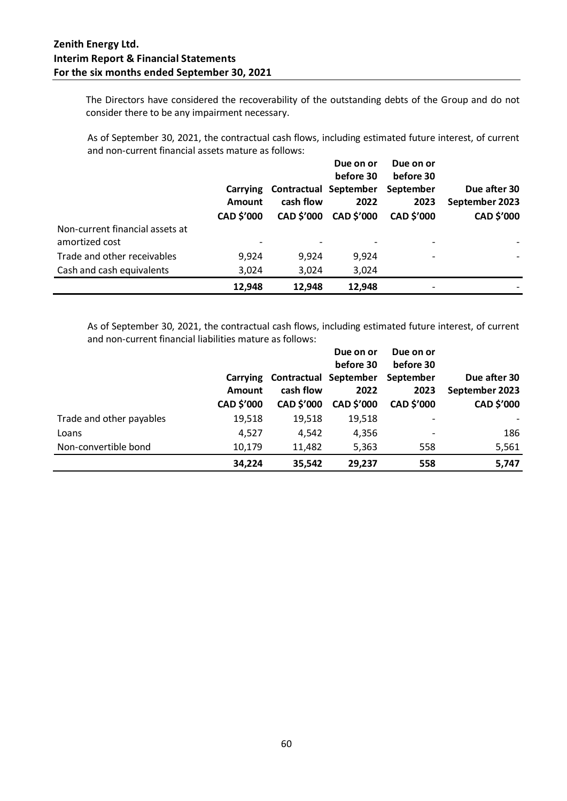The Directors have considered the recoverability of the outstanding debts of the Group and do not consider there to be any impairment necessary.

As of September 30, 2021, the contractual cash flows, including estimated future interest, of current and non-current financial assets mature as follows:

|                                                   | Carrying<br>Amount<br><b>CAD \$'000</b> | cash flow<br><b>CAD \$'000</b> | Due on or<br>before 30<br><b>Contractual September</b><br>2022<br><b>CAD \$'000</b> | Due on or<br>before 30<br>September<br>2023<br><b>CAD \$'000</b> | Due after 30<br>September 2023<br>CAD \$'000 |
|---------------------------------------------------|-----------------------------------------|--------------------------------|-------------------------------------------------------------------------------------|------------------------------------------------------------------|----------------------------------------------|
| Non-current financial assets at<br>amortized cost |                                         |                                |                                                                                     |                                                                  |                                              |
| Trade and other receivables                       | 9,924                                   | 9,924                          | 9,924                                                                               | $\overline{\phantom{0}}$                                         |                                              |
| Cash and cash equivalents                         | 3,024                                   | 3,024                          | 3,024                                                                               |                                                                  |                                              |
|                                                   | 12,948                                  | 12,948                         | 12,948                                                                              | -                                                                |                                              |

As of September 30, 2021, the contractual cash flows, including estimated future interest, of current and non-current financial liabilities mature as follows:

|                          |                           |                                              | Due on or<br>before 30 | Due on or<br>before 30 |                                |
|--------------------------|---------------------------|----------------------------------------------|------------------------|------------------------|--------------------------------|
|                          | Carrying<br><b>Amount</b> | Contractual September September<br>cash flow | 2022                   | 2023                   | Due after 30<br>September 2023 |
|                          | CAD \$'000                | <b>CAD \$'000</b>                            | CAD \$'000             | <b>CAD \$'000</b>      | CAD \$'000                     |
| Trade and other payables | 19,518                    | 19,518                                       | 19,518                 | $\overline{a}$         |                                |
| Loans                    | 4,527                     | 4,542                                        | 4,356                  | -                      | 186                            |
| Non-convertible bond     | 10,179                    | 11,482                                       | 5,363                  | 558                    | 5,561                          |
|                          | 34,224                    | 35,542                                       | 29.237                 | 558                    | 5,747                          |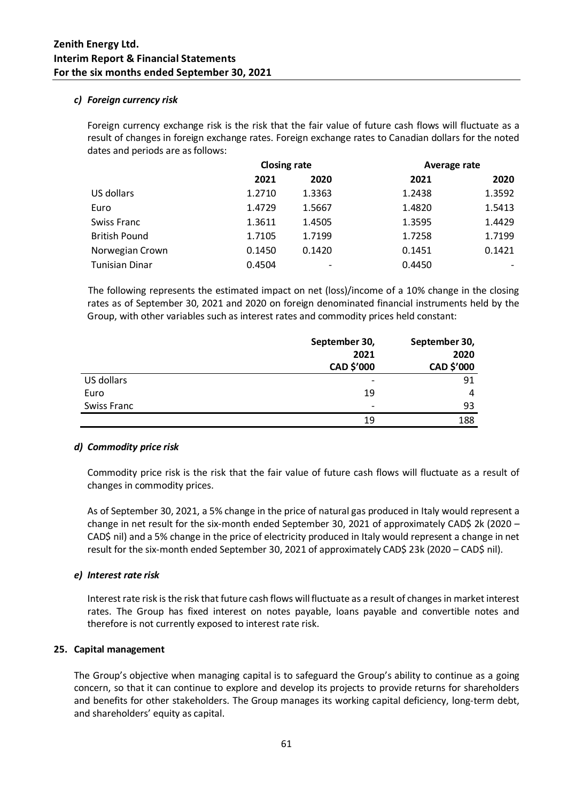### *c) Foreign currency risk*

Foreign currency exchange risk is the risk that the fair value of future cash flows will fluctuate as a result of changes in foreign exchange rates. Foreign exchange rates to Canadian dollars for the noted dates and periods are as follows:

|                       |        | <b>Closing rate</b> |        | Average rate |
|-----------------------|--------|---------------------|--------|--------------|
|                       | 2021   | 2020                | 2021   | 2020         |
| US dollars            | 1.2710 | 1.3363              | 1.2438 | 1.3592       |
| Euro                  | 1.4729 | 1.5667              | 1.4820 | 1.5413       |
| Swiss Franc           | 1.3611 | 1.4505              | 1.3595 | 1.4429       |
| <b>British Pound</b>  | 1.7105 | 1.7199              | 1.7258 | 1.7199       |
| Norwegian Crown       | 0.1450 | 0.1420              | 0.1451 | 0.1421       |
| <b>Tunisian Dinar</b> | 0.4504 |                     | 0.4450 |              |

The following represents the estimated impact on net (loss)/income of a 10% change in the closing rates as of September 30, 2021 and 2020 on foreign denominated financial instruments held by the Group, with other variables such as interest rates and commodity prices held constant:

|             | September 30,            | September 30, |
|-------------|--------------------------|---------------|
|             | 2021                     | 2020          |
|             | CAD \$'000               | CAD \$'000    |
| US dollars  | $\overline{\phantom{a}}$ | 91            |
| Euro        | 19                       | 4             |
| Swiss Franc | $\overline{\phantom{a}}$ | 93            |
|             | 19                       | 188           |

### *d) Commodity price risk*

Commodity price risk is the risk that the fair value of future cash flows will fluctuate as a result of changes in commodity prices.

As of September 30, 2021, a 5% change in the price of natural gas produced in Italy would represent a change in net result for the six-month ended September 30, 2021 of approximately CAD\$ 2k (2020 – CAD\$ nil) and a 5% change in the price of electricity produced in Italy would represent a change in net result for the six-month ended September 30, 2021 of approximately CAD\$ 23k (2020 – CAD\$ nil).

### *e) Interest rate risk*

Interest rate risk is the risk that future cash flows will fluctuate as a result of changes in market interest rates. The Group has fixed interest on notes payable, loans payable and convertible notes and therefore is not currently exposed to interest rate risk.

### **25. Capital management**

The Group's objective when managing capital is to safeguard the Group's ability to continue as a going concern, so that it can continue to explore and develop its projects to provide returns for shareholders and benefits for other stakeholders. The Group manages its working capital deficiency, long-term debt, and shareholders' equity as capital.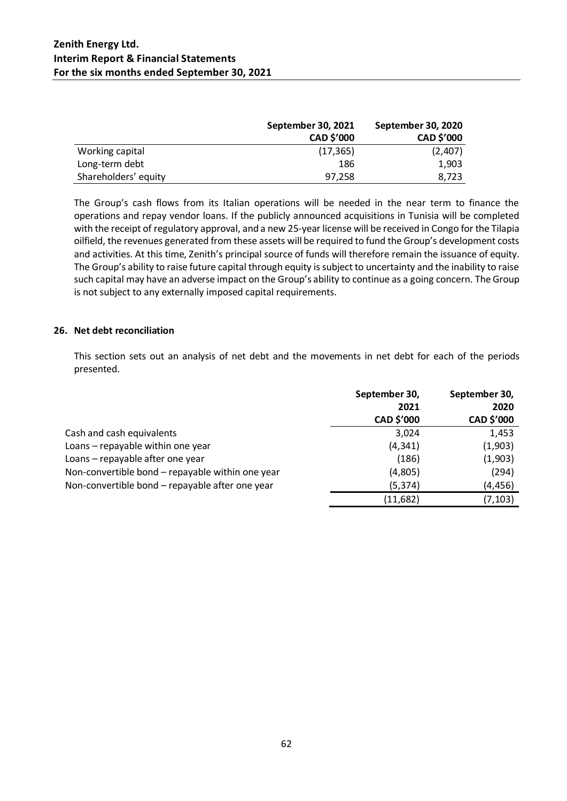|                      | September 30, 2021 | September 30, 2020 |
|----------------------|--------------------|--------------------|
|                      | <b>CAD \$'000</b>  | <b>CAD \$'000</b>  |
| Working capital      | (17, 365)          | (2,407)            |
| Long-term debt       | 186                | 1,903              |
| Shareholders' equity | 97.258             | 8.723              |

The Group's cash flows from its Italian operations will be needed in the near term to finance the operations and repay vendor loans. If the publicly announced acquisitions in Tunisia will be completed with the receipt of regulatory approval, and a new 25-year license will be received in Congo for the Tilapia oilfield, the revenues generated from these assets will be required to fund the Group's development costs and activities. At this time, Zenith's principal source of funds will therefore remain the issuance of equity. The Group's ability to raise future capital through equity is subject to uncertainty and the inability to raise such capital may have an adverse impact on the Group's ability to continue as a going concern. The Group is not subject to any externally imposed capital requirements.

### **26. Net debt reconciliation**

This section sets out an analysis of net debt and the movements in net debt for each of the periods presented.

|                                                  | September 30,<br>2021<br>CAD \$'000 | September 30,<br>2020<br>CAD \$'000 |
|--------------------------------------------------|-------------------------------------|-------------------------------------|
| Cash and cash equivalents                        | 3,024                               | 1,453                               |
| Loans - repayable within one year                | (4, 341)                            | (1,903)                             |
| Loans - repayable after one year                 | (186)                               | (1,903)                             |
| Non-convertible bond - repayable within one year | (4,805)                             | (294)                               |
| Non-convertible bond - repayable after one year  | (5, 374)                            | (4, 456)                            |
|                                                  | (11,682)                            | (7, 103)                            |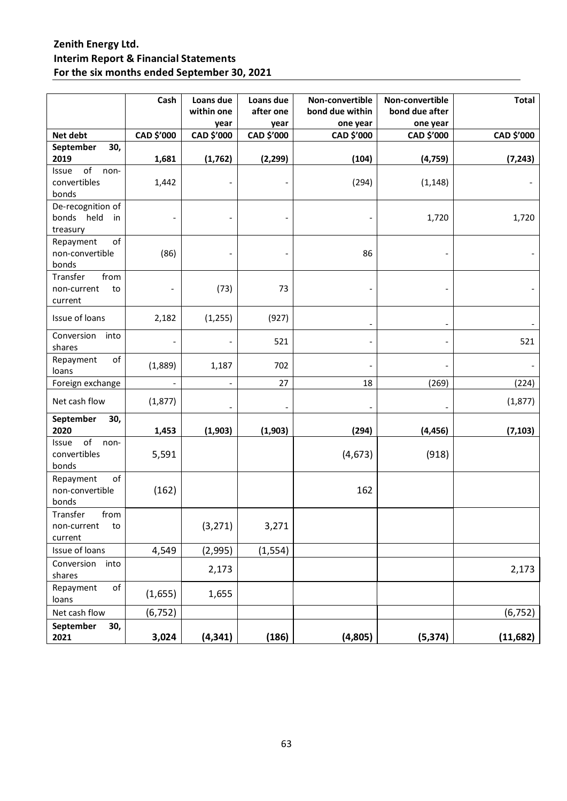|                                                   | Cash       | Loans due<br>within one<br>year | Loans due<br>after one<br>year | Non-convertible<br>bond due within<br>one year | Non-convertible<br>bond due after<br>one year | <b>Total</b> |
|---------------------------------------------------|------------|---------------------------------|--------------------------------|------------------------------------------------|-----------------------------------------------|--------------|
| Net debt                                          | CAD \$'000 | CAD \$'000                      | CAD \$'000                     | CAD \$'000                                     | CAD \$'000                                    | CAD \$'000   |
| September<br>30,<br>2019                          | 1,681      | (1,762)                         | (2, 299)                       | (104)                                          | (4, 759)                                      | (7, 243)     |
| of<br>Issue<br>non-<br>convertibles<br>bonds      | 1,442      |                                 |                                | (294)                                          | (1, 148)                                      |              |
| De-recognition of<br>bonds held<br>in<br>treasury |            |                                 |                                |                                                | 1,720                                         | 1,720        |
| of<br>Repayment<br>non-convertible<br>bonds       | (86)       |                                 |                                | 86                                             |                                               |              |
| Transfer<br>from<br>non-current<br>to<br>current  |            | (73)                            | 73                             |                                                |                                               |              |
| Issue of loans                                    | 2,182      | (1, 255)                        | (927)                          |                                                |                                               |              |
| Conversion<br>into<br>shares                      |            |                                 | 521                            |                                                |                                               | 521          |
| of<br>Repayment<br>loans                          | (1,889)    | 1,187                           | 702                            |                                                |                                               |              |
| Foreign exchange                                  |            | $\overline{\phantom{a}}$        | 27                             | 18                                             | (269)                                         | (224)        |
| Net cash flow                                     | (1, 877)   |                                 | $\blacksquare$                 |                                                |                                               | (1, 877)     |
| September<br>30,<br>2020<br>of<br>Issue<br>non-   | 1,453      | (1,903)                         | (1,903)                        | (294)                                          | (4, 456)                                      | (7, 103)     |
| convertibles<br>bonds                             | 5,591      |                                 |                                | (4, 673)                                       | (918)                                         |              |
| of<br>Repayment<br>non-convertible<br>bonds       | (162)      |                                 |                                | 162                                            |                                               |              |
| Transfer<br>from<br>non-current<br>to<br>current  |            | (3, 271)                        | 3,271                          |                                                |                                               |              |
| Issue of loans                                    | 4,549      | (2,995)                         | (1, 554)                       |                                                |                                               |              |
| Conversion<br>into<br>shares                      |            | 2,173                           |                                |                                                |                                               | 2,173        |
| of<br>Repayment<br>loans                          | (1,655)    | 1,655                           |                                |                                                |                                               |              |
| Net cash flow                                     | (6, 752)   |                                 |                                |                                                |                                               | (6, 752)     |
| September<br>30,<br>2021                          | 3,024      | (4, 341)                        | (186)                          | (4,805)                                        | (5, 374)                                      | (11, 682)    |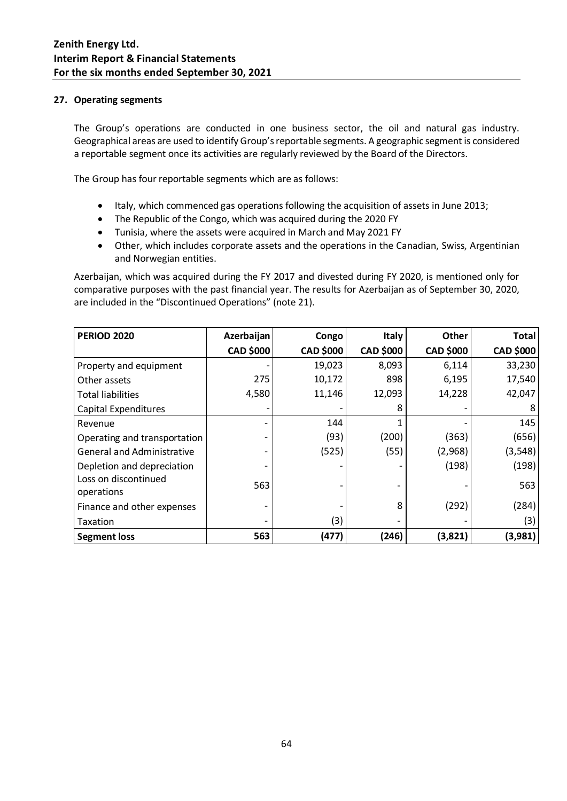### **27. Operating segments**

The Group's operations are conducted in one business sector, the oil and natural gas industry. Geographical areas are used to identify Group's reportable segments. A geographic segment is considered a reportable segment once its activities are regularly reviewed by the Board of the Directors.

The Group has four reportable segments which are as follows:

- Italy, which commenced gas operations following the acquisition of assets in June 2013;
- The Republic of the Congo, which was acquired during the 2020 FY
- Tunisia, where the assets were acquired in March and May 2021 FY
- Other, which includes corporate assets and the operations in the Canadian, Swiss, Argentinian and Norwegian entities.

Azerbaijan, which was acquired during the FY 2017 and divested during FY 2020, is mentioned only for comparative purposes with the past financial year. The results for Azerbaijan as of September 30, 2020, are included in the "Discontinued Operations" (note 21).

| <b>PERIOD 2020</b>                 | Azerbaijan               | Congo            | <b>Italy</b>             | Other            | Total            |
|------------------------------------|--------------------------|------------------|--------------------------|------------------|------------------|
|                                    | <b>CAD \$000</b>         | <b>CAD \$000</b> | <b>CAD \$000</b>         | <b>CAD \$000</b> | <b>CAD \$000</b> |
| Property and equipment             |                          | 19,023           | 8,093                    | 6,114            | 33,230           |
| Other assets                       | 275                      | 10,172           | 898                      | 6,195            | 17,540           |
| <b>Total liabilities</b>           | 4,580                    | 11,146           | 12,093                   | 14,228           | 42,047           |
| <b>Capital Expenditures</b>        | $\overline{\phantom{0}}$ |                  | 8                        |                  | 8                |
| Revenue                            |                          | 144              | 1                        |                  | 145              |
| Operating and transportation       |                          | (93)             | (200)                    | (363)            | (656)            |
| <b>General and Administrative</b>  |                          | (525)            | (55)                     | (2,968)          | (3, 548)         |
| Depletion and depreciation         |                          |                  |                          | (198)            | (198)            |
| Loss on discontinued<br>operations | 563                      |                  |                          |                  | 563              |
| Finance and other expenses         |                          |                  | 8                        | (292)            | (284)            |
| Taxation                           |                          | (3)              | $\overline{\phantom{a}}$ |                  | (3)              |
| <b>Segment loss</b>                | 563                      | (477)            | (246)                    | (3,821)          | (3,981)          |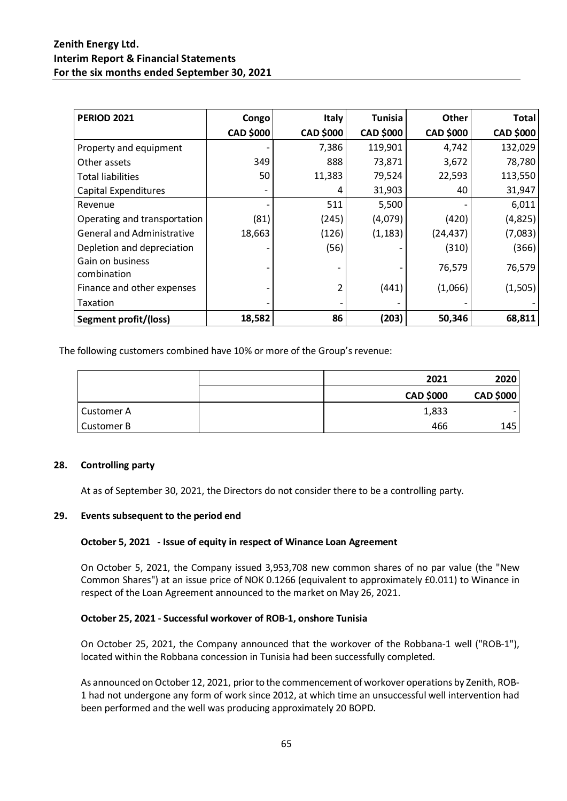| <b>PERIOD 2021</b>                | Congo            | <b>Italy</b>     | <b>Tunisia</b>   | <b>Other</b>     | <b>Total</b>     |
|-----------------------------------|------------------|------------------|------------------|------------------|------------------|
|                                   | <b>CAD \$000</b> | <b>CAD \$000</b> | <b>CAD \$000</b> | <b>CAD \$000</b> | <b>CAD \$000</b> |
| Property and equipment            |                  | 7,386            | 119,901          | 4,742            | 132,029          |
| Other assets                      | 349              | 888              | 73,871           | 3,672            | 78,780           |
| <b>Total liabilities</b>          | 50               | 11,383           | 79,524           | 22,593           | 113,550          |
| <b>Capital Expenditures</b>       |                  |                  | 31,903           | 40               | 31,947           |
| Revenue                           |                  | 511              | 5,500            |                  | 6,011            |
| Operating and transportation      | (81)             | (245)            | (4,079)          | (420)            | (4,825)          |
| <b>General and Administrative</b> | 18,663           | (126)            | (1, 183)         | (24, 437)        | (7,083)          |
| Depletion and depreciation        |                  | (56)             |                  | (310)            | (366)            |
| Gain on business<br>combination   |                  |                  |                  | 76,579           | 76,579           |
| Finance and other expenses        |                  |                  | (441)            | (1,066)          | (1,505)          |
| Taxation                          |                  |                  |                  |                  |                  |
| Segment profit/(loss)             | 18,582           | 86               | (203)            | 50,346           | 68,811           |

The following customers combined have 10% or more of the Group's revenue:

|            | 2021             | 2020             |
|------------|------------------|------------------|
|            | <b>CAD \$000</b> | <b>CAD \$000</b> |
| Customer A | 1,833            |                  |
| Customer B | 466              | 145              |

### **28. Controlling party**

At as of September 30, 2021, the Directors do not consider there to be a controlling party.

### **29. Events subsequent to the period end**

### **October 5, 2021 - Issue of equity in respect of Winance Loan Agreement**

On October 5, 2021, the Company issued 3,953,708 new common shares of no par value (the "New Common Shares") at an issue price of NOK 0.1266 (equivalent to approximately £0.011) to Winance in respect of the Loan Agreement announced to the market on May 26, 2021.

### **October 25, 2021 - Successful workover of ROB-1, onshore Tunisia**

On October 25, 2021, the Company announced that the workover of the Robbana-1 well ("ROB-1"), located within the Robbana concession in Tunisia had been successfully completed.

As announced on October 12, 2021, prior to the commencement of workover operations by Zenith, ROB-1 had not undergone any form of work since 2012, at which time an unsuccessful well intervention had been performed and the well was producing approximately 20 BOPD.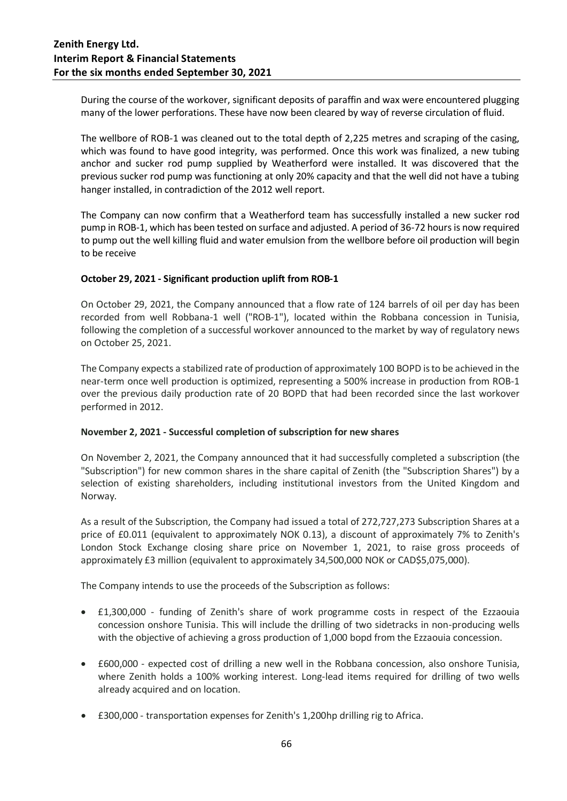During the course of the workover, significant deposits of paraffin and wax were encountered plugging many of the lower perforations. These have now been cleared by way of reverse circulation of fluid.

The wellbore of ROB-1 was cleaned out to the total depth of 2,225 metres and scraping of the casing, which was found to have good integrity, was performed. Once this work was finalized, a new tubing anchor and sucker rod pump supplied by Weatherford were installed. It was discovered that the previous sucker rod pump was functioning at only 20% capacity and that the well did not have a tubing hanger installed, in contradiction of the 2012 well report.

The Company can now confirm that a Weatherford team has successfully installed a new sucker rod pump in ROB-1, which has been tested on surface and adjusted. A period of 36-72 hours is now required to pump out the well killing fluid and water emulsion from the wellbore before oil production will begin to be receive

### **October 29, 2021 - Significant production uplift from ROB-1**

On October 29, 2021, the Company announced that a flow rate of 124 barrels of oil per day has been recorded from well Robbana-1 well ("ROB-1"), located within the Robbana concession in Tunisia, following the completion of a successful workover announced to the market by way of regulatory news on October 25, 2021.

The Company expects a stabilized rate of production of approximately 100 BOPD is to be achieved in the near-term once well production is optimized, representing a 500% increase in production from ROB-1 over the previous daily production rate of 20 BOPD that had been recorded since the last workover performed in 2012.

### **November 2, 2021 - Successful completion of subscription for new shares**

On November 2, 2021, the Company announced that it had successfully completed a subscription (the "Subscription") for new common shares in the share capital of Zenith (the "Subscription Shares") by a selection of existing shareholders, including institutional investors from the United Kingdom and Norway.

As a result of the Subscription, the Company had issued a total of 272,727,273 Subscription Shares at a price of £0.011 (equivalent to approximately NOK 0.13), a discount of approximately 7% to Zenith's London Stock Exchange closing share price on November 1, 2021, to raise gross proceeds of approximately £3 million (equivalent to approximately 34,500,000 NOK or CAD\$5,075,000).

The Company intends to use the proceeds of the Subscription as follows:

- £1,300,000 funding of Zenith's share of work programme costs in respect of the Ezzaouia concession onshore Tunisia. This will include the drilling of two sidetracks in non-producing wells with the objective of achieving a gross production of 1,000 bopd from the Ezzaouia concession.
- £600,000 expected cost of drilling a new well in the Robbana concession, also onshore Tunisia, where Zenith holds a 100% working interest. Long-lead items required for drilling of two wells already acquired and on location.
- £300,000 transportation expenses for Zenith's 1,200hp drilling rig to Africa.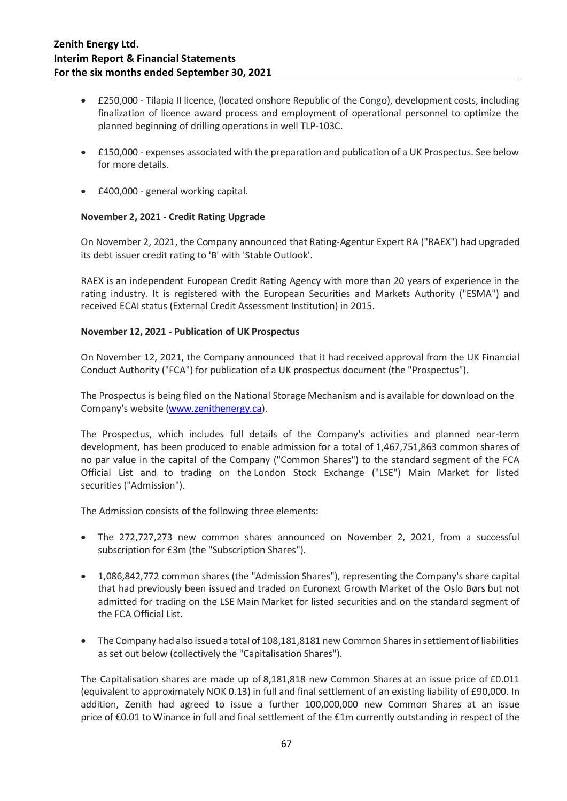- £250,000 Tilapia II licence, (located onshore Republic of the Congo), development costs, including finalization of licence award process and employment of operational personnel to optimize the planned beginning of drilling operations in well TLP-103C.
- £150,000 expenses associated with the preparation and publication of a UK Prospectus. See below for more details.
- £400,000 general working capital.

### **November 2, 2021 - Credit Rating Upgrade**

On November 2, 2021, the Company announced that Rating-Agentur Expert RA ("RAEX") had upgraded its debt issuer credit rating to 'B' with 'Stable Outlook'.

RAEX is an independent European Credit Rating Agency with more than 20 years of experience in the rating industry. It is registered with the European Securities and Markets Authority ("ESMA") and received ECAI status (External Credit Assessment Institution) in 2015.

### **November 12, 2021 - Publication of UK Prospectus**

On November 12, 2021, the Company announced that it had received approval from the UK Financial Conduct Authority ("FCA") for publication of a UK prospectus document (the "Prospectus").

The Prospectus is being filed on the National Storage Mechanism and is available for download on the Company's website [\(www.zenithenergy.ca\)](http://www.zenithenergy.ca/).

The Prospectus, which includes full details of the Company's activities and planned near-term development, has been produced to enable admission for a total of 1,467,751,863 common shares of no par value in the capital of the Company ("Common Shares") to the standard segment of the FCA Official List and to trading on the London Stock Exchange ("LSE") Main Market for listed securities ("Admission").

The Admission consists of the following three elements:

- The 272,727,273 new common shares announced on November 2, 2021, from a successful subscription for £3m (the "Subscription Shares").
- 1,086,842,772 common shares (the "Admission Shares"), representing the Company's share capital that had previously been issued and traded on Euronext Growth Market of the Oslo Børs but not admitted for trading on the LSE Main Market for listed securities and on the standard segment of the FCA Official List.
- The Company had also issued a total of 108,181,8181 new Common Shares in settlement of liabilities as set out below (collectively the "Capitalisation Shares").

The Capitalisation shares are made up of 8,181,818 new Common Shares at an issue price of £0.011 (equivalent to approximately NOK 0.13) in full and final settlement of an existing liability of £90,000. In addition, Zenith had agreed to issue a further 100,000,000 new Common Shares at an issue price of €0.01 to Winance in full and final settlement of the €1m currently outstanding in respect of the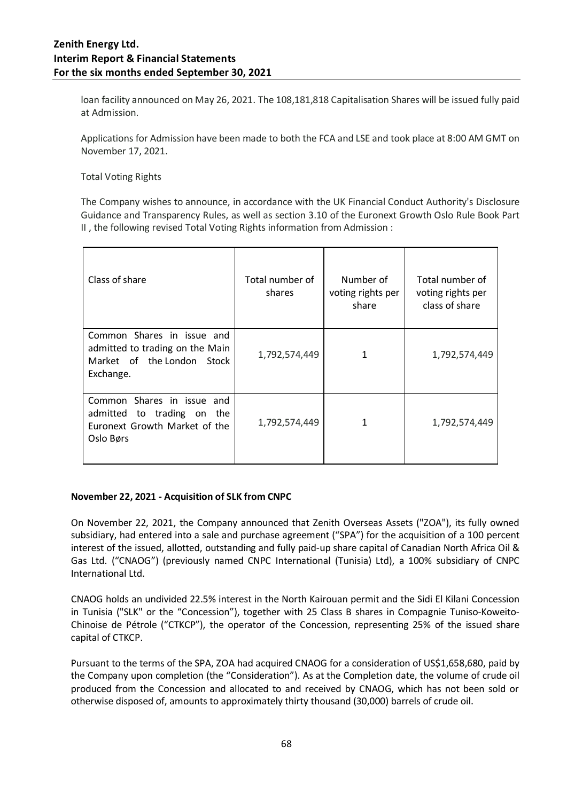loan facility announced on May 26, 2021. The 108,181,818 Capitalisation Shares will be issued fully paid at Admission.

Applications for Admission have been made to both the FCA and LSE and took place at 8:00 AM GMT on November 17, 2021.

Total Voting Rights

The Company wishes to announce, in accordance with the UK Financial Conduct Authority's Disclosure Guidance and Transparency Rules, as well as section 3.10 of the Euronext Growth Oslo Rule Book Part II , the following revised Total Voting Rights information from Admission :

| Class of share                                                                                           | Total number of<br>shares | Number of<br>voting rights per<br>share | Total number of<br>voting rights per<br>class of share |
|----------------------------------------------------------------------------------------------------------|---------------------------|-----------------------------------------|--------------------------------------------------------|
| Common Shares in issue and<br>admitted to trading on the Main<br>Market of the London Stock<br>Exchange. | 1,792,574,449             | 1                                       | 1,792,574,449                                          |
| Common Shares in issue and<br>admitted to trading on the<br>Euronext Growth Market of the<br>Oslo Børs   | 1,792,574,449             | 1                                       | 1,792,574,449                                          |

### **November 22, 2021 - Acquisition of SLK from CNPC**

On November 22, 2021, the Company announced that Zenith Overseas Assets ("ZOA"), its fully owned subsidiary, had entered into a sale and purchase agreement ("SPA") for the acquisition of a 100 percent interest of the issued, allotted, outstanding and fully paid-up share capital of Canadian North Africa Oil & Gas Ltd. ("CNAOG") (previously named CNPC International (Tunisia) Ltd), a 100% subsidiary of CNPC International Ltd.

CNAOG holds an undivided 22.5% interest in the North Kairouan permit and the Sidi El Kilani Concession in Tunisia ("SLK" or the "Concession"), together with 25 Class B shares in Compagnie Tuniso-Koweito-Chinoise de Pétrole ("CTKCP"), the operator of the Concession, representing 25% of the issued share capital of CTKCP.

Pursuant to the terms of the SPA, ZOA had acquired CNAOG for a consideration of US\$1,658,680, paid by the Company upon completion (the "Consideration"). As at the Completion date, the volume of crude oil produced from the Concession and allocated to and received by CNAOG, which has not been sold or otherwise disposed of, amounts to approximately thirty thousand (30,000) barrels of crude oil.